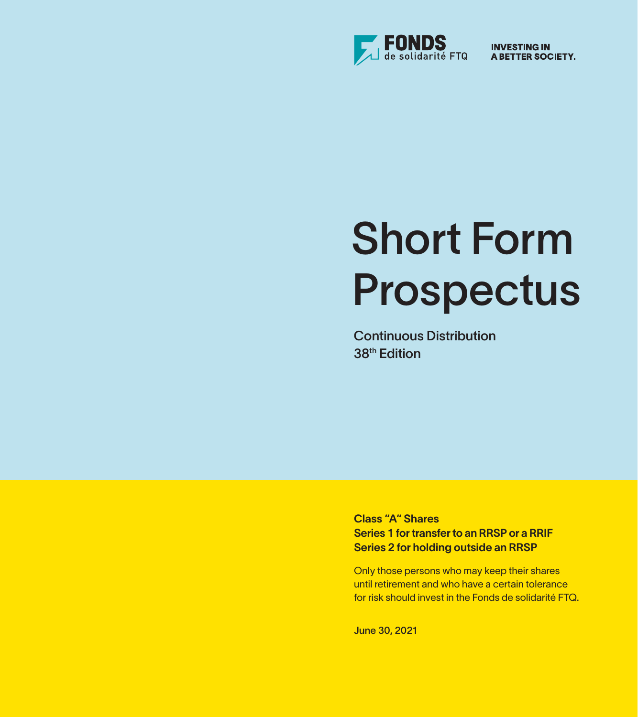

**INVESTING IN** A BETTER SOCIETY.

# Short Form Prospectus

Continuous Distribution 38th Edition

Class "A" Shares Series 1 for transfer to an RRSP or a RRIF Series 2 for holding outside an RRSP

Only those persons who may keep their shares until retirement and who have a certain tolerance for risk should invest in the Fonds de solidarité FTQ.

June 30, 2021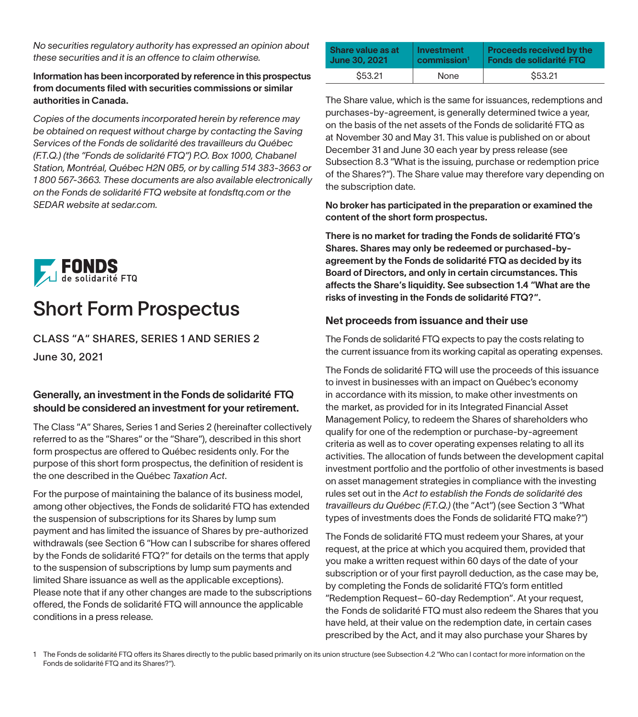*No securities regulatory authority has expressed an opinion about these securities and it is an offence to claim otherwise.*

Information has been incorporated by reference in this prospectus from documents filed with securities commissions or similar authorities in Canada.

*Copies of the documents incorporated herein by reference may be obtained on request without charge by contacting the Saving Services of the Fonds de solidarité des travailleurs du Québec (F.T.Q.) (the "Fonds de solidarité FTQ") P.O. Box 1000, Chabanel Station, Montréal, Québec H2N 0B5, or by calling 514 383-3663 or 1 800 567-3663. These documents are also available electronically on the Fonds de solidarité FTQ website at fondsftq.com or the SEDAR website at sedar.com.*



# Short Form Prospectus

CLASS "A" SHARES, SERIES 1 AND SERIES 2 June 30, 2021

#### Generally, an investment in the Fonds de solidarité FTQ should be considered an investment for your retirement.

The Class "A" Shares, Series 1 and Series 2 (hereinafter collectively referred to as the "Shares" or the "Share"), described in this short form prospectus are offered to Québec residents only. For the purpose of this short form prospectus, the definition of resident is the one described in the Québec *Taxation Act*.

For the purpose of maintaining the balance of its business model, among other objectives, the Fonds de solidarité FTQ has extended the suspension of subscriptions for its Shares by lump sum payment and has limited the issuance of Shares by pre-authorized withdrawals (see Section 6 "How can I subscribe for shares offered by the Fonds de solidarité FTQ?" for details on the terms that apply to the suspension of subscriptions by lump sum payments and limited Share issuance as well as the applicable exceptions). Please note that if any other changes are made to the subscriptions offered, the Fonds de solidarité FTQ will announce the applicable conditions in a press release.

| Share value as at | Investment              | <b>Proceeds received by the</b> |
|-------------------|-------------------------|---------------------------------|
| June 30, 2021     | commission <sup>1</sup> | Fonds de solidarité FTQ         |
| \$53.21           | None                    | \$53.21                         |

The Share value, which is the same for issuances, redemptions and purchases-by-agreement, is generally determined twice a year, on the basis of the net assets of the Fonds de solidarité FTQ as at November 30 and May 31. This value is published on or about December 31 and June 30 each year by press release (see Subsection 8.3 "What is the issuing, purchase or redemption price of the Shares?"). The Share value may therefore vary depending on the subscription date.

No broker has participated in the preparation or examined the content of the short form prospectus.

There is no market for trading the Fonds de solidarité FTQ's Shares. Shares may only be redeemed or purchased-byagreement by the Fonds de solidarité FTQ as decided by its Board of Directors, and only in certain circumstances. This affects the Share's liquidity. See subsection 1.4 "What are the risks of investing in the Fonds de solidarité FTQ?".

#### Net proceeds from issuance and their use

The Fonds de solidarité FTQ expects to pay the costs relating to the current issuance from its working capital as operating expenses.

The Fonds de solidarité FTQ will use the proceeds of this issuance to invest in businesses with an impact on Québec's economy in accordance with its mission, to make other investments on the market, as provided for in its Integrated Financial Asset Management Policy, to redeem the Shares of shareholders who qualify for one of the redemption or purchase-by-agreement criteria as well as to cover operating expenses relating to all its activities. The allocation of funds between the development capital investment portfolio and the portfolio of other investments is based on asset management strategies in compliance with the investing rules set out in the *Act to establish the Fonds de solidarité des travailleurs du Québec (F.T.Q.)* (the "Act") (see Section 3 "What types of investments does the Fonds de solidarité FTQ make?")

The Fonds de solidarité FTQ must redeem your Shares, at your request, at the price at which you acquired them, provided that you make a written request within 60 days of the date of your subscription or of your first payroll deduction, as the case may be, by completing the Fonds de solidarité FTQ's form entitled "Redemption Request– 60-day Redemption". At your request, the Fonds de solidarité FTQ must also redeem the Shares that you have held, at their value on the redemption date, in certain cases prescribed by the Act, and it may also purchase your Shares by

1 The Fonds de solidarité FTQ offers its Shares directly to the public based primarily on its union structure (see Subsection 4.2 "Who can I contact for more information on the Fonds de solidarité FTQ and its Shares?").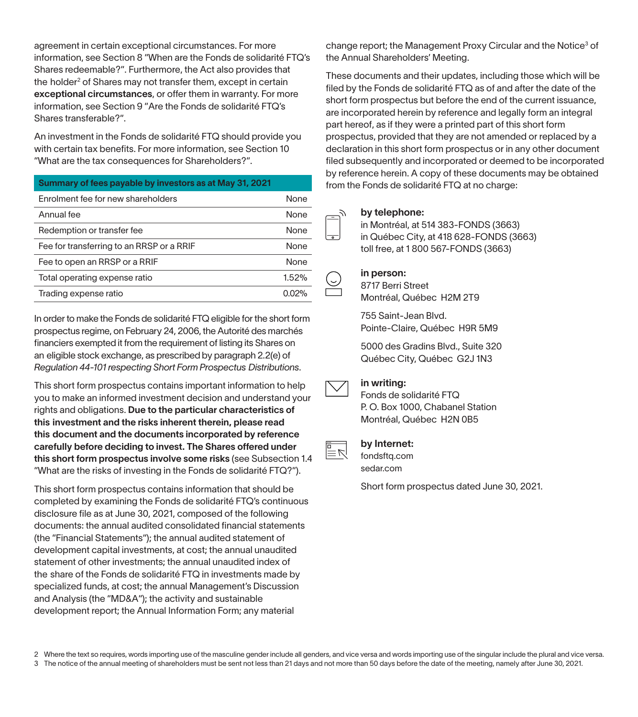agreement in certain exceptional circumstances. For more information, see Section 8 "When are the Fonds de solidarité FTQ's Shares redeemable?". Furthermore, the Act also provides that the holder<sup>2</sup> of Shares may not transfer them, except in certain exceptional circumstances, or offer them in warranty. For more information, see Section 9 "Are the Fonds de solidarité FTQ's Shares transferable?".

An investment in the Fonds de solidarité FTQ should provide you with certain tax benefits. For more information, see Section 10 "What are the tax consequences for Shareholders?".

| Summary of fees payable by investors as at May 31, 2021 |       |
|---------------------------------------------------------|-------|
| Enrolment fee for new shareholders                      | None  |
| Annual fee                                              | None  |
| Redemption or transfer fee                              | None  |
| Fee for transferring to an RRSP or a RRIF               | None  |
| Fee to open an RRSP or a RRIF                           | None  |
| Total operating expense ratio                           | 1.52% |
| Trading expense ratio                                   | 0.02% |

In order to make the Fonds de solidarité FTQ eligible for the short form prospectus regime, on February 24, 2006, the Autorité des marchés financiers exempted it from the requirement of listing its Shares on an eligible stock exchange, as prescribed by paragraph 2.2(e) of *Regulation 44-101 respecting Short Form Prospectus Distributions*.

This short form prospectus contains important information to help you to make an informed investment decision and understand your rights and obligations. Due to the particular characteristics of this investment and the risks inherent therein, please read this document and the documents incorporated by reference carefully before deciding to invest. The Shares offered under this short form prospectus involve some risks (see Subsection 1.4 "What are the risks of investing in the Fonds de solidarité FTQ?").

This short form prospectus contains information that should be completed by examining the Fonds de solidarité FTQ's continuous disclosure file as at June 30, 2021, composed of the following documents: the annual audited consolidated financial statements (the "Financial Statements"); the annual audited statement of development capital investments, at cost; the annual unaudited statement of other investments; the annual unaudited index of the share of the Fonds de solidarité FTQ in investments made by specialized funds, at cost; the annual Management's Discussion and Analysis (the "MD&A"); the activity and sustainable development report; the Annual Information Form; any material

change report; the Management Proxy Circular and the Notice<sup>3</sup> of the Annual Shareholders' Meeting.

These documents and their updates, including those which will be filed by the Fonds de solidarité FTQ as of and after the date of the short form prospectus but before the end of the current issuance, are incorporated herein by reference and legally form an integral part hereof, as if they were a printed part of this short form prospectus, provided that they are not amended or replaced by a declaration in this short form prospectus or in any other document filed subsequently and incorporated or deemed to be incorporated by reference herein. A copy of these documents may be obtained from the Fonds de solidarité FTQ at no charge:

#### by telephone:

in Montréal, at 514 383-FONDS (3663) in Québec City, at 418 628-FONDS (3663) toll free, at 1 800 567-FONDS (3663)

#### in person:

8717 Berri Street Montréal, Québec H2M 2T9

755 Saint-Jean Blvd. Pointe-Claire, Québec H9R 5M9

5000 des Gradins Blvd., Suite 320 Québec City, Québec G2J 1N3



#### in writing:

Fonds de solidarité FTQ

P. O. Box 1000, Chabanel Station Montréal, Québec H2N 0B5

#### by Internet:

fondsftq.com sedar.com

Short form prospectus dated June 30, 2021.

2 Where the text so requires, words importing use of the masculine gender include all genders, and vice versa and words importing use of the singular include the plural and vice versa.

3 The notice of the annual meeting of shareholders must be sent not less than 21 days and not more than 50 days before the date of the meeting, namely after June 30, 2021.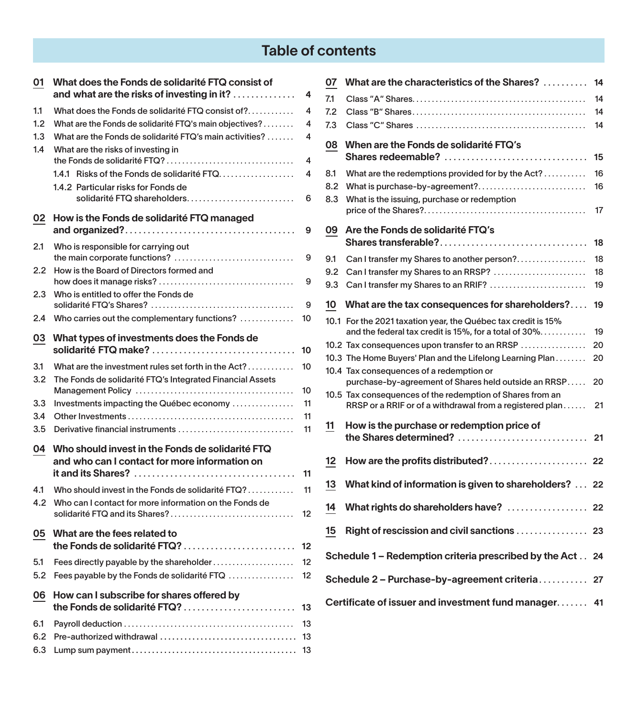# Table of contents

| 01                       | What does the Fonds de solidarité FTQ consist of<br>and what are the risks of investing in it? $\ldots$                                                                                                                         | 4              |
|--------------------------|---------------------------------------------------------------------------------------------------------------------------------------------------------------------------------------------------------------------------------|----------------|
| 1.1<br>1.2<br>1.3<br>1.4 | What does the Fonds de solidarité FTQ consist of? $\dots\dots\dots$<br>What are the Fonds de solidarité FTQ's main objectives?<br>What are the Fonds de solidarité FTQ's main activities?<br>What are the risks of investing in | 4<br>4<br>4    |
|                          | the Fonds de solidarité FTQ?<br>1.4.1 Risks of the Fonds de solidarité FTQ<br>1.4.2 Particular risks for Fonds de<br>solidarité FTQ shareholders                                                                                | 4<br>4<br>6    |
| 02                       | How is the Fonds de solidarité FTQ managed                                                                                                                                                                                      | 9              |
| 2.1                      | Who is responsible for carrying out<br>the main corporate functions?                                                                                                                                                            | 9              |
| 2.2                      | How is the Board of Directors formed and                                                                                                                                                                                        | 9              |
| 2.3                      | Who is entitled to offer the Fonds de                                                                                                                                                                                           | 9              |
| 2.4                      | Who carries out the complementary functions? $\ldots$                                                                                                                                                                           | 10             |
| 03                       | What types of investments does the Fonds de<br>solidarité FTQ make?                                                                                                                                                             | 10             |
| 3.1<br>3.2               | What are the investment rules set forth in the $Act?$<br>The Fonds de solidarité FTQ's Integrated Financial Assets                                                                                                              | 10<br>10       |
| 3.3<br>3.4<br>3.5        | Investments impacting the Québec economy<br>Derivative financial instruments                                                                                                                                                    | 11<br>11<br>11 |
| 04                       | Who should invest in the Fonds de solidarité FTQ<br>and who can I contact for more information on                                                                                                                               |                |
|                          | it and its Shares? $\ldots, \ldots, \ldots, \ldots, \ldots, \ldots, \ldots, \ldots, \ldots, \ldots$                                                                                                                             | 11             |
| 4.1<br>4.2               | Who should invest in the Fonds de solidarité FTQ?<br>Who can I contact for more information on the Fonds de<br>solidarité FTQ and its Shares?                                                                                   | 11<br>12       |
| 05                       | What are the fees related to<br>the Fonds de solidarité FTQ?                                                                                                                                                                    | 12             |
| 5.1<br>5.2               | Fees directly payable by the shareholder<br>Fees payable by the Fonds de solidarité FTQ                                                                                                                                         | 12<br>12       |
| 06                       | How can I subscribe for shares offered by<br>the Fonds de solidarité FTQ?                                                                                                                                                       | 13             |
| 6.1<br>6.2<br>6.3        |                                                                                                                                                                                                                                 | 13<br>13       |

| 07  | What are the characteristics of the Shares?                                                                            | 14 |
|-----|------------------------------------------------------------------------------------------------------------------------|----|
| 7.1 |                                                                                                                        | 14 |
| 7.2 |                                                                                                                        | 14 |
| 7.3 |                                                                                                                        | 14 |
| 08  | When are the Fonds de solidarité FTQ's<br>Shares redeemable?                                                           | 15 |
| 8.1 | What are the redemptions provided for by the Act?                                                                      | 16 |
| 8.2 | What is purchase-by-agreement?                                                                                         | 16 |
| 8.3 | What is the issuing, purchase or redemption                                                                            | 17 |
|     |                                                                                                                        |    |
| 09  | Are the Fonds de solidarité FTQ's                                                                                      | 18 |
|     |                                                                                                                        |    |
| 9.1 | Can I transfer my Shares to another person?                                                                            | 18 |
| 9.2 | Can I transfer my Shares to an RRSP?                                                                                   | 18 |
| 9.3 | Can I transfer my Shares to an RRIF?                                                                                   | 19 |
| 10  | What are the tax consequences for shareholders?                                                                        | 19 |
|     | 10.1 For the 2021 taxation year, the Québec tax credit is 15%<br>and the federal tax credit is 15%, for a total of 30% | 19 |
|     | 10.2 Tax consequences upon transfer to an RRSP                                                                         | 20 |
|     | 10.3 The Home Buyers' Plan and the Lifelong Learning Plan                                                              | 20 |
|     | 10.4 Tax consequences of a redemption or<br>purchase-by-agreement of Shares held outside an RRSP                       | 20 |
|     | 10.5 Tax consequences of the redemption of Shares from an                                                              |    |
|     | RRSP or a RRIF or of a withdrawal from a registered plan                                                               | 21 |
| 11  | How is the purchase or redemption price of                                                                             |    |
|     | the Shares determined?                                                                                                 | 21 |
| 12  | How are the profits distributed?                                                                                       | 22 |
|     |                                                                                                                        |    |
| 13  | What kind of information is given to shareholders?                                                                     | 22 |
| 14  | What rights do shareholders have?                                                                                      | 22 |
| 15  | Right of rescission and civil sanctions                                                                                | 23 |
|     | Schedule 1 – Redemption criteria prescribed by the Act                                                                 | 24 |
|     | Schedule 2 – Purchase-by-agreement criteria                                                                            | 27 |
|     | Certificate of issuer and investment fund manager 41                                                                   |    |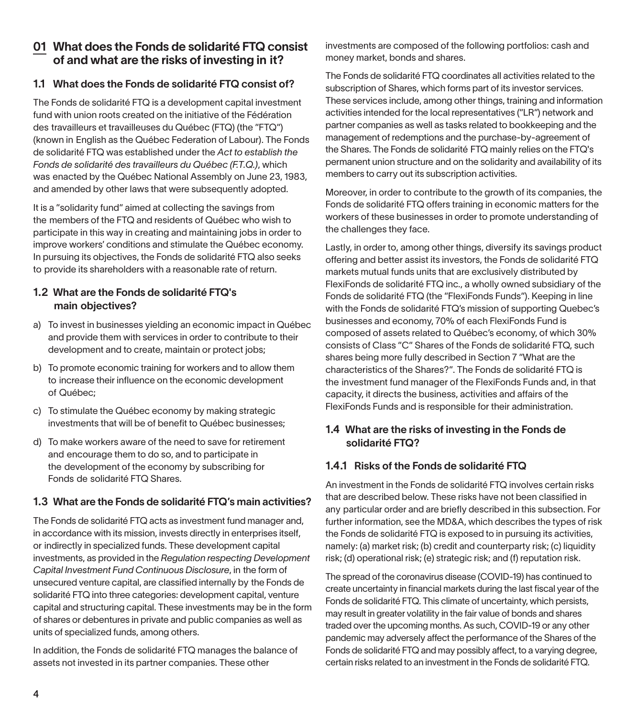## 01 What does the Fonds de solidarité FTQ consist of and what are the risks of investing in it?

#### 1.1 What does the Fonds de solidarité FTQ consist of?

The Fonds de solidarité FTQ is a development capital investment fund with union roots created on the initiative of the Fédération des travailleurs et travailleuses du Québec (FTQ) (the "FTQ") (known in English as the Québec Federation of Labour). The Fonds de solidarité FTQ was established under the *Act to establish the Fonds de solidarité des travailleurs du Québec (F.T.Q.)*, which was enacted by the Québec National Assembly on June 23, 1983, and amended by other laws that were subsequently adopted.

It is a "solidarity fund" aimed at collecting the savings from the members of the FTQ and residents of Québec who wish to participate in this way in creating and maintaining jobs in order to improve workers' conditions and stimulate the Québec economy. In pursuing its objectives, the Fonds de solidarité FTQ also seeks to provide its shareholders with a reasonable rate of return.

#### 1.2 What are the Fonds de solidarité FTQ's main objectives?

- a) To invest in businesses yielding an economic impact in Québec and provide them with services in order to contribute to their development and to create, maintain or protect jobs;
- b) To promote economic training for workers and to allow them to increase their influence on the economic development of Québec;
- c) To stimulate the Québec economy by making strategic investments that will be of benefit to Québec businesses;
- d) To make workers aware of the need to save for retirement and encourage them to do so, and to participate in the development of the economy by subscribing for Fonds de solidarité FTQ Shares.

#### 1.3 What are the Fonds de solidarité FTQ's main activities?

The Fonds de solidarité FTQ acts as investment fund manager and, in accordance with its mission, invests directly in enterprises itself, or indirectly in specialized funds. These development capital investments, as provided in the *Regulation respecting Development Capital Investment Fund Continuous Disclosure*, in the form of unsecured venture capital, are classified internally by the Fonds de solidarité FTQ into three categories: development capital, venture capital and structuring capital. These investments may be in the form of shares or debentures in private and public companies as well as units of specialized funds, among others.

In addition, the Fonds de solidarité FTQ manages the balance of assets not invested in its partner companies. These other

investments are composed of the following portfolios: cash and money market, bonds and shares.

The Fonds de solidarité FTQ coordinates all activities related to the subscription of Shares, which forms part of its investor services. These services include, among other things, training and information activities intended for the local representatives ("LR") network and partner companies as well as tasks related to bookkeeping and the management of redemptions and the purchase-by-agreement of the Shares. The Fonds de solidarité FTQ mainly relies on the FTQ's permanent union structure and on the solidarity and availability of its members to carry out its subscription activities.

Moreover, in order to contribute to the growth of its companies, the Fonds de solidarité FTQ offers training in economic matters for the workers of these businesses in order to promote understanding of the challenges they face.

Lastly, in order to, among other things, diversify its savings product offering and better assist its investors, the Fonds de solidarité FTQ markets mutual funds units that are exclusively distributed by FlexiFonds de solidarité FTQ inc., a wholly owned subsidiary of the Fonds de solidarité FTQ (the "FlexiFonds Funds"). Keeping in line with the Fonds de solidarité FTQ's mission of supporting Quebec's businesses and economy, 70% of each FlexiFonds Fund is composed of assets related to Québec's economy, of which 30% consists of Class "C" Shares of the Fonds de solidarité FTQ, such shares being more fully described in Section 7 "What are the characteristics of the Shares?". The Fonds de solidarité FTQ is the investment fund manager of the FlexiFonds Funds and, in that capacity, it directs the business, activities and affairs of the FlexiFonds Funds and is responsible for their administration.

#### 1.4 What are the risks of investing in the Fonds de solidarité FTQ?

#### 1.4.1 Risks of the Fonds de solidarité FTQ

An investment in the Fonds de solidarité FTQ involves certain risks that are described below. These risks have not been classified in any particular order and are briefly described in this subsection. For further information, see the MD&A, which describes the types of risk the Fonds de solidarité FTQ is exposed to in pursuing its activities, namely: (a) market risk; (b) credit and counterparty risk; (c) liquidity risk; (d) operational risk; (e) strategic risk; and (f) reputation risk.

The spread of the coronavirus disease (COVID-19) has continued to create uncertainty in financial markets during the last fiscal year of the Fonds de solidarité FTQ. This climate of uncertainty, which persists, may result in greater volatility in the fair value of bonds and shares traded over the upcoming months. As such, COVID-19 or any other pandemic may adversely affect the performance of the Shares of the Fonds de solidarité FTQ and may possibly affect, to a varying degree, certain risks related to an investment in the Fonds de solidarité FTQ.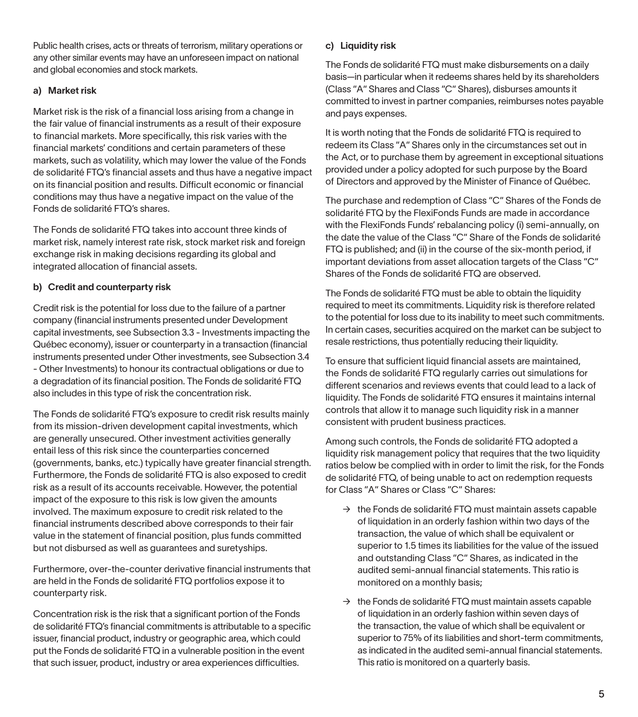Public health crises, acts or threats of terrorism, military operations or any other similar events may have an unforeseen impact on national and global economies and stock markets.

#### a) Market risk

Market risk is the risk of a financial loss arising from a change in the fair value of financial instruments as a result of their exposure to financial markets. More specifically, this risk varies with the financial markets' conditions and certain parameters of these markets, such as volatility, which may lower the value of the Fonds de solidarité FTQ's financial assets and thus have a negative impact on its financial position and results. Difficult economic or financial conditions may thus have a negative impact on the value of the Fonds de solidarité FTQ's shares.

The Fonds de solidarité FTQ takes into account three kinds of market risk, namely interest rate risk, stock market risk and foreign exchange risk in making decisions regarding its global and integrated allocation of financial assets.

#### b) Credit and counterparty risk

Credit risk is the potential for loss due to the failure of a partner company (financial instruments presented under Development capital investments, see Subsection 3.3 - Investments impacting the Québec economy), issuer or counterparty in a transaction (financial instruments presented under Other investments, see Subsection 3.4 - Other Investments) to honour its contractual obligations or due to a degradation of its financial position. The Fonds de solidarité FTQ also includes in this type of risk the concentration risk.

The Fonds de solidarité FTQ's exposure to credit risk results mainly from its mission-driven development capital investments, which are generally unsecured. Other investment activities generally entail less of this risk since the counterparties concerned (governments, banks, etc.) typically have greater financial strength. Furthermore, the Fonds de solidarité FTQ is also exposed to credit risk as a result of its accounts receivable. However, the potential impact of the exposure to this risk is low given the amounts involved. The maximum exposure to credit risk related to the financial instruments described above corresponds to their fair value in the statement of financial position, plus funds committed but not disbursed as well as guarantees and suretyships.

Furthermore, over-the-counter derivative financial instruments that are held in the Fonds de solidarité FTQ portfolios expose it to counterparty risk.

Concentration risk is the risk that a significant portion of the Fonds de solidarité FTQ's financial commitments is attributable to a specific issuer, financial product, industry or geographic area, which could put the Fonds de solidarité FTQ in a vulnerable position in the event that such issuer, product, industry or area experiences difficulties.

#### c) Liquidity risk

The Fonds de solidarité FTQ must make disbursements on a daily basis—in particular when it redeems shares held by its shareholders (Class "A" Shares and Class "C" Shares), disburses amounts it committed to invest in partner companies, reimburses notes payable and pays expenses.

It is worth noting that the Fonds de solidarité FTQ is required to redeem its Class "A" Shares only in the circumstances set out in the Act, or to purchase them by agreement in exceptional situations provided under a policy adopted for such purpose by the Board of Directors and approved by the Minister of Finance of Québec.

The purchase and redemption of Class "C" Shares of the Fonds de solidarité FTQ by the FlexiFonds Funds are made in accordance with the FlexiFonds Funds' rebalancing policy (i) semi-annually, on the date the value of the Class "C" Share of the Fonds de solidarité FTQ is published; and (ii) in the course of the six-month period, if important deviations from asset allocation targets of the Class "C" Shares of the Fonds de solidarité FTQ are observed.

The Fonds de solidarité FTQ must be able to obtain the liquidity required to meet its commitments. Liquidity risk is therefore related to the potential for loss due to its inability to meet such commitments. In certain cases, securities acquired on the market can be subject to resale restrictions, thus potentially reducing their liquidity.

To ensure that sufficient liquid financial assets are maintained, the Fonds de solidarité FTQ regularly carries out simulations for different scenarios and reviews events that could lead to a lack of liquidity. The Fonds de solidarité FTQ ensures it maintains internal controls that allow it to manage such liquidity risk in a manner consistent with prudent business practices.

Among such controls, the Fonds de solidarité FTQ adopted a liquidity risk management policy that requires that the two liquidity ratios below be complied with in order to limit the risk, for the Fonds de solidarité FTQ, of being unable to act on redemption requests for Class "A" Shares or Class "C" Shares:

- $\rightarrow$  the Fonds de solidarité FTQ must maintain assets capable of liquidation in an orderly fashion within two days of the transaction, the value of which shall be equivalent or superior to 1.5 times its liabilities for the value of the issued and outstanding Class "C" Shares, as indicated in the audited semi-annual financial statements. This ratio is monitored on a monthly basis;
- $\rightarrow$  the Fonds de solidarité FTQ must maintain assets capable of liquidation in an orderly fashion within seven days of the transaction, the value of which shall be equivalent or superior to 75% of its liabilities and short-term commitments, as indicated in the audited semi-annual financial statements. This ratio is monitored on a quarterly basis.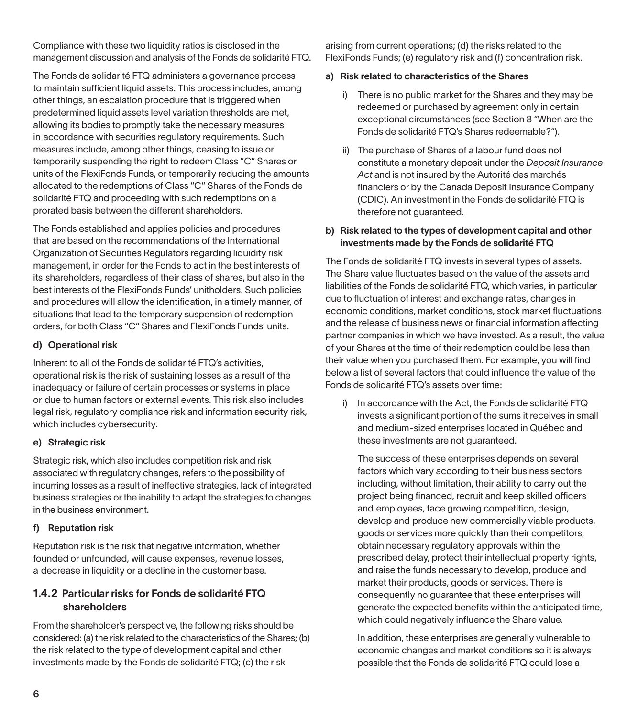Compliance with these two liquidity ratios is disclosed in the management discussion and analysis of the Fonds de solidarité FTQ.

The Fonds de solidarité FTQ administers a governance process to maintain sufficient liquid assets. This process includes, among other things, an escalation procedure that is triggered when predetermined liquid assets level variation thresholds are met, allowing its bodies to promptly take the necessary measures in accordance with securities regulatory requirements. Such measures include, among other things, ceasing to issue or temporarily suspending the right to redeem Class "C" Shares or units of the FlexiFonds Funds, or temporarily reducing the amounts allocated to the redemptions of Class "C" Shares of the Fonds de solidarité FTQ and proceeding with such redemptions on a prorated basis between the different shareholders.

The Fonds established and applies policies and procedures that are based on the recommendations of the International Organization of Securities Regulators regarding liquidity risk management, in order for the Fonds to act in the best interests of its shareholders, regardless of their class of shares, but also in the best interests of the FlexiFonds Funds' unitholders. Such policies and procedures will allow the identification, in a timely manner, of situations that lead to the temporary suspension of redemption orders, for both Class "C" Shares and FlexiFonds Funds' units.

#### d) Operational risk

Inherent to all of the Fonds de solidarité FTQ's activities, operational risk is the risk of sustaining losses as a result of the inadequacy or failure of certain processes or systems in place or due to human factors or external events. This risk also includes legal risk, regulatory compliance risk and information security risk, which includes cybersecurity.

#### e) Strategic risk

Strategic risk, which also includes competition risk and risk associated with regulatory changes, refers to the possibility of incurring losses as a result of ineffective strategies, lack of integrated business strategies or the inability to adapt the strategies to changes in the business environment.

#### f) Reputation risk

Reputation risk is the risk that negative information, whether founded or unfounded, will cause expenses, revenue losses, a decrease in liquidity or a decline in the customer base.

## 1.4.2 Particular risks for Fonds de solidarité FTQ shareholders

From the shareholder's perspective, the following risks should be considered: (a) the risk related to the characteristics of the Shares; (b) the risk related to the type of development capital and other investments made by the Fonds de solidarité FTQ; (c) the risk

arising from current operations; (d) the risks related to the FlexiFonds Funds; (e) regulatory risk and (f) concentration risk.

#### a) Risk related to characteristics of the Shares

- i) There is no public market for the Shares and they may be redeemed or purchased by agreement only in certain exceptional circumstances (see Section 8 "When are the Fonds de solidarité FTQ's Shares redeemable?").
- ii) The purchase of Shares of a labour fund does not constitute a monetary deposit under the *Deposit Insurance Act* and is not insured by the Autorité des marchés financiers or by the Canada Deposit Insurance Company (CDIC). An investment in the Fonds de solidarité FTQ is therefore not guaranteed.

#### b) Risk related to the types of development capital and other investments made by the Fonds de solidarité FTQ

The Fonds de solidarité FTQ invests in several types of assets. The Share value fluctuates based on the value of the assets and liabilities of the Fonds de solidarité FTQ, which varies, in particular due to fluctuation of interest and exchange rates, changes in economic conditions, market conditions, stock market fluctuations and the release of business news or financial information affecting partner companies in which we have invested. As a result, the value of your Shares at the time of their redemption could be less than their value when you purchased them. For example, you will find below a list of several factors that could influence the value of the Fonds de solidarité FTQ's assets over time:

i) In accordance with the Act, the Fonds de solidarité FTQ invests a significant portion of the sums it receives in small and medium-sized enterprises located in Québec and these investments are not quaranteed.

The success of these enterprises depends on several factors which vary according to their business sectors including, without limitation, their ability to carry out the project being financed, recruit and keep skilled officers and employees, face growing competition, design, develop and produce new commercially viable products, goods or services more quickly than their competitors, obtain necessary regulatory approvals within the prescribed delay, protect their intellectual property rights, and raise the funds necessary to develop, produce and market their products, goods or services. There is consequently no guarantee that these enterprises will generate the expected benefits within the anticipated time, which could negatively influence the Share value.

In addition, these enterprises are generally vulnerable to economic changes and market conditions so it is always possible that the Fonds de solidarité FTQ could lose a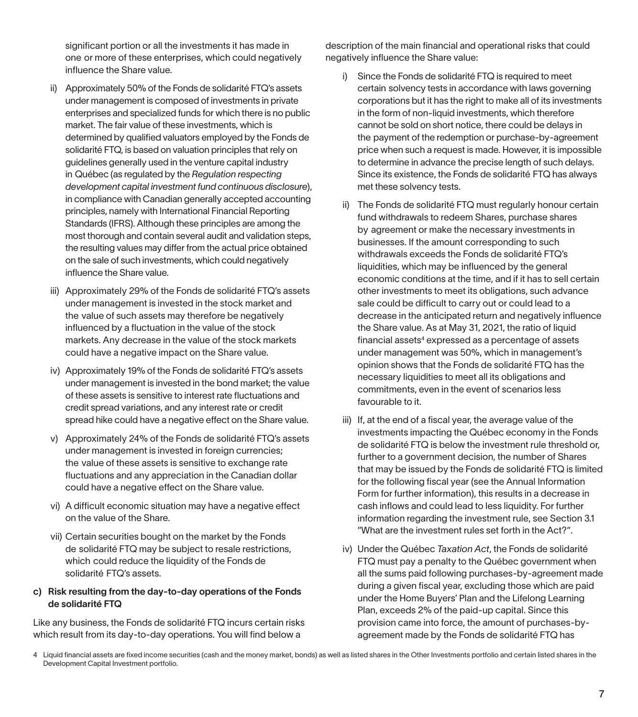significant portion or all the investments it has made in one or more of these enterprises, which could negatively influence the Share value.

- ii) Approximately 50% of the Fonds de solidarité FTQ's assets under management is composed of investments in private enterprises and specialized funds for which there is no public market. The fair value of these investments, which is determined by qualified valuators employed by the Fonds de solidarité FTQ, is based on valuation principles that rely on guidelines generally used in the venture capital industry in Québec (as regulated by the *Regulation respecting development capital investment fund continuous disclosure*), in compliance with Canadian generally accepted accounting principles, namely with International Financial Reporting Standards (IFRS). Although these principles are among the most thorough and contain several audit and validation steps, the resulting values may differ from the actual price obtained on the sale of such investments, which could negatively influence the Share value.
- iii) Approximately 29% of the Fonds de solidarité FTQ's assets under management is invested in the stock market and the value of such assets may therefore be negatively influenced by a fluctuation in the value of the stock markets. Any decrease in the value of the stock markets could have a negative impact on the Share value.
- iv) Approximately 19% of the Fonds de solidarité FTQ's assets under management is invested in the bond market; the value of these assets is sensitive to interest rate fluctuations and credit spread variations, and any interest rate or credit spread hike could have a negative effect on the Share value.
- v) Approximately 24% of the Fonds de solidarité FTQ's assets under management is invested in foreign currencies: the value of these assets is sensitive to exchange rate fluctuations and any appreciation in the Canadian dollar could have a negative effect on the Share value.
- vi) A difficult economic situation may have a negative effect on the value of the Share.
- vii) Certain securities bought on the market by the Fonds de solidarité FTQ may be subject to resale restrictions, which could reduce the liquidity of the Fonds de solidarité FTQ's assets.

#### c) Risk resulting from the day-to-day operations of the Fonds de solidarité FTQ

Like any business, the Fonds de solidarité FTQ incurs certain risks which result from its day-to-day operations. You will find below a

description of the main financial and operational risks that could negatively influence the Share value:

- i) Since the Fonds de solidarité FTQ is required to meet certain solvency tests in accordance with laws governing corporations but it has the right to make all of its investments in the form of non-liquid investments, which therefore cannot be sold on short notice, there could be delays in the payment of the redemption or purchase-by-agreement price when such a request is made. However, it is impossible to determine in advance the precise length of such delays. Since its existence, the Fonds de solidarité FTQ has always met these solvency tests.
- ii) The Fonds de solidarité FTQ must regularly honour certain fund withdrawals to redeem Shares, purchase shares by agreement or make the necessary investments in businesses. If the amount corresponding to such withdrawals exceeds the Fonds de solidarité FTQ's liquidities, which may be influenced by the general economic conditions at the time, and if it has to sell certain other investments to meet its obligations, such advance sale could be difficult to carry out or could lead to a decrease in the anticipated return and negatively influence the Share value. As at May 31, 2021, the ratio of liquid financial assets<sup>4</sup> expressed as a percentage of assets under management was 50%, which in management's opinion shows that the Fonds de solidarité FTQ has the necessary liquidities to meet all its obligations and commitments, even in the event of scenarios less favourable to it.
- iii) If, at the end of a fiscal year, the average value of the investments impacting the Québec economy in the Fonds de solidarité FTQ is below the investment rule threshold or, further to a government decision, the number of Shares that may be issued by the Fonds de solidarité FTQ is limited for the following fiscal year (see the Annual Information Form for further information), this results in a decrease in cash inflows and could lead to less liquidity. For further information regarding the investment rule, see Section 3.1 "What are the investment rules set forth in the Act?".
- iv) Under the Québec *Taxation Act*, the Fonds de solidarité FTQ must pay a penalty to the Québec government when all the sums paid following purchases-by-agreement made during a given fiscal year, excluding those which are paid under the Home Buyers' Plan and the Lifelong Learning Plan, exceeds 2% of the paid-up capital. Since this provision came into force, the amount of purchases-byagreement made by the Fonds de solidarité FTQ has

<sup>4</sup> Liquid financial assets are fixed income securities (cash and the money market, bonds) as well as listed shares in the Other Investments portfolio and certain listed shares in the Development Capital Investment portfolio.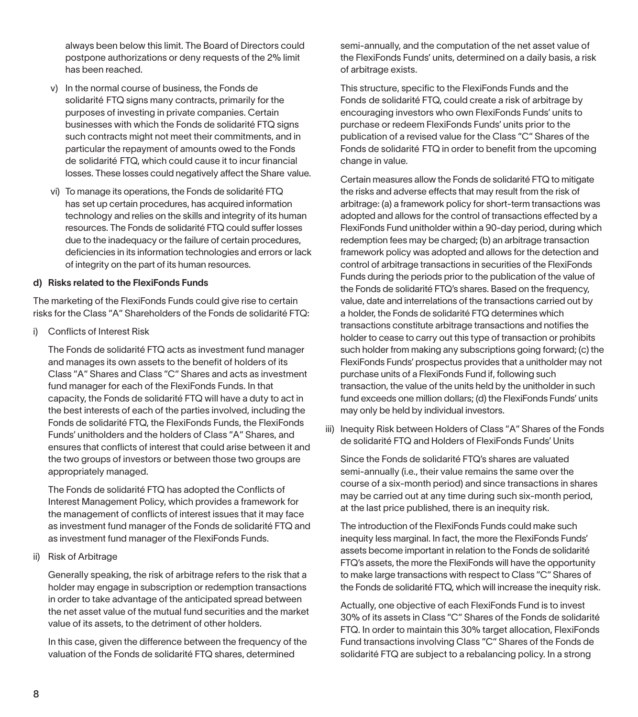always been below this limit. The Board of Directors could postpone authorizations or deny requests of the 2% limit has been reached.

- v) In the normal course of business, the Fonds de solidarité FTQ signs many contracts, primarily for the purposes of investing in private companies. Certain businesses with which the Fonds de solidarité FTQ signs such contracts might not meet their commitments, and in particular the repayment of amounts owed to the Fonds de solidarité FTQ, which could cause it to incur financial losses. These losses could negatively affect the Share value.
- vi) To manage its operations, the Fonds de solidarité FTQ has set up certain procedures, has acquired information technology and relies on the skills and integrity of its human resources. The Fonds de solidarité FTQ could suffer losses due to the inadequacy or the failure of certain procedures, deficiencies in its information technologies and errors or lack of integrity on the part of its human resources.

#### d) Risks related to the FlexiFonds Funds

The marketing of the FlexiFonds Funds could give rise to certain risks for the Class "A" Shareholders of the Fonds de solidarité FTQ:

i) Conflicts of Interest Risk

The Fonds de solidarité FTQ acts as investment fund manager and manages its own assets to the benefit of holders of its Class "A" Shares and Class "C" Shares and acts as investment fund manager for each of the FlexiFonds Funds. In that capacity, the Fonds de solidarité FTQ will have a duty to act in the best interests of each of the parties involved, including the Fonds de solidarité FTQ, the FlexiFonds Funds, the FlexiFonds Funds' unitholders and the holders of Class "A" Shares, and ensures that conflicts of interest that could arise between it and the two groups of investors or between those two groups are appropriately managed.

The Fonds de solidarité FTQ has adopted the Conflicts of Interest Management Policy, which provides a framework for the management of conflicts of interest issues that it may face as investment fund manager of the Fonds de solidarité FTQ and as investment fund manager of the FlexiFonds Funds.

ii) Risk of Arbitrage

Generally speaking, the risk of arbitrage refers to the risk that a holder may engage in subscription or redemption transactions in order to take advantage of the anticipated spread between the net asset value of the mutual fund securities and the market value of its assets, to the detriment of other holders.

In this case, given the difference between the frequency of the valuation of the Fonds de solidarité FTQ shares, determined

semi-annually, and the computation of the net asset value of the FlexiFonds Funds' units, determined on a daily basis, a risk of arbitrage exists.

This structure, specific to the FlexiFonds Funds and the Fonds de solidarité FTQ, could create a risk of arbitrage by encouraging investors who own FlexiFonds Funds' units to purchase or redeem FlexiFonds Funds' units prior to the publication of a revised value for the Class "C" Shares of the Fonds de solidarité FTQ in order to benefit from the upcoming change in value.

Certain measures allow the Fonds de solidarité FTQ to mitigate the risks and adverse effects that may result from the risk of arbitrage: (a) a framework policy for short-term transactions was adopted and allows for the control of transactions effected by a FlexiFonds Fund unitholder within a 90-day period, during which redemption fees may be charged; (b) an arbitrage transaction framework policy was adopted and allows for the detection and control of arbitrage transactions in securities of the FlexiFonds Funds during the periods prior to the publication of the value of the Fonds de solidarité FTQ's shares. Based on the frequency, value, date and interrelations of the transactions carried out by a holder, the Fonds de solidarité FTQ determines which transactions constitute arbitrage transactions and notifies the holder to cease to carry out this type of transaction or prohibits such holder from making any subscriptions going forward; (c) the FlexiFonds Funds' prospectus provides that a unitholder may not purchase units of a FlexiFonds Fund if, following such transaction, the value of the units held by the unitholder in such fund exceeds one million dollars; (d) the FlexiFonds Funds' units may only be held by individual investors.

iii) Inequity Risk between Holders of Class "A" Shares of the Fonds de solidarité FTQ and Holders of FlexiFonds Funds' Units

Since the Fonds de solidarité FTQ's shares are valuated semi-annually (i.e., their value remains the same over the course of a six-month period) and since transactions in shares may be carried out at any time during such six-month period, at the last price published, there is an inequity risk.

The introduction of the FlexiFonds Funds could make such inequity less marginal. In fact, the more the FlexiFonds Funds' assets become important in relation to the Fonds de solidarité FTQ's assets, the more the FlexiFonds will have the opportunity to make large transactions with respect to Class "C" Shares of the Fonds de solidarité FTQ, which will increase the inequity risk.

Actually, one objective of each FlexiFonds Fund is to invest 30% of its assets in Class "C" Shares of the Fonds de solidarité FTQ. In order to maintain this 30% target allocation, FlexiFonds Fund transactions involving Class "C" Shares of the Fonds de solidarité FTQ are subject to a rebalancing policy. In a strong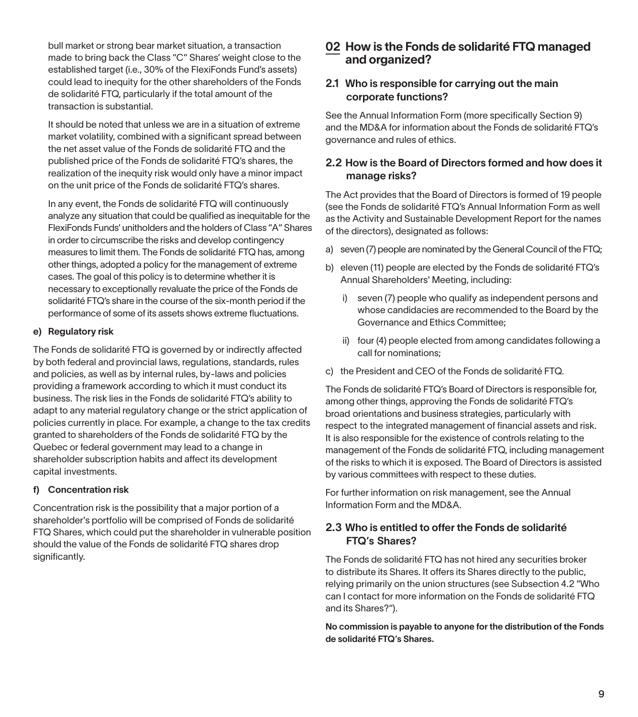bull market or strong bear market situation, a transaction made to bring back the Class "C" Shares' weight close to the established target (i.e., 30% of the FlexiFonds Fund's assets) could lead to inequity for the other shareholders of the Fonds de solidarité FTQ, particularly if the total amount of the transaction is substantial.

It should be noted that unless we are in a situation of extreme market volatility, combined with a significant spread between the net asset value of the Fonds de solidarité FTQ and the published price of the Fonds de solidarité FTQ's shares, the realization of the inequity risk would only have a minor impact on the unit price of the Fonds de solidarité FTQ's shares.

In any event, the Fonds de solidarité FTQ will continuously analyze any situation that could be qualified as inequitable for the FlexiFonds Funds' unitholders and the holders of Class "A" Shares in order to circumscribe the risks and develop contingency measures to limit them. The Fonds de solidarité FTQ has, among other things, adopted a policy for the management of extreme cases. The goal of this policy is to determine whether it is necessary to exceptionally revaluate the price of the Fonds de solidarité FTQ's share in the course of the six-month period if the performance of some of its assets shows extreme fluctuations.

#### e) Regulatory risk

The Fonds de solidarité FTQ is governed by or indirectly affected by both federal and provincial laws, regulations, standards, rules and policies, as well as by internal rules, by-laws and policies providing a framework according to which it must conduct its business. The risk lies in the Fonds de solidarité FTQ's ability to adapt to any material regulatory change or the strict application of policies currently in place. For example, a change to the tax credits granted to shareholders of the Fonds de solidarité FTQ by the Quebec or federal government may lead to a change in shareholder subscription habits and affect its development capital investments.

#### f) Concentration risk

Concentration risk is the possibility that a major portion of a shareholder's portfolio will be comprised of Fonds de solidarité FTQ Shares, which could put the shareholder in vulnerable position should the value of the Fonds de solidarité FTQ shares drop significantly.

## 02 How is the Fonds de solidarité FTQ managed and organized?

#### 2.1 Who is responsible for carrying out the main corporate functions?

See the Annual Information Form (more specifically Section 9) and the MD&A for information about the Fonds de solidarité FTQ's governance and rules of ethics.

#### 2.2 How is the Board of Directors formed and how does it manage risks?

The Act provides that the Board of Directors is formed of 19 people (see the Fonds de solidarité FTQ's Annual Information Form as well as the Activity and Sustainable Development Report for the names of the directors), designated as follows:

- a) seven (7) people are nominated by the General Council of the FTQ;
- b) eleven (11) people are elected by the Fonds de solidarité FTQ's Annual Shareholders' Meeting, including:
	- i) seven (7) people who qualify as independent persons and whose candidacies are recommended to the Board by the Governance and Ethics Committee;
	- ii) four (4) people elected from among candidates following a call for nominations;
- c) the President and CEO of the Fonds de solidarité FTQ.

The Fonds de solidarité FTQ's Board of Directors is responsible for, among other things, approving the Fonds de solidarité FTQ's broad orientations and business strategies, particularly with respect to the integrated management of financial assets and risk. It is also responsible for the existence of controls relating to the management of the Fonds de solidarité FTQ, including management of the risks to which it is exposed. The Board of Directors is assisted by various committees with respect to these duties.

For further information on risk management, see the Annual Information Form and the MD&A.

#### 2.3 Who is entitled to offer the Fonds de solidarité FTQ's Shares?

The Fonds de solidarité FTQ has not hired any securities broker to distribute its Shares. It offers its Shares directly to the public, relying primarily on the union structures (see Subsection 4.2 "Who can I contact for more information on the Fonds de solidarité FTQ and its Shares?").

No commission is payable to anyone for the distribution of the Fonds de solidarité FTQ's Shares.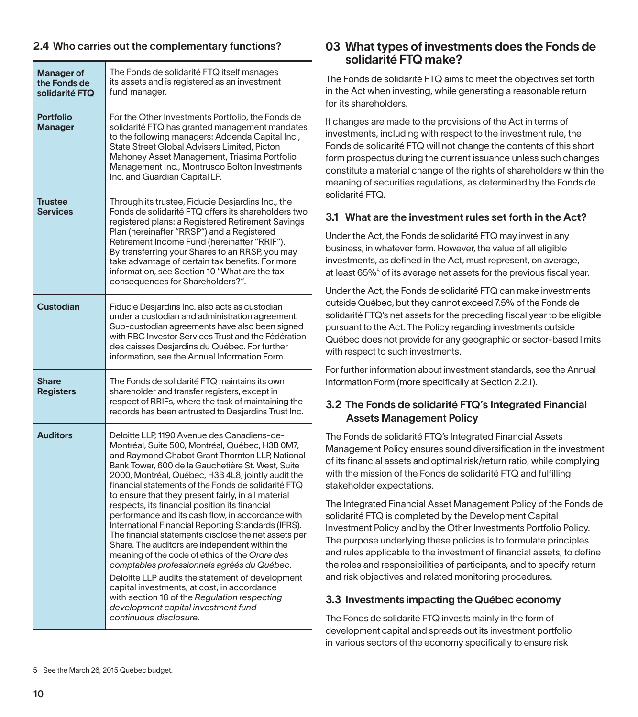#### 2.4 Who carries out the complementary functions?

| Manager of<br>the Fonds de<br>solidarité FTQ | The Fonds de solidarité FTQ itself manages<br>its assets and is registered as an investment<br>fund manager.                                                                                                                                                                                                                                                                                                                                                                                                                                                                                                                                                                                                                                                                                                                                                                                                                                                            |
|----------------------------------------------|-------------------------------------------------------------------------------------------------------------------------------------------------------------------------------------------------------------------------------------------------------------------------------------------------------------------------------------------------------------------------------------------------------------------------------------------------------------------------------------------------------------------------------------------------------------------------------------------------------------------------------------------------------------------------------------------------------------------------------------------------------------------------------------------------------------------------------------------------------------------------------------------------------------------------------------------------------------------------|
| <b>Portfolio</b><br><b>Manager</b>           | For the Other Investments Portfolio, the Fonds de<br>solidarité FTQ has granted management mandates<br>to the following managers: Addenda Capital Inc.,<br>State Street Global Advisers Limited, Picton<br>Mahoney Asset Management, Triasima Portfolio<br>Management Inc., Montrusco Bolton Investments<br>Inc. and Guardian Capital LP.                                                                                                                                                                                                                                                                                                                                                                                                                                                                                                                                                                                                                               |
| <b>Trustee</b><br><b>Services</b>            | Through its trustee, Fiducie Desjardins Inc., the<br>Fonds de solidarité FTQ offers its shareholders two<br>registered plans: a Registered Retirement Savings<br>Plan (hereinafter "RRSP") and a Registered<br>Retirement Income Fund (hereinafter "RRIF").<br>By transferring your Shares to an RRSP, you may<br>take advantage of certain tax benefits. For more<br>information, see Section 10 "What are the tax<br>consequences for Shareholders?".                                                                                                                                                                                                                                                                                                                                                                                                                                                                                                                 |
| <b>Custodian</b>                             | Fiducie Desjardins Inc. also acts as custodian<br>under a custodian and administration agreement.<br>Sub-custodian agreements have also been signed<br>with RBC Investor Services Trust and the Fédération<br>des caisses Desjardins du Québec. For further<br>information, see the Annual Information Form.                                                                                                                                                                                                                                                                                                                                                                                                                                                                                                                                                                                                                                                            |
| <b>Share</b><br><b>Registers</b>             | The Fonds de solidarité FTQ maintains its own<br>shareholder and transfer registers, except in<br>respect of RRIFs, where the task of maintaining the<br>records has been entrusted to Desiardins Trust Inc.                                                                                                                                                                                                                                                                                                                                                                                                                                                                                                                                                                                                                                                                                                                                                            |
| <b>Auditors</b>                              | Deloitte LLP, 1190 Avenue des Canadiens-de-<br>Montréal, Suite 500, Montréal, Québec, H3B 0M7,<br>and Raymond Chabot Grant Thornton LLP, National<br>Bank Tower, 600 de la Gauchetière St. West, Suite<br>2000, Montréal, Québec, H3B 4L8, jointly audit the<br>financial statements of the Fonds de solidarité FTQ<br>to ensure that they present fairly, in all material<br>respects, its financial position its financial<br>performance and its cash flow, in accordance with<br>International Financial Reporting Standards (IFRS).<br>The financial statements disclose the net assets per<br>Share. The auditors are independent within the<br>meaning of the code of ethics of the Ordre des<br>comptables professionnels agréés du Québec.<br>Deloitte LLP audits the statement of development<br>capital investments, at cost, in accordance<br>with section 18 of the Regulation respecting<br>development capital investment fund<br>continuous disclosure. |

## 03 What types of investments does the Fonds de solidarité FTQ make?

The Fonds de solidarité FTQ aims to meet the objectives set forth in the Act when investing, while generating a reasonable return for its shareholders.

If changes are made to the provisions of the Act in terms of investments, including with respect to the investment rule, the Fonds de solidarité FTQ will not change the contents of this short form prospectus during the current issuance unless such changes constitute a material change of the rights of shareholders within the meaning of securities regulations, as determined by the Fonds de solidarité FTQ.

## 3.1 What are the investment rules set forth in the Act?

Under the Act, the Fonds de solidarité FTQ may invest in any business, in whatever form. However, the value of all eligible investments, as defined in the Act, must represent, on average, at least 65%<sup>5</sup> of its average net assets for the previous fiscal year.

Under the Act, the Fonds de solidarité FTQ can make investments outside Québec, but they cannot exceed 7.5% of the Fonds de solidarité FTQ's net assets for the preceding fiscal year to be eligible pursuant to the Act. The Policy regarding investments outside Québec does not provide for any geographic or sector-based limits with respect to such investments.

For further information about investment standards, see the Annual Information Form (more specifically at Section 2.2.1).

## 3.2 The Fonds de solidarité FTQ's Integrated Financial Assets Management Policy

The Fonds de solidarité FTQ's Integrated Financial Assets Management Policy ensures sound diversification in the investment of its financial assets and optimal risk/return ratio, while complying with the mission of the Fonds de solidarité FTQ and fulfilling stakeholder expectations.

The Integrated Financial Asset Management Policy of the Fonds de solidarité FTQ is completed by the Development Capital Investment Policy and by the Other Investments Portfolio Policy. The purpose underlying these policies is to formulate principles and rules applicable to the investment of financial assets, to define the roles and responsibilities of participants, and to specify return and risk objectives and related monitoring procedures.

#### 3.3 Investments impacting the Québec economy

The Fonds de solidarité FTQ invests mainly in the form of development capital and spreads out its investment portfolio in various sectors of the economy specifically to ensure risk

<sup>5</sup> See the March 26, 2015 Québec budget.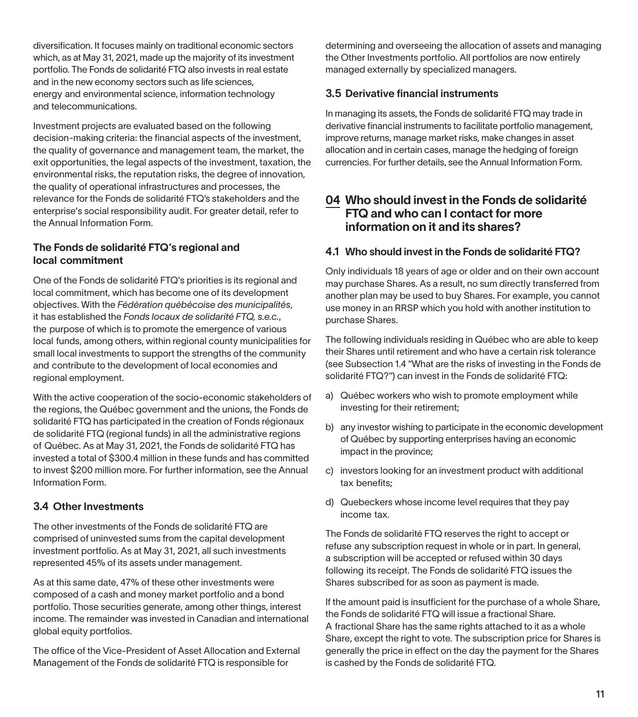diversification. It focuses mainly on traditional economic sectors which, as at May 31, 2021, made up the majority of its investment portfolio. The Fonds de solidarité FTQ also invests in real estate and in the new economy sectors such as life sciences, energy and environmental science, information technology and telecommunications.

Investment projects are evaluated based on the following decision-making criteria: the financial aspects of the investment, the quality of governance and management team, the market, the exit opportunities, the legal aspects of the investment, taxation, the environmental risks, the reputation risks, the degree of innovation, the quality of operational infrastructures and processes, the relevance for the Fonds de solidarité FTQ's stakeholders and the enterprise's social responsibility audit. For greater detail, refer to the Annual Information Form.

#### The Fonds de solidarité FTQ's regional and local commitment

One of the Fonds de solidarité FTQ's priorities is its regional and local commitment, which has become one of its development objectives. With the *Fédération québécoise des municipalités*, it has established the *Fonds locaux de solidarité FTQ, s.e.c.*, the purpose of which is to promote the emergence of various local funds, among others, within regional county municipalities for small local investments to support the strengths of the community and contribute to the development of local economies and regional employment.

With the active cooperation of the socio-economic stakeholders of the regions, the Québec government and the unions, the Fonds de solidarité FTQ has participated in the creation of Fonds régionaux de solidarité FTQ (regional funds) in all the administrative regions of Québec. As at May 31, 2021, the Fonds de solidarité FTQ has invested a total of \$300.4 million in these funds and has committed to invest \$200 million more. For further information, see the Annual Information Form.

#### 3.4 Other Investments

The other investments of the Fonds de solidarité FTQ are comprised of uninvested sums from the capital development investment portfolio. As at May 31, 2021, all such investments represented 45% of its assets under management.

As at this same date, 47% of these other investments were composed of a cash and money market portfolio and a bond portfolio. Those securities generate, among other things, interest income. The remainder was invested in Canadian and international global equity portfolios.

The office of the Vice-President of Asset Allocation and External Management of the Fonds de solidarité FTQ is responsible for

determining and overseeing the allocation of assets and managing the Other Investments portfolio. All portfolios are now entirely managed externally by specialized managers.

#### 3.5 Derivative financial instruments

In managing its assets, the Fonds de solidarité FTQ may trade in derivative financial instruments to facilitate portfolio management, improve returns, manage market risks, make changes in asset allocation and in certain cases, manage the hedging of foreign currencies. For further details, see the Annual Information Form.

### 04 Who should invest in the Fonds de solidarité FTQ and who can I contact for more information on it and its shares?

#### 4.1 Who should invest in the Fonds de solidarité FTQ?

Only individuals 18 years of age or older and on their own account may purchase Shares. As a result, no sum directly transferred from another plan may be used to buy Shares. For example, you cannot use money in an RRSP which you hold with another institution to purchase Shares.

The following individuals residing in Québec who are able to keep their Shares until retirement and who have a certain risk tolerance (see Subsection 1.4 "What are the risks of investing in the Fonds de solidarité FTQ?") can invest in the Fonds de solidarité FTQ:

- a) Québec workers who wish to promote employment while investing for their retirement;
- b) any investor wishing to participate in the economic development of Québec by supporting enterprises having an economic impact in the province;
- c) investors looking for an investment product with additional tax benefits;
- d) Quebeckers whose income level requires that they pay income tax.

The Fonds de solidarité FTQ reserves the right to accept or refuse any subscription request in whole or in part. In general, a subscription will be accepted or refused within 30 days following its receipt. The Fonds de solidarité FTQ issues the Shares subscribed for as soon as payment is made.

If the amount paid is insufficient for the purchase of a whole Share, the Fonds de solidarité FTQ will issue a fractional Share. A fractional Share has the same rights attached to it as a whole Share, except the right to vote. The subscription price for Shares is generally the price in effect on the day the payment for the Shares is cashed by the Fonds de solidarité FTQ.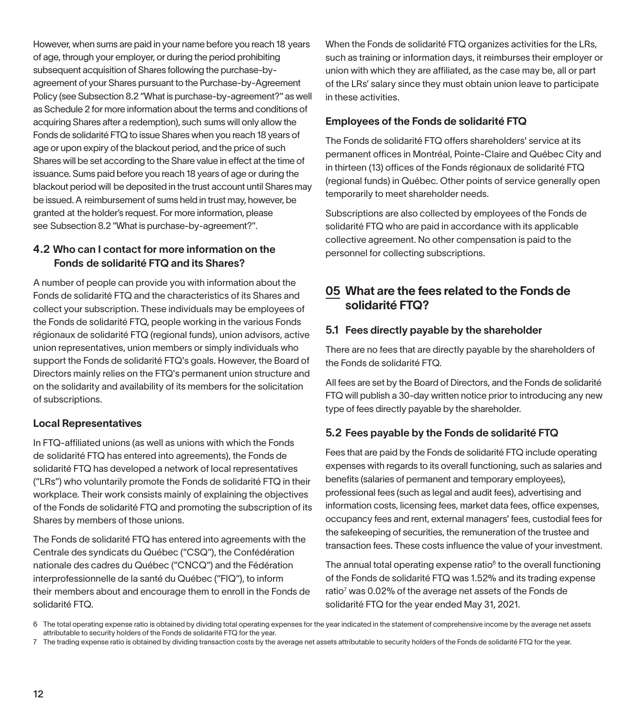However, when sums are paid in your name before you reach 18 years of age, through your employer, or during the period prohibiting subsequent acquisition of Shares following the purchase-byagreement of your Shares pursuant to the Purchase-by-Agreement Policy (see Subsection 8.2 "What is purchase-by-agreement?" as well as Schedule 2 for more information about the terms and conditions of acquiring Shares after a redemption), such sums will only allow the Fonds de solidarité FTQ to issue Shares when you reach 18 years of age or upon expiry of the blackout period, and the price of such Shares will be set according to the Share value in effect at the time of issuance. Sums paid before you reach 18 years of age or during the blackout period will be deposited in the trust account until Shares may be issued. A reimbursement of sums held in trust may, however, be granted at the holder's request. For more information, please see Subsection 8.2 "What is purchase-by-agreement?".

### 4.2 Who can I contact for more information on the Fonds de solidarité FTQ and its Shares?

A number of people can provide you with information about the Fonds de solidarité FTQ and the characteristics of its Shares and collect your subscription. These individuals may be employees of the Fonds de solidarité FTQ, people working in the various Fonds régionaux de solidarité FTQ (regional funds), union advisors, active union representatives, union members or simply individuals who support the Fonds de solidarité FTQ's goals. However, the Board of Directors mainly relies on the FTQ's permanent union structure and on the solidarity and availability of its members for the solicitation of subscriptions.

#### Local Representatives

In FTQ-affiliated unions (as well as unions with which the Fonds de solidarité FTQ has entered into agreements), the Fonds de solidarité FTQ has developed a network of local representatives ("LRs") who voluntarily promote the Fonds de solidarité FTQ in their workplace. Their work consists mainly of explaining the objectives of the Fonds de solidarité FTQ and promoting the subscription of its Shares by members of those unions.

The Fonds de solidarité FTQ has entered into agreements with the Centrale des syndicats du Québec ("CSQ"), the Confédération nationale des cadres du Québec ("CNCQ") and the Fédération interprofessionnelle de la santé du Québec ("FIQ"), to inform their members about and encourage them to enroll in the Fonds de solidarité FTQ.

When the Fonds de solidarité FTQ organizes activities for the LRs, such as training or information days, it reimburses their employer or union with which they are affiliated, as the case may be, all or part of the LRs' salary since they must obtain union leave to participate in these activities.

## Employees of the Fonds de solidarité FTQ

The Fonds de solidarité FTQ offers shareholders' service at its permanent offices in Montréal, Pointe-Claire and Québec City and in thirteen (13) offices of the Fonds régionaux de solidarité FTQ (regional funds) in Québec. Other points of service generally open temporarily to meet shareholder needs.

Subscriptions are also collected by employees of the Fonds de solidarité FTQ who are paid in accordance with its applicable collective agreement. No other compensation is paid to the personnel for collecting subscriptions.

# 05 What are the fees related to the Fonds de solidarité FTQ?

## 5.1 Fees directly payable by the shareholder

There are no fees that are directly payable by the shareholders of the Fonds de solidarité FTQ.

All fees are set by the Board of Directors, and the Fonds de solidarité FTQ will publish a 30-day written notice prior to introducing any new type of fees directly payable by the shareholder.

## 5.2 Fees payable by the Fonds de solidarité FTQ

Fees that are paid by the Fonds de solidarité FTQ include operating expenses with regards to its overall functioning, such as salaries and benefits (salaries of permanent and temporary employees), professional fees (such as legal and audit fees), advertising and information costs, licensing fees, market data fees, office expenses, occupancy fees and rent, external managers' fees, custodial fees for the safekeeping of securities, the remuneration of the trustee and transaction fees. These costs influence the value of your investment.

The annual total operating expense ratio $6$  to the overall functioning of the Fonds de solidarité FTQ was 1.52% and its trading expense ratio<sup>7</sup> was 0.02% of the average net assets of the Fonds de solidarité FTQ for the year ended May 31, 2021.

<sup>6</sup> The total operating expense ratio is obtained by dividing total operating expenses for the year indicated in the statement of comprehensive income by the average net assets attributable to security holders of the Fonds de solidarité FTQ for the year.

<sup>7</sup> The trading expense ratio is obtained by dividing transaction costs by the average net assets attributable to security holders of the Fonds de solidarité FTQ for the year.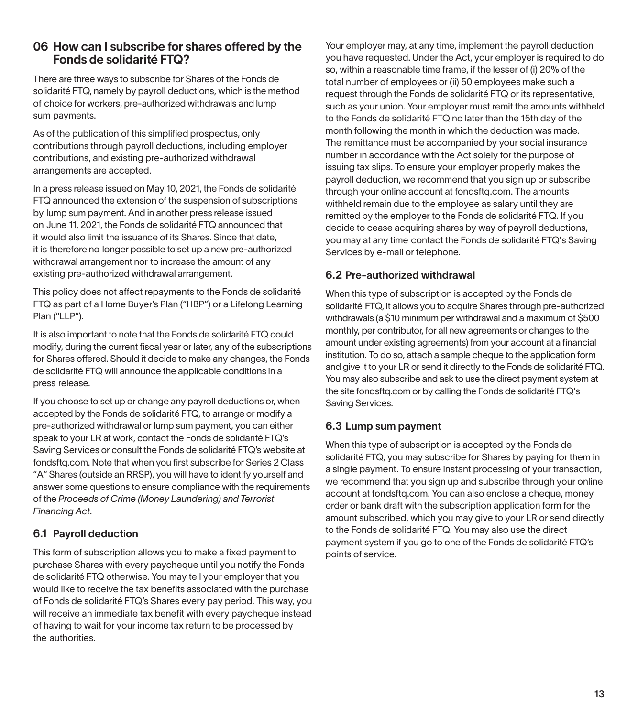## 06 How can I subscribe for shares offered by the Fonds de solidarité FTQ?

There are three ways to subscribe for Shares of the Fonds de solidarité FTQ, namely by payroll deductions, which is the method of choice for workers, pre-authorized withdrawals and lump sum payments.

As of the publication of this simplified prospectus, only contributions through payroll deductions, including employer contributions, and existing pre-authorized withdrawal arrangements are accepted.

In a press release issued on May 10, 2021, the Fonds de solidarité FTQ announced the extension of the suspension of subscriptions by lump sum payment. And in another press release issued on June 11, 2021, the Fonds de solidarité FTQ announced that it would also limit the issuance of its Shares. Since that date, it is therefore no longer possible to set up a new pre-authorized withdrawal arrangement nor to increase the amount of any existing pre-authorized withdrawal arrangement.

This policy does not affect repayments to the Fonds de solidarité FTQ as part of a Home Buyer's Plan ("HBP") or a Lifelong Learning Plan ("LLP").

It is also important to note that the Fonds de solidarité FTQ could modify, during the current fiscal year or later, any of the subscriptions for Shares offered. Should it decide to make any changes, the Fonds de solidarité FTQ will announce the applicable conditions in a press release.

If you choose to set up or change any payroll deductions or, when accepted by the Fonds de solidarité FTQ, to arrange or modify a pre-authorized withdrawal or lump sum payment, you can either speak to your LR at work, contact the Fonds de solidarité FTQ's Saving Services or consult the Fonds de solidarité FTQ's website at fondsftq.com. Note that when you first subscribe for Series 2 Class "A" Shares (outside an RRSP), you will have to identify yourself and answer some questions to ensure compliance with the requirements of the *Proceeds of Crime (Money Laundering) and Terrorist Financing Act*.

#### 6.1 Payroll deduction

This form of subscription allows you to make a fixed payment to purchase Shares with every paycheque until you notify the Fonds de solidarité FTQ otherwise. You may tell your employer that you would like to receive the tax benefits associated with the purchase of Fonds de solidarité FTQ's Shares every pay period. This way, you will receive an immediate tax benefit with every paycheque instead of having to wait for your income tax return to be processed by the authorities.

Your employer may, at any time, implement the payroll deduction you have requested. Under the Act, your employer is required to do so, within a reasonable time frame, if the lesser of (i) 20% of the total number of employees or (ii) 50 employees make such a request through the Fonds de solidarité FTQ or its representative, such as your union. Your employer must remit the amounts withheld to the Fonds de solidarité FTQ no later than the 15th day of the month following the month in which the deduction was made. The remittance must be accompanied by your social insurance number in accordance with the Act solely for the purpose of issuing tax slips. To ensure your employer properly makes the payroll deduction, we recommend that you sign up or subscribe through your online account at fondsftq.com. The amounts withheld remain due to the employee as salary until they are remitted by the employer to the Fonds de solidarité FTQ. If you decide to cease acquiring shares by way of payroll deductions, you may at any time contact the Fonds de solidarité FTQ's Saving Services by e-mail or telephone.

#### 6.2 Pre-authorized withdrawal

When this type of subscription is accepted by the Fonds de solidarité FTQ, it allows you to acquire Shares through pre-authorized withdrawals (a \$10 minimum per withdrawal and a maximum of \$500 monthly, per contributor, for all new agreements or changes to the amount under existing agreements) from your account at a financial institution. To do so, attach a sample cheque to the application form and give it to your LR or send it directly to the Fonds de solidarité FTQ. You may also subscribe and ask to use the direct payment system at the site fondsftq.com or by calling the Fonds de solidarité FTQ's Saving Services.

#### 6.3 Lump sum payment

When this type of subscription is accepted by the Fonds de solidarité FTQ, you may subscribe for Shares by paying for them in a single payment. To ensure instant processing of your transaction, we recommend that you sign up and subscribe through your online account at fondsftg.com. You can also enclose a cheque, money order or bank draft with the subscription application form for the amount subscribed, which you may give to your LR or send directly to the Fonds de solidarité FTQ. You may also use the direct payment system if you go to one of the Fonds de solidarité FTQ's points of service.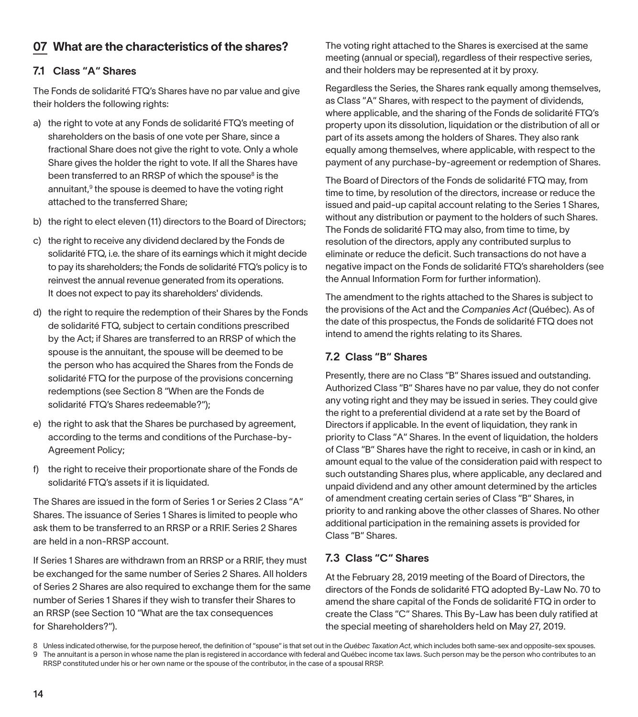# 07 What are the characteristics of the shares?

#### 7.1 Class "A" Shares

The Fonds de solidarité FTQ's Shares have no par value and give their holders the following rights:

- a) the right to vote at any Fonds de solidarité FTQ's meeting of shareholders on the basis of one vote per Share, since a fractional Share does not give the right to vote. Only a whole Share gives the holder the right to vote. If all the Shares have been transferred to an RRSP of which the spouse<sup>8</sup> is the annuitant, $9$  the spouse is deemed to have the voting right attached to the transferred Share;
- b) the right to elect eleven (11) directors to the Board of Directors;
- c) the right to receive any dividend declared by the Fonds de solidarité FTQ, i.e. the share of its earnings which it might decide to pay its shareholders; the Fonds de solidarité FTQ's policy is to reinvest the annual revenue generated from its operations. It does not expect to pay its shareholders' dividends.
- d) the right to require the redemption of their Shares by the Fonds de solidarité FTQ, subject to certain conditions prescribed by the Act; if Shares are transferred to an RRSP of which the spouse is the annuitant, the spouse will be deemed to be the person who has acquired the Shares from the Fonds de solidarité FTQ for the purpose of the provisions concerning redemptions (see Section 8 "When are the Fonds de solidarité FTQ's Shares redeemable?");
- e) the right to ask that the Shares be purchased by agreement, according to the terms and conditions of the Purchase-by-Agreement Policy;
- f) the right to receive their proportionate share of the Fonds de solidarité FTQ's assets if it is liquidated.

The Shares are issued in the form of Series 1 or Series 2 Class "A" Shares. The issuance of Series 1 Shares is limited to people who ask them to be transferred to an RRSP or a RRIF. Series 2 Shares are held in a non-RRSP account.

If Series 1 Shares are withdrawn from an RRSP or a RRIF, they must be exchanged for the same number of Series 2 Shares. All holders of Series 2 Shares are also required to exchange them for the same number of Series 1 Shares if they wish to transfer their Shares to an RRSP (see Section 10 "What are the tax consequences for Shareholders?").

The voting right attached to the Shares is exercised at the same meeting (annual or special), regardless of their respective series, and their holders may be represented at it by proxy.

Regardless the Series, the Shares rank equally among themselves, as Class "A" Shares, with respect to the payment of dividends, where applicable, and the sharing of the Fonds de solidarité FTQ's property upon its dissolution, liquidation or the distribution of all or part of its assets among the holders of Shares. They also rank equally among themselves, where applicable, with respect to the payment of any purchase-by-agreement or redemption of Shares.

The Board of Directors of the Fonds de solidarité FTQ may, from time to time, by resolution of the directors, increase or reduce the issued and paid-up capital account relating to the Series 1 Shares, without any distribution or payment to the holders of such Shares. The Fonds de solidarité FTQ may also, from time to time, by resolution of the directors, apply any contributed surplus to eliminate or reduce the deficit. Such transactions do not have a negative impact on the Fonds de solidarité FTQ's shareholders (see the Annual Information Form for further information).

The amendment to the rights attached to the Shares is subject to the provisions of the Act and the *Companies Act* (Québec). As of the date of this prospectus, the Fonds de solidarité FTQ does not intend to amend the rights relating to its Shares.

#### 7.2 Class "B" Shares

Presently, there are no Class "B" Shares issued and outstanding. Authorized Class "B" Shares have no par value, they do not confer any voting right and they may be issued in series. They could give the right to a preferential dividend at a rate set by the Board of Directors if applicable. In the event of liquidation, they rank in priority to Class "A" Shares. In the event of liquidation, the holders of Class "B" Shares have the right to receive, in cash or in kind, an amount equal to the value of the consideration paid with respect to such outstanding Shares plus, where applicable, any declared and unpaid dividend and any other amount determined by the articles of amendment creating certain series of Class "B" Shares, in priority to and ranking above the other classes of Shares. No other additional participation in the remaining assets is provided for Class "B" Shares.

#### 7.3 Class "C" Shares

At the February 28, 2019 meeting of the Board of Directors, the directors of the Fonds de solidarité FTQ adopted By-Law No. 70 to amend the share capital of the Fonds de solidarité FTQ in order to create the Class "C" Shares. This By-Law has been duly ratified at the special meeting of shareholders held on May 27, 2019.

<sup>8</sup> Unless indicated otherwise, for the purpose hereof, the definition of "spouse" is that set out in the *Québec Taxation Act*, which includes both same-sex and opposite-sex spouses. 9 The annuitant is a person in whose name the plan is registered in accordance with federal and Québec income tax laws. Such person may be the person who contributes to an RRSP constituted under his or her own name or the spouse of the contributor, in the case of a spousal RRSP.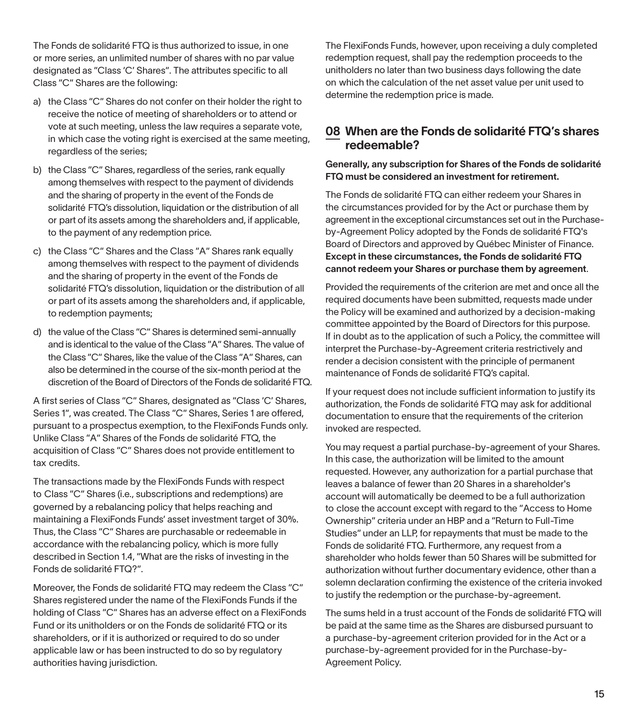The Fonds de solidarité FTQ is thus authorized to issue, in one or more series, an unlimited number of shares with no par value designated as "Class 'C' Shares". The attributes specific to all Class "C" Shares are the following:

- a) the Class "C" Shares do not confer on their holder the right to receive the notice of meeting of shareholders or to attend or vote at such meeting, unless the law requires a separate vote, in which case the voting right is exercised at the same meeting, regardless of the series;
- b) the Class "C" Shares, regardless of the series, rank equally among themselves with respect to the payment of dividends and the sharing of property in the event of the Fonds de solidarité FTQ's dissolution, liquidation or the distribution of all or part of its assets among the shareholders and, if applicable, to the payment of any redemption price.
- c) the Class "C" Shares and the Class "A" Shares rank equally among themselves with respect to the payment of dividends and the sharing of property in the event of the Fonds de solidarité FTQ's dissolution, liquidation or the distribution of all or part of its assets among the shareholders and, if applicable, to redemption payments;
- d) the value of the Class "C" Shares is determined semi-annually and is identical to the value of the Class "A" Shares. The value of the Class "C" Shares, like the value of the Class "A" Shares, can also be determined in the course of the six-month period at the discretion of the Board of Directors of the Fonds de solidarité FTQ.

A first series of Class "C" Shares, designated as "Class 'C' Shares, Series 1", was created. The Class "C" Shares, Series 1 are offered, pursuant to a prospectus exemption, to the FlexiFonds Funds only. Unlike Class "A" Shares of the Fonds de solidarité FTQ, the acquisition of Class "C" Shares does not provide entitlement to tax credits.

The transactions made by the FlexiFonds Funds with respect to Class "C" Shares (i.e., subscriptions and redemptions) are governed by a rebalancing policy that helps reaching and maintaining a FlexiFonds Funds' asset investment target of 30%. Thus, the Class "C" Shares are purchasable or redeemable in accordance with the rebalancing policy, which is more fully described in Section 1.4, "What are the risks of investing in the Fonds de solidarité FTQ?".

Moreover, the Fonds de solidarité FTQ may redeem the Class "C" Shares registered under the name of the FlexiFonds Funds if the holding of Class "C" Shares has an adverse effect on a FlexiFonds Fund or its unitholders or on the Fonds de solidarité FTQ or its shareholders, or if it is authorized or required to do so under applicable law or has been instructed to do so by regulatory authorities having jurisdiction.

The FlexiFonds Funds, however, upon receiving a duly completed redemption request, shall pay the redemption proceeds to the unitholders no later than two business days following the date on which the calculation of the net asset value per unit used to determine the redemption price is made.

#### 08 When are the Fonds de solidarité FTQ's shares redeemable?

#### Generally, any subscription for Shares of the Fonds de solidarité FTQ must be considered an investment for retirement.

The Fonds de solidarité FTQ can either redeem your Shares in the circumstances provided for by the Act or purchase them by agreement in the exceptional circumstances set out in the Purchaseby-Agreement Policy adopted by the Fonds de solidarité FTQ's Board of Directors and approved by Québec Minister of Finance. Except in these circumstances, the Fonds de solidarité FTQ cannot redeem your Shares or purchase them by agreement.

Provided the requirements of the criterion are met and once all the required documents have been submitted, requests made under the Policy will be examined and authorized by a decision-making committee appointed by the Board of Directors for this purpose. If in doubt as to the application of such a Policy, the committee will interpret the Purchase-by-Agreement criteria restrictively and render a decision consistent with the principle of permanent maintenance of Fonds de solidarité FTQ's capital.

If your request does not include sufficient information to justify its authorization, the Fonds de solidarité FTQ may ask for additional documentation to ensure that the requirements of the criterion invoked are respected.

You may request a partial purchase-by-agreement of your Shares. In this case, the authorization will be limited to the amount requested. However, any authorization for a partial purchase that leaves a balance of fewer than 20 Shares in a shareholder's account will automatically be deemed to be a full authorization to close the account except with regard to the "Access to Home Ownership" criteria under an HBP and a "Return to Full-Time Studies" under an LLP, for repayments that must be made to the Fonds de solidarité FTQ. Furthermore, any request from a shareholder who holds fewer than 50 Shares will be submitted for authorization without further documentary evidence, other than a solemn declaration confirming the existence of the criteria invoked to justify the redemption or the purchase-by-agreement.

The sums held in a trust account of the Fonds de solidarité FTQ will be paid at the same time as the Shares are disbursed pursuant to a purchase-by-agreement criterion provided for in the Act or a purchase-by-agreement provided for in the Purchase-by-Agreement Policy.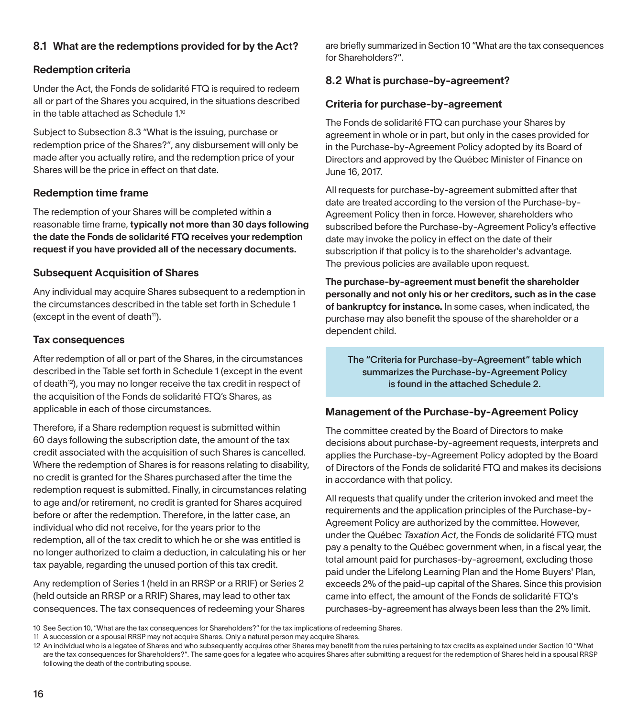#### 8.1 What are the redemptions provided for by the Act?

#### Redemption criteria

Under the Act, the Fonds de solidarité FTQ is required to redeem all or part of the Shares you acquired, in the situations described in the table attached as Schedule 1.<sup>10</sup>

Subject to Subsection 8.3 "What is the issuing, purchase or redemption price of the Shares?", any disbursement will only be made after you actually retire, and the redemption price of your Shares will be the price in effect on that date.

#### Redemption time frame

The redemption of your Shares will be completed within a reasonable time frame, typically not more than 30 days following the date the Fonds de solidarité FTQ receives your redemption request if you have provided all of the necessary documents.

#### Subsequent Acquisition of Shares

Any individual may acquire Shares subsequent to a redemption in the circumstances described in the table set forth in Schedule 1 (except in the event of death<sup>11</sup>).

#### Tax consequences

After redemption of all or part of the Shares, in the circumstances described in the Table set forth in Schedule 1 (except in the event of death<sup>12</sup>), you may no longer receive the tax credit in respect of the acquisition of the Fonds de solidarité FTQ's Shares, as applicable in each of those circumstances.

Therefore, if a Share redemption request is submitted within 60 days following the subscription date, the amount of the tax credit associated with the acquisition of such Shares is cancelled. Where the redemption of Shares is for reasons relating to disability, no credit is granted for the Shares purchased after the time the redemption request is submitted. Finally, in circumstances relating to age and/or retirement, no credit is granted for Shares acquired before or after the redemption. Therefore, in the latter case, an individual who did not receive, for the years prior to the redemption, all of the tax credit to which he or she was entitled is no longer authorized to claim a deduction, in calculating his or her tax payable, regarding the unused portion of this tax credit.

Any redemption of Series 1 (held in an RRSP or a RRIF) or Series 2 (held outside an RRSP or a RRIF) Shares, may lead to other tax consequences. The tax consequences of redeeming your Shares are briefly summarized in Section 10 "What are the tax consequences for Shareholders?".

### 8.2 What is purchase-by-agreement?

#### Criteria for purchase-by-agreement

The Fonds de solidarité FTQ can purchase your Shares by agreement in whole or in part, but only in the cases provided for in the Purchase-by-Agreement Policy adopted by its Board of Directors and approved by the Québec Minister of Finance on June 16, 2017.

All requests for purchase-by-agreement submitted after that date are treated according to the version of the Purchase-by-Agreement Policy then in force. However, shareholders who subscribed before the Purchase-by-Agreement Policy's effective date may invoke the policy in effect on the date of their subscription if that policy is to the shareholder's advantage. The previous policies are available upon request.

The purchase-by-agreement must benefit the shareholder personally and not only his or her creditors, such as in the case of bankruptcy for instance. In some cases, when indicated, the purchase may also benefit the spouse of the shareholder or a dependent child.

The "Criteria for Purchase-by-Agreement" table which summarizes the Purchase-by-Agreement Policy is found in the attached Schedule 2.

#### Management of the Purchase-by-Agreement Policy

The committee created by the Board of Directors to make decisions about purchase-by-agreement requests, interprets and applies the Purchase-by-Agreement Policy adopted by the Board of Directors of the Fonds de solidarité FTQ and makes its decisions in accordance with that policy.

All requests that qualify under the criterion invoked and meet the requirements and the application principles of the Purchase-by-Agreement Policy are authorized by the committee. However, under the Québec *Taxation Act*, the Fonds de solidarité FTQ must pay a penalty to the Québec government when, in a fiscal year, the total amount paid for purchases-by-agreement, excluding those paid under the Lifelong Learning Plan and the Home Buyers' Plan, exceeds 2% of the paid-up capital of the Shares. Since this provision came into effect, the amount of the Fonds de solidarité FTQ's purchases-by-agreement has always been less than the 2% limit.

<sup>10</sup> See Section 10, "What are the tax consequences for Shareholders?" for the tax implications of redeeming Shares.

<sup>11</sup> A succession or a spousal RRSP may not acquire Shares. Only a natural person may acquire Shares.

<sup>12</sup> An individual who is a legatee of Shares and who subsequently acquires other Shares may benefit from the rules pertaining to tax credits as explained under Section 10 "What are the tax consequences for Shareholders?". The same goes for a legatee who acquires Shares after submitting a request for the redemption of Shares held in a spousal RRSP following the death of the contributing spouse.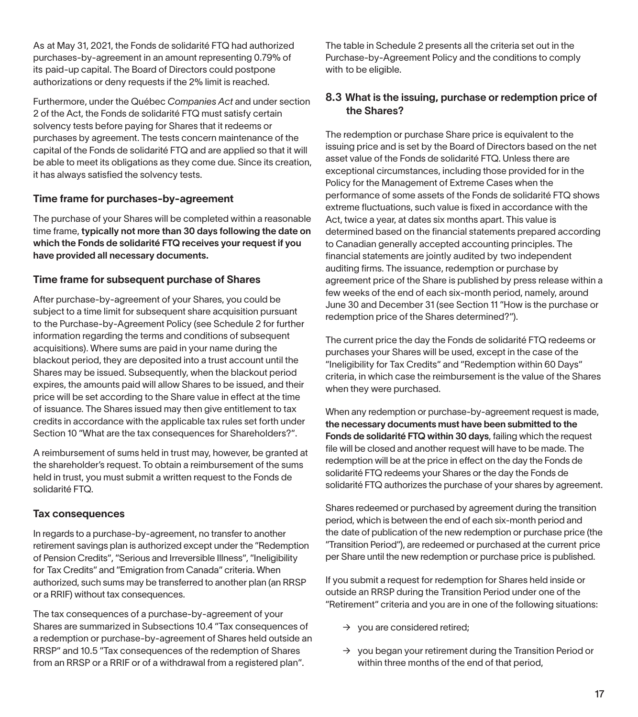As at May 31, 2021, the Fonds de solidarité FTQ had authorized purchases-by-agreement in an amount representing 0.79% of its paid-up capital. The Board of Directors could postpone authorizations or deny requests if the 2% limit is reached.

Furthermore, under the Québec *Companies Act* and under section 2 of the Act, the Fonds de solidarité FTQ must satisfy certain solvency tests before paying for Shares that it redeems or purchases by agreement. The tests concern maintenance of the capital of the Fonds de solidarité FTQ and are applied so that it will be able to meet its obligations as they come due. Since its creation, it has always satisfied the solvency tests.

#### Time frame for purchases-by-agreement

The purchase of your Shares will be completed within a reasonable time frame, typically not more than 30 days following the date on which the Fonds de solidarité FTQ receives your request if you have provided all necessary documents.

#### Time frame for subsequent purchase of Shares

After purchase-by-agreement of your Shares, you could be subject to a time limit for subsequent share acquisition pursuant to the Purchase-by-Agreement Policy (see Schedule 2 for further information regarding the terms and conditions of subsequent acquisitions). Where sums are paid in your name during the blackout period, they are deposited into a trust account until the Shares may be issued. Subsequently, when the blackout period expires, the amounts paid will allow Shares to be issued, and their price will be set according to the Share value in effect at the time of issuance. The Shares issued may then give entitlement to tax credits in accordance with the applicable tax rules set forth under Section 10 "What are the tax consequences for Shareholders?".

A reimbursement of sums held in trust may, however, be granted at the shareholder's request. To obtain a reimbursement of the sums held in trust, you must submit a written request to the Fonds de solidarité FTQ.

#### Tax consequences

In regards to a purchase-by-agreement, no transfer to another retirement savings plan is authorized except under the "Redemption of Pension Credits", "Serious and Irreversible Illness", "Ineligibility for Tax Credits" and "Emigration from Canada" criteria. When authorized, such sums may be transferred to another plan (an RRSP or a RRIF) without tax consequences.

The tax consequences of a purchase-by-agreement of your Shares are summarized in Subsections 10.4 "Tax consequences of a redemption or purchase-by-agreement of Shares held outside an RRSP" and 10.5 "Tax consequences of the redemption of Shares from an RRSP or a RRIF or of a withdrawal from a registered plan".

The table in Schedule 2 presents all the criteria set out in the Purchase-by-Agreement Policy and the conditions to comply with to be eligible.

#### 8.3 What is the issuing, purchase or redemption price of the Shares?

The redemption or purchase Share price is equivalent to the issuing price and is set by the Board of Directors based on the net asset value of the Fonds de solidarité FTQ. Unless there are exceptional circumstances, including those provided for in the Policy for the Management of Extreme Cases when the performance of some assets of the Fonds de solidarité FTQ shows extreme fluctuations, such value is fixed in accordance with the Act, twice a year, at dates six months apart. This value is determined based on the financial statements prepared according to Canadian generally accepted accounting principles. The financial statements are jointly audited by two independent auditing firms. The issuance, redemption or purchase by agreement price of the Share is published by press release within a few weeks of the end of each six-month period, namely, around June 30 and December 31 (see Section 11 "How is the purchase or redemption price of the Shares determined?").

The current price the day the Fonds de solidarité FTQ redeems or purchases your Shares will be used, except in the case of the "Ineligibility for Tax Credits" and "Redemption within 60 Days" criteria, in which case the reimbursement is the value of the Shares when they were purchased.

When any redemption or purchase-by-agreement request is made, the necessary documents must have been submitted to the Fonds de solidarité FTQ within 30 days, failing which the request file will be closed and another request will have to be made. The redemption will be at the price in effect on the day the Fonds de solidarité FTQ redeems your Shares or the day the Fonds de solidarité FTQ authorizes the purchase of your shares by agreement.

Shares redeemed or purchased by agreement during the transition period, which is between the end of each six-month period and the date of publication of the new redemption or purchase price (the "Transition Period"), are redeemed or purchased at the current price per Share until the new redemption or purchase price is published.

If you submit a request for redemption for Shares held inside or outside an RRSP during the Transition Period under one of the "Retirement" criteria and you are in one of the following situations:

- $\rightarrow$  you are considered retired;
- $\rightarrow$  you began your retirement during the Transition Period or within three months of the end of that period,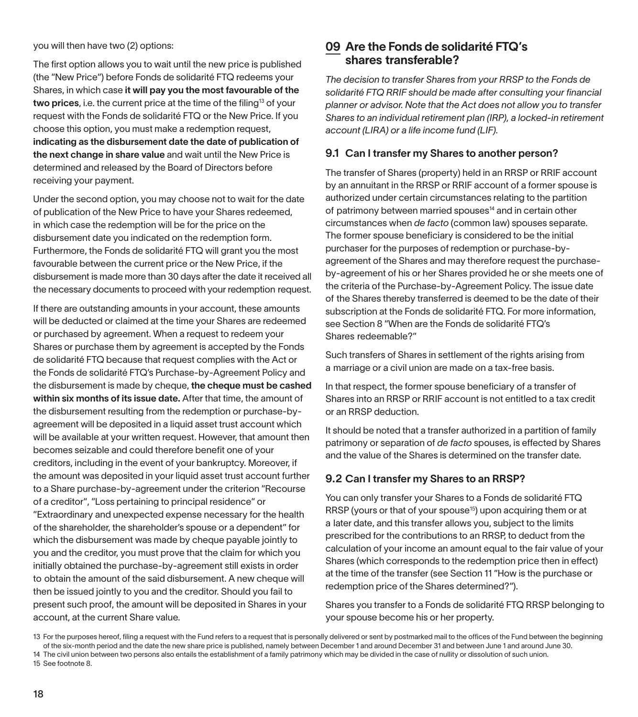#### you will then have two (2) options:

The first option allows you to wait until the new price is published (the "New Price") before Fonds de solidarité FTQ redeems your Shares, in which case it will pay you the most favourable of the two prices, i.e. the current price at the time of the filing<sup>13</sup> of your request with the Fonds de solidarité FTQ or the New Price. If you choose this option, you must make a redemption request, indicating as the disbursement date the date of publication of the next change in share value and wait until the New Price is determined and released by the Board of Directors before receiving your payment.

Under the second option, you may choose not to wait for the date of publication of the New Price to have your Shares redeemed, in which case the redemption will be for the price on the disbursement date you indicated on the redemption form. Furthermore, the Fonds de solidarité FTQ will grant you the most favourable between the current price or the New Price, if the disbursement is made more than 30 days after the date it received all the necessary documents to proceed with your redemption request.

If there are outstanding amounts in your account, these amounts will be deducted or claimed at the time your Shares are redeemed or purchased by agreement. When a request to redeem your Shares or purchase them by agreement is accepted by the Fonds de solidarité FTQ because that request complies with the Act or the Fonds de solidarité FTQ's Purchase-by-Agreement Policy and the disbursement is made by cheque, the cheque must be cashed within six months of its issue date. After that time, the amount of the disbursement resulting from the redemption or purchase-byagreement will be deposited in a liquid asset trust account which will be available at your written request. However, that amount then becomes seizable and could therefore benefit one of your creditors, including in the event of your bankruptcy. Moreover, if the amount was deposited in your liquid asset trust account further to a Share purchase-by-agreement under the criterion "Recourse of a creditor", "Loss pertaining to principal residence" or "Extraordinary and unexpected expense necessary for the health of the shareholder, the shareholder's spouse or a dependent" for which the disbursement was made by cheque payable jointly to you and the creditor, you must prove that the claim for which you initially obtained the purchase-by-agreement still exists in order to obtain the amount of the said disbursement. A new cheque will then be issued jointly to you and the creditor. Should you fail to present such proof, the amount will be deposited in Shares in your account, at the current Share value.

## 09 Are the Fonds de solidarité FTQ's shares transferable?

*The decision to transfer Shares from your RRSP to the Fonds de solidarité FTQ RRIF should be made after consulting your financial planner or advisor. Note that the Act does not allow you to transfer Shares to an individual retirement plan (IRP), a locked-in retirement account (LIRA) or a life income fund (LIF).*

#### 9.1 Can I transfer my Shares to another person?

The transfer of Shares (property) held in an RRSP or RRIF account by an annuitant in the RRSP or RRIF account of a former spouse is authorized under certain circumstances relating to the partition of patrimony between married spouses<sup>14</sup> and in certain other circumstances when *de facto* (common law) spouses separate. The former spouse beneficiary is considered to be the initial purchaser for the purposes of redemption or purchase-byagreement of the Shares and may therefore request the purchaseby-agreement of his or her Shares provided he or she meets one of the criteria of the Purchase-by-Agreement Policy. The issue date of the Shares thereby transferred is deemed to be the date of their subscription at the Fonds de solidarité FTQ. For more information, see Section 8 "When are the Fonds de solidarité FTQ's Shares redeemable?"

Such transfers of Shares in settlement of the rights arising from a marriage or a civil union are made on a tax-free basis.

In that respect, the former spouse beneficiary of a transfer of Shares into an RRSP or RRIF account is not entitled to a tax credit or an RRSP deduction.

It should be noted that a transfer authorized in a partition of family patrimony or separation of *de facto* spouses, is effected by Shares and the value of the Shares is determined on the transfer date.

#### 9.2 Can I transfer my Shares to an RRSP?

You can only transfer your Shares to a Fonds de solidarité FTQ RRSP (yours or that of your spouse<sup>15</sup>) upon acquiring them or at a later date, and this transfer allows you, subject to the limits prescribed for the contributions to an RRSP, to deduct from the calculation of your income an amount equal to the fair value of your Shares (which corresponds to the redemption price then in effect) at the time of the transfer (see Section 11 "How is the purchase or redemption price of the Shares determined?").

Shares you transfer to a Fonds de solidarité FTQ RRSP belonging to your spouse become his or her property.

<sup>13</sup> For the purposes hereof, filing a request with the Fund refers to a request that is personally delivered or sent by postmarked mail to the offices of the Fund between the beginning of the six-month period and the date the new share price is published, namely between December 1 and around December 31 and between June 1 and around June 30. 14 The civil union between two persons also entails the establishment of a family patrimony which may be divided in the case of nullity or dissolution of such union.

<sup>15</sup> See footnote 8.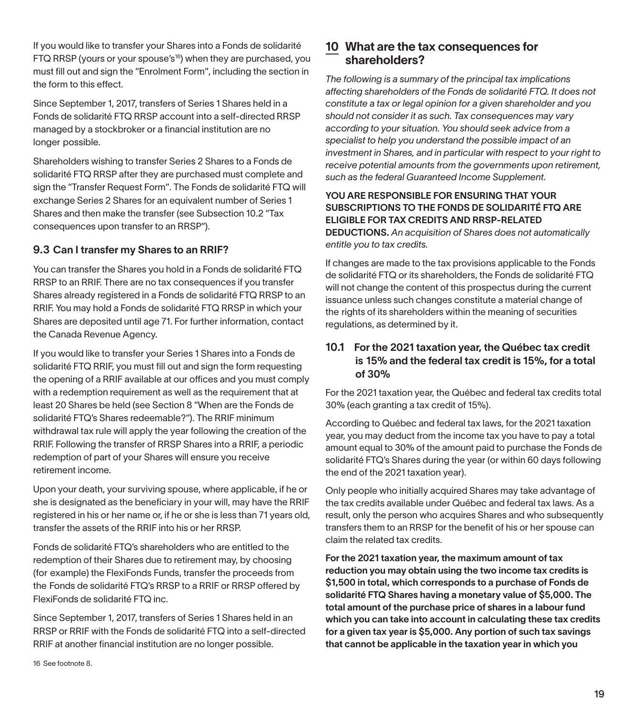If you would like to transfer your Shares into a Fonds de solidarité FTQ RRSP (yours or your spouse's<sup>16</sup>) when they are purchased, you must fill out and sign the "Enrolment Form", including the section in the form to this effect.

Since September 1, 2017, transfers of Series 1 Shares held in a Fonds de solidarité FTQ RRSP account into a self-directed RRSP managed by a stockbroker or a financial institution are no longer possible.

Shareholders wishing to transfer Series 2 Shares to a Fonds de solidarité FTQ RRSP after they are purchased must complete and sign the "Transfer Request Form". The Fonds de solidarité FTQ will exchange Series 2 Shares for an equivalent number of Series 1 Shares and then make the transfer (see Subsection 10.2 "Tax consequences upon transfer to an RRSP").

#### 9.3 Can I transfer my Shares to an RRIF?

You can transfer the Shares you hold in a Fonds de solidarité FTQ RRSP to an RRIF. There are no tax consequences if you transfer Shares already registered in a Fonds de solidarité FTQ RRSP to an RRIF. You may hold a Fonds de solidarité FTQ RRSP in which your Shares are deposited until age 71. For further information, contact the Canada Revenue Agency.

If you would like to transfer your Series 1 Shares into a Fonds de solidarité FTQ RRIF, you must fill out and sign the form requesting the opening of a RRIF available at our offices and you must comply with a redemption requirement as well as the requirement that at least 20 Shares be held (see Section 8 "When are the Fonds de solidarité FTQ's Shares redeemable?"). The RRIF minimum withdrawal tax rule will apply the year following the creation of the RRIF. Following the transfer of RRSP Shares into a RRIF, a periodic redemption of part of your Shares will ensure you receive retirement income.

Upon your death, your surviving spouse, where applicable, if he or she is designated as the beneficiary in your will, may have the RRIF registered in his or her name or, if he or she is less than 71 years old, transfer the assets of the RRIF into his or her RRSP.

Fonds de solidarité FTQ's shareholders who are entitled to the redemption of their Shares due to retirement may, by choosing (for example) the FlexiFonds Funds, transfer the proceeds from the Fonds de solidarité FTQ's RRSP to a RRIF or RRSP offered by FlexiFonds de solidarité FTQ inc.

Since September 1, 2017, transfers of Series 1 Shares held in an RRSP or RRIF with the Fonds de solidarité FTQ into a self-directed RRIF at another financial institution are no longer possible.

### 10 What are the tax consequences for shareholders?

*The following is a summary of the principal tax implications affecting shareholders of the Fonds de solidarité FTQ. It does not constitute a tax or legal opinion for a given shareholder and you should not consider it as such. Tax consequences may vary according to your situation. You should seek advice from a specialist to help you understand the possible impact of an investment in Shares, and in particular with respect to your right to receive potential amounts from the governments upon retirement, such as the federal Guaranteed Income Supplement.*

#### YOU ARE RESPONSIBLE FOR ENSURING THAT YOUR SUBSCRIPTIONS TO THE FONDS DE SOLIDARITÉ FTQ ARE ELIGIBLE FOR TAX CREDITS AND RRSP-RELATED

DEDUCTIONS. *An acquisition of Shares does not automatically entitle you to tax credits.*

If changes are made to the tax provisions applicable to the Fonds de solidarité FTQ or its shareholders, the Fonds de solidarité FTQ will not change the content of this prospectus during the current issuance unless such changes constitute a material change of the rights of its shareholders within the meaning of securities regulations, as determined by it.

#### 10.1 For the 2021 taxation year, the Québec tax credit is 15% and the federal tax credit is 15%, for a total of 30%

For the 2021 taxation year, the Québec and federal tax credits total 30% (each granting a tax credit of 15%).

According to Québec and federal tax laws, for the 2021 taxation year, you may deduct from the income tax you have to pay a total amount equal to 30% of the amount paid to purchase the Fonds de solidarité FTQ's Shares during the year (or within 60 days following the end of the 2021 taxation year).

Only people who initially acquired Shares may take advantage of the tax credits available under Québec and federal tax laws. As a result, only the person who acquires Shares and who subsequently transfers them to an RRSP for the benefit of his or her spouse can claim the related tax credits.

For the 2021 taxation year, the maximum amount of tax reduction you may obtain using the two income tax credits is \$1,500 in total, which corresponds to a purchase of Fonds de solidarité FTQ Shares having a monetary value of \$5,000. The total amount of the purchase price of shares in a labour fund which you can take into account in calculating these tax credits for a given tax year is \$5,000. Any portion of such tax savings that cannot be applicable in the taxation year in which you

16 See footnote 8.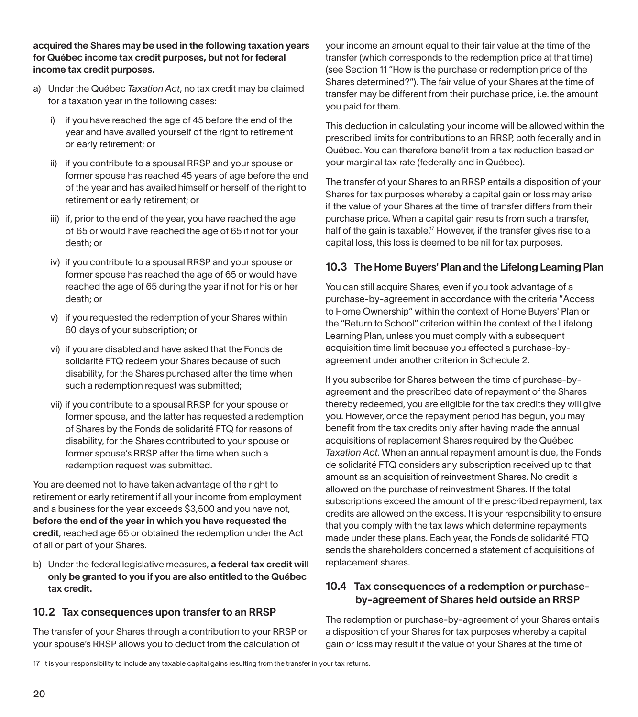acquired the Shares may be used in the following taxation years for Québec income tax credit purposes, but not for federal income tax credit purposes.

- a) Under the Québec *Taxation Act*, no tax credit may be claimed for a taxation year in the following cases:
	- i) if you have reached the age of 45 before the end of the year and have availed yourself of the right to retirement or early retirement; or
	- ii) if you contribute to a spousal RRSP and your spouse or former spouse has reached 45 years of age before the end of the year and has availed himself or herself of the right to retirement or early retirement; or
	- iii) if, prior to the end of the year, you have reached the age of 65 or would have reached the age of 65 if not for your death; or
	- iv) if you contribute to a spousal RRSP and your spouse or former spouse has reached the age of 65 or would have reached the age of 65 during the year if not for his or her death; or
	- v) if you requested the redemption of your Shares within 60 days of your subscription; or
	- vi) if you are disabled and have asked that the Fonds de solidarité FTQ redeem your Shares because of such disability, for the Shares purchased after the time when such a redemption request was submitted;
	- vii) if you contribute to a spousal RRSP for your spouse or former spouse, and the latter has requested a redemption of Shares by the Fonds de solidarité FTQ for reasons of disability, for the Shares contributed to your spouse or former spouse's RRSP after the time when such a redemption request was submitted.

You are deemed not to have taken advantage of the right to retirement or early retirement if all your income from employment and a business for the year exceeds \$3,500 and you have not, before the end of the year in which you have requested the credit, reached age 65 or obtained the redemption under the Act of all or part of your Shares.

b) Under the federal legislative measures, a federal tax credit will only be granted to you if you are also entitled to the Québec tax credit.

#### 10.2 Tax consequences upon transfer to an RRSP

The transfer of your Shares through a contribution to your RRSP or your spouse's RRSP allows you to deduct from the calculation of

your income an amount equal to their fair value at the time of the transfer (which corresponds to the redemption price at that time) (see Section 11 "How is the purchase or redemption price of the Shares determined?"). The fair value of your Shares at the time of transfer may be different from their purchase price, i.e. the amount you paid for them.

This deduction in calculating your income will be allowed within the prescribed limits for contributions to an RRSP, both federally and in Québec. You can therefore benefit from a tax reduction based on your marginal tax rate (federally and in Québec).

The transfer of your Shares to an RRSP entails a disposition of your Shares for tax purposes whereby a capital gain or loss may arise if the value of your Shares at the time of transfer differs from their purchase price. When a capital gain results from such a transfer, half of the gain is taxable.<sup>17</sup> However, if the transfer gives rise to a capital loss, this loss is deemed to be nil for tax purposes.

#### 10.3 The Home Buyers' Plan and the Lifelong Learning Plan

You can still acquire Shares, even if you took advantage of a purchase-by-agreement in accordance with the criteria "Access to Home Ownership" within the context of Home Buyers' Plan or the "Return to School" criterion within the context of the Lifelong Learning Plan, unless you must comply with a subsequent acquisition time limit because you effected a purchase-byagreement under another criterion in Schedule 2.

If you subscribe for Shares between the time of purchase-byagreement and the prescribed date of repayment of the Shares thereby redeemed, you are eligible for the tax credits they will give you. However, once the repayment period has begun, you may benefit from the tax credits only after having made the annual acquisitions of replacement Shares required by the Québec *Taxation Act*. When an annual repayment amount is due, the Fonds de solidarité FTQ considers any subscription received up to that amount as an acquisition of reinvestment Shares. No credit is allowed on the purchase of reinvestment Shares. If the total subscriptions exceed the amount of the prescribed repayment, tax credits are allowed on the excess. It is your responsibility to ensure that you comply with the tax laws which determine repayments made under these plans. Each year, the Fonds de solidarité FTQ sends the shareholders concerned a statement of acquisitions of replacement shares.

#### 10.4 Tax consequences of a redemption or purchaseby-agreement of Shares held outside an RRSP

The redemption or purchase-by-agreement of your Shares entails a disposition of your Shares for tax purposes whereby a capital gain or loss may result if the value of your Shares at the time of

17 It is your responsibility to include any taxable capital gains resulting from the transfer in your tax returns.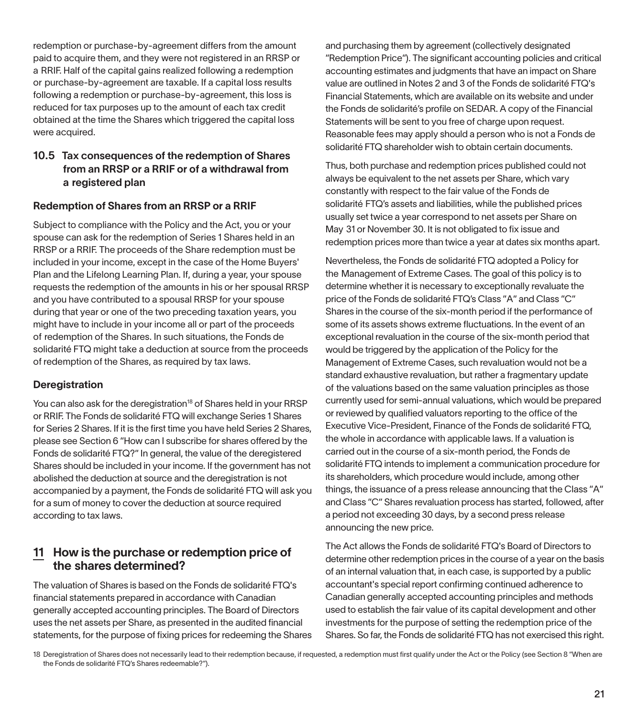redemption or purchase-by-agreement differs from the amount paid to acquire them, and they were not registered in an RRSP or a RRIF. Half of the capital gains realized following a redemption or purchase-by-agreement are taxable. If a capital loss results following a redemption or purchase-by-agreement, this loss is reduced for tax purposes up to the amount of each tax credit obtained at the time the Shares which triggered the capital loss were acquired.

#### 10.5 Tax consequences of the redemption of Shares from an RRSP or a RRIF or of a withdrawal from a registered plan

#### Redemption of Shares from an RRSP or a RRIF

Subject to compliance with the Policy and the Act, you or your spouse can ask for the redemption of Series 1 Shares held in an RRSP or a RRIF. The proceeds of the Share redemption must be included in your income, except in the case of the Home Buyers' Plan and the Lifelong Learning Plan. If, during a year, your spouse requests the redemption of the amounts in his or her spousal RRSP and you have contributed to a spousal RRSP for your spouse during that year or one of the two preceding taxation years, you might have to include in your income all or part of the proceeds of redemption of the Shares. In such situations, the Fonds de solidarité FTQ might take a deduction at source from the proceeds of redemption of the Shares, as required by tax laws.

#### **Deregistration**

You can also ask for the deregistration<sup>18</sup> of Shares held in your RRSP or RRIF. The Fonds de solidarité FTQ will exchange Series 1 Shares for Series 2 Shares. If it is the first time you have held Series 2 Shares, please see Section 6 "How can I subscribe for shares offered by the Fonds de solidarité FTQ?" In general, the value of the deregistered Shares should be included in your income. If the government has not abolished the deduction at source and the deregistration is not accompanied by a payment, the Fonds de solidarité FTQ will ask you for a sum of money to cover the deduction at source required according to tax laws.

#### 11 How is the purchase or redemption price of the shares determined?

The valuation of Shares is based on the Fonds de solidarité FTQ's financial statements prepared in accordance with Canadian generally accepted accounting principles. The Board of Directors uses the net assets per Share, as presented in the audited financial statements, for the purpose of fixing prices for redeeming the Shares and purchasing them by agreement (collectively designated "Redemption Price"). The significant accounting policies and critical accounting estimates and judgments that have an impact on Share value are outlined in Notes 2 and 3 of the Fonds de solidarité FTQ's Financial Statements, which are available on its website and under the Fonds de solidarité's profile on SEDAR. A copy of the Financial Statements will be sent to you free of charge upon request. Reasonable fees may apply should a person who is not a Fonds de solidarité FTQ shareholder wish to obtain certain documents.

Thus, both purchase and redemption prices published could not always be equivalent to the net assets per Share, which vary constantly with respect to the fair value of the Fonds de solidarité FTQ's assets and liabilities, while the published prices usually set twice a year correspond to net assets per Share on May 31 or November 30. It is not obligated to fix issue and redemption prices more than twice a year at dates six months apart.

Nevertheless, the Fonds de solidarité FTQ adopted a Policy for the Management of Extreme Cases. The goal of this policy is to determine whether it is necessary to exceptionally revaluate the price of the Fonds de solidarité FTQ's Class "A" and Class "C" Shares in the course of the six-month period if the performance of some of its assets shows extreme fluctuations. In the event of an exceptional revaluation in the course of the six-month period that would be triggered by the application of the Policy for the Management of Extreme Cases, such revaluation would not be a standard exhaustive revaluation, but rather a fragmentary update of the valuations based on the same valuation principles as those currently used for semi-annual valuations, which would be prepared or reviewed by qualified valuators reporting to the office of the Executive Vice-President, Finance of the Fonds de solidarité FTQ, the whole in accordance with applicable laws. If a valuation is carried out in the course of a six-month period, the Fonds de solidarité FTQ intends to implement a communication procedure for its shareholders, which procedure would include, among other things, the issuance of a press release announcing that the Class "A" and Class "C" Shares revaluation process has started, followed, after a period not exceeding 30 days, by a second press release announcing the new price.

The Act allows the Fonds de solidarité FTQ's Board of Directors to determine other redemption prices in the course of a year on the basis of an internal valuation that, in each case, is supported by a public accountant's special report confirming continued adherence to Canadian generally accepted accounting principles and methods used to establish the fair value of its capital development and other investments for the purpose of setting the redemption price of the Shares. So far, the Fonds de solidarité FTQ has not exercised this right.

18 Deregistration of Shares does not necessarily lead to their redemption because, if requested, a redemption must first qualify under the Act or the Policy (see Section 8 "When are the Fonds de solidarité FTQ's Shares redeemable?").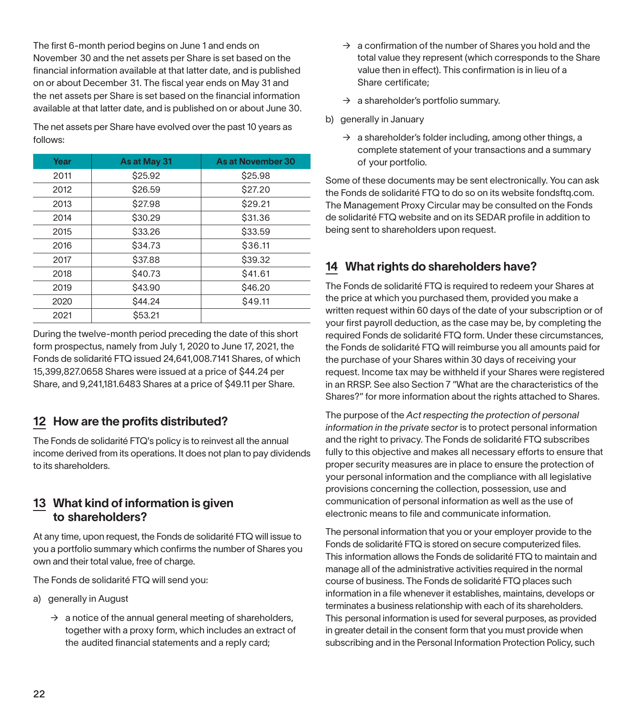The first 6-month period begins on June 1 and ends on November 30 and the net assets per Share is set based on the financial information available at that latter date, and is published on or about December 31. The fiscal year ends on May 31 and the net assets per Share is set based on the financial information available at that latter date, and is published on or about June 30.

The net assets per Share have evolved over the past 10 years as follows:

| Year | As at May 31 | As at November 30 |
|------|--------------|-------------------|
| 2011 | \$25.92      | \$25.98           |
| 2012 | \$26.59      | \$27.20           |
| 2013 | \$27.98      | \$29.21           |
| 2014 | \$30.29      | \$31.36           |
| 2015 | \$33.26      | \$33.59           |
| 2016 | \$34.73      | \$36.11           |
| 2017 | \$37.88      | \$39.32           |
| 2018 | \$40.73      | \$41.61           |
| 2019 | \$43.90      | \$46.20           |
| 2020 | \$44.24      | \$49.11           |
| 2021 | \$53.21      |                   |

During the twelve-month period preceding the date of this short form prospectus, namely from July 1, 2020 to June 17, 2021, the Fonds de solidarité FTQ issued 24,641,008.7141 Shares, of which 15,399,827.0658 Shares were issued at a price of \$44.24 per Share, and 9,241,181.6483 Shares at a price of \$49.11 per Share.

# 12 How are the profits distributed?

The Fonds de solidarité FTQ's policy is to reinvest all the annual income derived from its operations. It does not plan to pay dividends to its shareholders.

## 13 What kind of information is given to shareholders?

At any time, upon request, the Fonds de solidarité FTQ will issue to you a portfolio summary which confirms the number of Shares you own and their total value, free of charge.

The Fonds de solidarité FTQ will send you:

- a) generally in August
	- $\rightarrow$  a notice of the annual general meeting of shareholders, together with a proxy form, which includes an extract of the audited financial statements and a reply card;
- $\rightarrow$  a confirmation of the number of Shares you hold and the total value they represent (which corresponds to the Share value then in effect). This confirmation is in lieu of a Share certificate;
- $\rightarrow$  a shareholder's portfolio summary.
- b) generally in January
	- $\rightarrow$  a shareholder's folder including, among other things, a complete statement of your transactions and a summary of your portfolio.

Some of these documents may be sent electronically. You can ask the Fonds de solidarité FTQ to do so on its website fondsftq.com. The Management Proxy Circular may be consulted on the Fonds de solidarité FTQ website and on its SEDAR profile in addition to being sent to shareholders upon request.

# 14 What rights do shareholders have?

The Fonds de solidarité FTQ is required to redeem your Shares at the price at which you purchased them, provided you make a written request within 60 days of the date of your subscription or of your first payroll deduction, as the case may be, by completing the required Fonds de solidarité FTQ form. Under these circumstances, the Fonds de solidarité FTQ will reimburse you all amounts paid for the purchase of your Shares within 30 days of receiving your request. Income tax may be withheld if your Shares were registered in an RRSP. See also Section 7 "What are the characteristics of the Shares?" for more information about the rights attached to Shares.

The purpose of the *Act respecting the protection of personal information in the private sector* is to protect personal information and the right to privacy. The Fonds de solidarité FTQ subscribes fully to this objective and makes all necessary efforts to ensure that proper security measures are in place to ensure the protection of your personal information and the compliance with all legislative provisions concerning the collection, possession, use and communication of personal information as well as the use of electronic means to file and communicate information.

The personal information that you or your employer provide to the Fonds de solidarité FTQ is stored on secure computerized files. This information allows the Fonds de solidarité FTQ to maintain and manage all of the administrative activities required in the normal course of business. The Fonds de solidarité FTQ places such information in a file whenever it establishes, maintains, develops or terminates a business relationship with each of its shareholders. This personal information is used for several purposes, as provided in greater detail in the consent form that you must provide when subscribing and in the Personal Information Protection Policy, such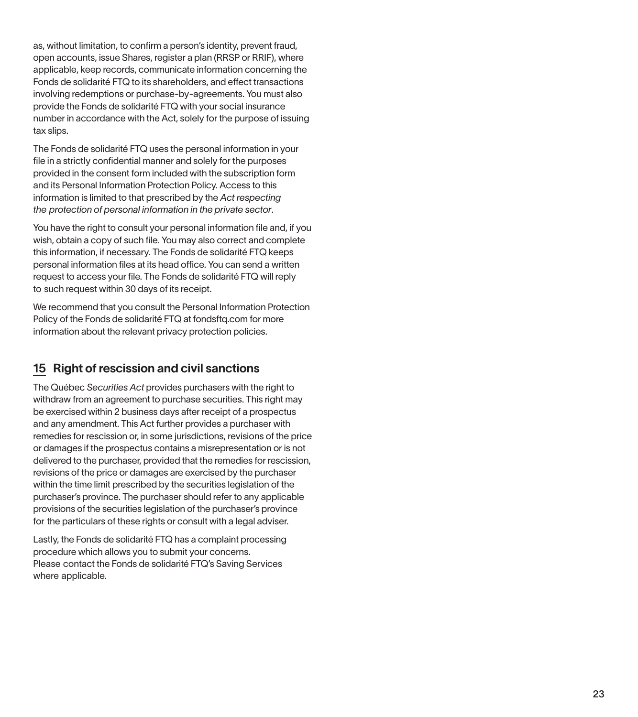as, without limitation, to confirm a person's identity, prevent fraud, open accounts, issue Shares, register a plan (RRSP or RRIF), where applicable, keep records, communicate information concerning the Fonds de solidarité FTQ to its shareholders, and effect transactions involving redemptions or purchase-by-agreements. You must also provide the Fonds de solidarité FTQ with your social insurance number in accordance with the Act, solely for the purpose of issuing tax slips.

The Fonds de solidarité FTQ uses the personal information in your file in a strictly confidential manner and solely for the purposes provided in the consent form included with the subscription form and its Personal Information Protection Policy. Access to this information is limited to that prescribed by the *Act respecting the protection of personal information in the private sector* .

You have the right to consult your personal information file and, if you wish, obtain a copy of such file. You may also correct and complete this information, if necessary. The Fonds de solidarité FTQ keeps personal information files at its head office. You can send a written request to access your file. The Fonds de solidarité FTQ will reply to such request within 30 days of its receipt.

We recommend that you consult the Personal Information Protection Policy of the Fonds de solidarité FTQ at fondsftq.com for more information about the relevant privacy protection policies.

# 15 Right of rescission and civil sanctions

The Québec *Securities Act* provides purchasers with the right to withdraw from an agreement to purchase securities. This right may be exercised within 2 business days after receipt of a prospectus and any amendment. This Act further provides a purchaser with remedies for rescission or, in some jurisdictions, revisions of the price or damages if the prospectus contains a misrepresentation or is not delivered to the purchaser, provided that the remedies for rescission, revisions of the price or damages are exercised by the purchaser within the time limit prescribed by the securities legislation of the purchaser's province. The purchaser should refer to any applicable provisions of the securities legislation of the purchaser's province for the particulars of these rights or consult with a legal adviser.

Lastly, the Fonds de solidarité FTQ has a complaint processing procedure which allows you to submit your concerns. Please contact the Fonds de solidarité FTQ's Saving Services where applicable.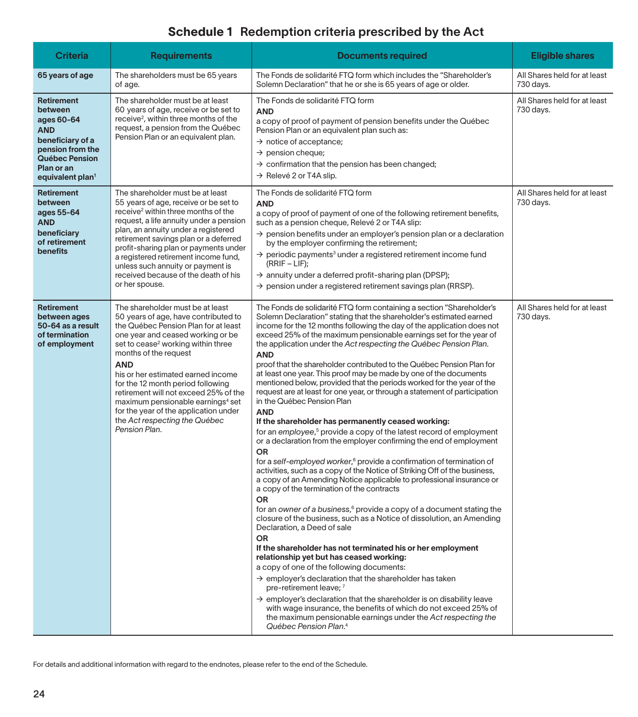# Schedule 1 Redemption criteria prescribed by the Act

| Criteria                                                                                                                                                  | <b>Requirements</b>                                                                                                                                                                                                                                                                                                                                                                                                                                                                                            | <b>Documents required</b>                                                                                                                                                                                                                                                                                                                                                                                                                                                                                                                                                                                                                                                                                                                                                                                                                                                                                                                                                                                                                                                                                                                                                                                                                                                                                                                                                                                                                                                                                                                                                                                                                                                                                                                                                                                                                                                                                                                                                          | <b>Eligible shares</b>                    |
|-----------------------------------------------------------------------------------------------------------------------------------------------------------|----------------------------------------------------------------------------------------------------------------------------------------------------------------------------------------------------------------------------------------------------------------------------------------------------------------------------------------------------------------------------------------------------------------------------------------------------------------------------------------------------------------|------------------------------------------------------------------------------------------------------------------------------------------------------------------------------------------------------------------------------------------------------------------------------------------------------------------------------------------------------------------------------------------------------------------------------------------------------------------------------------------------------------------------------------------------------------------------------------------------------------------------------------------------------------------------------------------------------------------------------------------------------------------------------------------------------------------------------------------------------------------------------------------------------------------------------------------------------------------------------------------------------------------------------------------------------------------------------------------------------------------------------------------------------------------------------------------------------------------------------------------------------------------------------------------------------------------------------------------------------------------------------------------------------------------------------------------------------------------------------------------------------------------------------------------------------------------------------------------------------------------------------------------------------------------------------------------------------------------------------------------------------------------------------------------------------------------------------------------------------------------------------------------------------------------------------------------------------------------------------------|-------------------------------------------|
| 65 years of age                                                                                                                                           | The shareholders must be 65 years<br>of age.                                                                                                                                                                                                                                                                                                                                                                                                                                                                   | The Fonds de solidarité FTQ form which includes the "Shareholder's<br>Solemn Declaration" that he or she is 65 years of age or older.                                                                                                                                                                                                                                                                                                                                                                                                                                                                                                                                                                                                                                                                                                                                                                                                                                                                                                                                                                                                                                                                                                                                                                                                                                                                                                                                                                                                                                                                                                                                                                                                                                                                                                                                                                                                                                              | All Shares held for at least<br>730 days. |
| <b>Retirement</b><br>between<br>ages 60-64<br>AND<br>beneficiary of a<br>pension from the<br>Québec Pension<br>Plan or an<br>equivalent plan <sup>1</sup> | The shareholder must be at least<br>60 years of age, receive or be set to<br>receive <sup>2</sup> , within three months of the<br>request, a pension from the Québec<br>Pension Plan or an equivalent plan.                                                                                                                                                                                                                                                                                                    | The Fonds de solidarité FTQ form<br><b>AND</b><br>a copy of proof of payment of pension benefits under the Québec<br>Pension Plan or an equivalent plan such as:<br>$\rightarrow$ notice of acceptance;<br>$\rightarrow$ pension cheque;<br>$\rightarrow$ confirmation that the pension has been changed;<br>$\rightarrow$ Relevé 2 or T4A slip.                                                                                                                                                                                                                                                                                                                                                                                                                                                                                                                                                                                                                                                                                                                                                                                                                                                                                                                                                                                                                                                                                                                                                                                                                                                                                                                                                                                                                                                                                                                                                                                                                                   | All Shares held for at least<br>730 days. |
| Retirement<br>between<br>ages 55-64<br>AND<br>beneficiary<br>of retirement<br>benefits                                                                    | The shareholder must be at least<br>55 years of age, receive or be set to<br>receive <sup>2</sup> within three months of the<br>request, a life annuity under a pension<br>plan, an annuity under a registered<br>retirement savings plan or a deferred<br>profit-sharing plan or payments under<br>a registered retirement income fund,<br>unless such annuity or payment is<br>received because of the death of his<br>or her spouse.                                                                        | The Fonds de solidarité FTQ form<br><b>AND</b><br>a copy of proof of payment of one of the following retirement benefits,<br>such as a pension cheque, Relevé 2 or T4A slip:<br>$\rightarrow$ pension benefits under an employer's pension plan or a declaration<br>by the employer confirming the retirement;<br>$\rightarrow$ periodic payments <sup>3</sup> under a registered retirement income fund<br>$(RRIF - LIF);$<br>$\rightarrow$ annuity under a deferred profit-sharing plan (DPSP);<br>$\rightarrow$ pension under a registered retirement savings plan (RRSP).                                                                                                                                                                                                                                                                                                                                                                                                                                                                                                                                                                                                                                                                                                                                                                                                                                                                                                                                                                                                                                                                                                                                                                                                                                                                                                                                                                                                      | All Shares held for at least<br>730 days. |
| Retirement<br>between ages<br>50-64 as a result<br>of termination<br>of employment                                                                        | The shareholder must be at least<br>50 years of age, have contributed to<br>the Québec Pension Plan for at least<br>one year and ceased working or be<br>set to cease <sup>2</sup> working within three<br>months of the request<br><b>AND</b><br>his or her estimated earned income<br>for the 12 month period following<br>retirement will not exceed 25% of the<br>maximum pensionable earnings <sup>4</sup> set<br>for the year of the application under<br>the Act respecting the Québec<br>Pension Plan. | The Fonds de solidarité FTQ form containing a section "Shareholder's<br>Solemn Declaration" stating that the shareholder's estimated earned<br>income for the 12 months following the day of the application does not<br>exceed 25% of the maximum pensionable earnings set for the year of<br>the application under the Act respecting the Québec Pension Plan.<br><b>AND</b><br>proof that the shareholder contributed to the Québec Pension Plan for<br>at least one year. This proof may be made by one of the documents<br>mentioned below, provided that the periods worked for the year of the<br>request are at least for one year, or through a statement of participation<br>in the Québec Pension Plan<br><b>AND</b><br>If the shareholder has permanently ceased working:<br>for an employee, <sup>5</sup> provide a copy of the latest record of employment<br>or a declaration from the employer confirming the end of employment<br>OR<br>for a self-employed worker, $6$ provide a confirmation of termination of<br>activities, such as a copy of the Notice of Striking Off of the business,<br>a copy of an Amending Notice applicable to professional insurance or<br>a copy of the termination of the contracts<br><b>OR</b><br>for an owner of a business, <sup>6</sup> provide a copy of a document stating the<br>closure of the business, such as a Notice of dissolution, an Amending<br>Declaration, a Deed of sale<br><b>OR</b><br>If the shareholder has not terminated his or her employment<br>relationship yet but has ceased working:<br>a copy of one of the following documents:<br>$\rightarrow$ employer's declaration that the shareholder has taken<br>pre-retirement leave; 7<br>$\rightarrow$ employer's declaration that the shareholder is on disability leave<br>with wage insurance, the benefits of which do not exceed 25% of<br>the maximum pensionable earnings under the Act respecting the<br>Québec Pension Plan. <sup>4</sup> | All Shares held for at least<br>730 days. |

For details and additional information with regard to the endnotes, please refer to the end of the Schedule.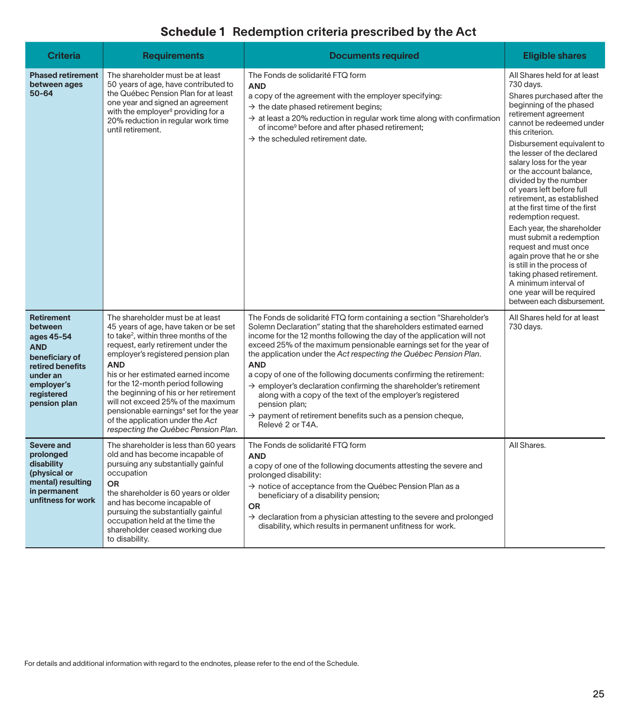# Schedule 1 Redemption criteria prescribed by the Act

| <b>Criteria</b>                                                                                                                                        | <b>Requirements</b>                                                                                                                                                                                                                                                                                                                                                                                                                                                                                                   | <b>Documents required</b>                                                                                                                                                                                                                                                                                                                                                                                                                                                                                                                                                                                                                                                                                         | <b>Eligible shares</b>                                                                                                                                                                                                                                                                                                                                                                                                                                                                                                                                                                                                                                                                                    |
|--------------------------------------------------------------------------------------------------------------------------------------------------------|-----------------------------------------------------------------------------------------------------------------------------------------------------------------------------------------------------------------------------------------------------------------------------------------------------------------------------------------------------------------------------------------------------------------------------------------------------------------------------------------------------------------------|-------------------------------------------------------------------------------------------------------------------------------------------------------------------------------------------------------------------------------------------------------------------------------------------------------------------------------------------------------------------------------------------------------------------------------------------------------------------------------------------------------------------------------------------------------------------------------------------------------------------------------------------------------------------------------------------------------------------|-----------------------------------------------------------------------------------------------------------------------------------------------------------------------------------------------------------------------------------------------------------------------------------------------------------------------------------------------------------------------------------------------------------------------------------------------------------------------------------------------------------------------------------------------------------------------------------------------------------------------------------------------------------------------------------------------------------|
| <b>Phased retirement</b><br>between ages<br>$50 - 64$                                                                                                  | The shareholder must be at least<br>50 years of age, have contributed to<br>the Québec Pension Plan for at least<br>one year and signed an agreement<br>with the employer <sup>8</sup> providing for a<br>20% reduction in regular work time<br>until retirement.                                                                                                                                                                                                                                                     | The Fonds de solidarité FTQ form<br><b>AND</b><br>a copy of the agreement with the employer specifying:<br>$\rightarrow$ the date phased retirement begins;<br>$\rightarrow$ at least a 20% reduction in regular work time along with confirmation<br>of income <sup>9</sup> before and after phased retirement;<br>$\rightarrow$ the scheduled retirement date.                                                                                                                                                                                                                                                                                                                                                  | All Shares held for at least<br>730 days.<br>Shares purchased after the<br>beginning of the phased<br>retirement agreement<br>cannot be redeemed under<br>this criterion.<br>Disbursement equivalent to<br>the lesser of the declared<br>salary loss for the year<br>or the account balance,<br>divided by the number<br>of years left before full<br>retirement, as established<br>at the first time of the first<br>redemption request.<br>Each year, the shareholder<br>must submit a redemption<br>request and must once<br>again prove that he or she<br>is still in the process of<br>taking phased retirement.<br>A minimum interval of<br>one year will be required<br>between each disbursement. |
| <b>Retirement</b><br>between<br>ages 45-54<br><b>AND</b><br>beneficiary of<br>retired benefits<br>under an<br>employer's<br>registered<br>pension plan | The shareholder must be at least<br>45 years of age, have taken or be set<br>to take <sup>2</sup> , within three months of the<br>request, early retirement under the<br>employer's registered pension plan<br><b>AND</b><br>his or her estimated earned income<br>for the 12-month period following<br>the beginning of his or her retirement<br>will not exceed 25% of the maximum<br>pensionable earnings <sup>4</sup> set for the year<br>of the application under the Act<br>respecting the Québec Pension Plan. | The Fonds de solidarité FTQ form containing a section "Shareholder's<br>Solemn Declaration" stating that the shareholders estimated earned<br>income for the 12 months following the day of the application will not<br>exceed 25% of the maximum pensionable earnings set for the year of<br>the application under the Act respecting the Québec Pension Plan.<br><b>AND</b><br>a copy of one of the following documents confirming the retirement:<br>$\rightarrow$ employer's declaration confirming the shareholder's retirement<br>along with a copy of the text of the employer's registered<br>pension plan;<br>$\rightarrow$ payment of retirement benefits such as a pension cheque,<br>Relevé 2 or T4A. | All Shares held for at least<br>730 days.                                                                                                                                                                                                                                                                                                                                                                                                                                                                                                                                                                                                                                                                 |
| Severe and<br>prolonged<br>disability<br>(physical or<br>mental) resulting<br>in permanent<br>unfitness for work                                       | The shareholder is less than 60 years<br>old and has become incapable of<br>pursuing any substantially gainful<br>occupation<br>OR<br>the shareholder is 60 years or older<br>and has become incapable of<br>pursuing the substantially gainful<br>occupation held at the time the<br>shareholder ceased working due<br>to disability.                                                                                                                                                                                | The Fonds de solidarité FTQ form<br><b>AND</b><br>a copy of one of the following documents attesting the severe and<br>prolonged disability:<br>$\rightarrow$ notice of acceptance from the Québec Pension Plan as a<br>beneficiary of a disability pension;<br><b>OR</b><br>$\rightarrow$ declaration from a physician attesting to the severe and prolonged<br>disability, which results in permanent unfitness for work.                                                                                                                                                                                                                                                                                       | All Shares.                                                                                                                                                                                                                                                                                                                                                                                                                                                                                                                                                                                                                                                                                               |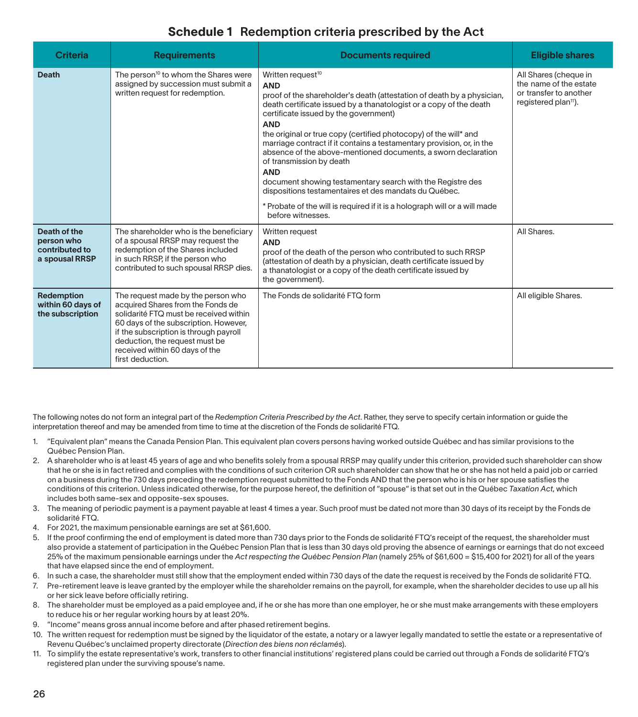# Schedule 1 Redemption criteria prescribed by the Act

| <b>Criteria</b>                                                | <b>Requirements</b>                                                                                                                                                                                                                                                                          | <b>Documents required</b>                                                                                                                                                                                                                                                                                                                                                                                                                                                                                                                                                                                                                                                                                                            | <b>Eligible shares</b>                                                                                        |
|----------------------------------------------------------------|----------------------------------------------------------------------------------------------------------------------------------------------------------------------------------------------------------------------------------------------------------------------------------------------|--------------------------------------------------------------------------------------------------------------------------------------------------------------------------------------------------------------------------------------------------------------------------------------------------------------------------------------------------------------------------------------------------------------------------------------------------------------------------------------------------------------------------------------------------------------------------------------------------------------------------------------------------------------------------------------------------------------------------------------|---------------------------------------------------------------------------------------------------------------|
| <b>Death</b>                                                   | The person <sup>10</sup> to whom the Shares were<br>assigned by succession must submit a<br>written request for redemption.                                                                                                                                                                  | Written request <sup>10</sup><br><b>AND</b><br>proof of the shareholder's death (attestation of death by a physician,<br>death certificate issued by a thanatologist or a copy of the death<br>certificate issued by the government)<br><b>AND</b><br>the original or true copy (certified photocopy) of the will* and<br>marriage contract if it contains a testamentary provision, or, in the<br>absence of the above-mentioned documents, a sworn declaration<br>of transmission by death<br><b>AND</b><br>document showing testamentary search with the Registre des<br>dispositions testamentaires et des mandats du Québec.<br>* Probate of the will is required if it is a holograph will or a will made<br>before witnesses. | All Shares (cheque in<br>the name of the estate<br>or transfer to another<br>registered plan <sup>11</sup> ). |
| Death of the<br>person who<br>contributed to<br>a spousal RRSP | The shareholder who is the beneficiary<br>of a spousal RRSP may request the<br>redemption of the Shares included<br>in such RRSP, if the person who<br>contributed to such spousal RRSP dies.                                                                                                | Written request<br><b>AND</b><br>proof of the death of the person who contributed to such RRSP<br>(attestation of death by a physician, death certificate issued by<br>a thanatologist or a copy of the death certificate issued by<br>the government).                                                                                                                                                                                                                                                                                                                                                                                                                                                                              | All Shares.                                                                                                   |
| Redemption<br>within 60 days of<br>the subscription            | The request made by the person who<br>acquired Shares from the Fonds de<br>solidarité FTQ must be received within<br>60 days of the subscription. However,<br>if the subscription is through payroll<br>deduction, the request must be<br>received within 60 days of the<br>first deduction. | The Fonds de solidarité FTQ form                                                                                                                                                                                                                                                                                                                                                                                                                                                                                                                                                                                                                                                                                                     | All eligible Shares.                                                                                          |

The following notes do not form an integral part of the *Redemption Criteria Prescribed by the Act*. Rather, they serve to specify certain information or guide the interpretation thereof and may be amended from time to time at the discretion of the Fonds de solidarité FTQ.

- 1. "Equivalent plan" means the Canada Pension Plan. This equivalent plan covers persons having worked outside Québec and has similar provisions to the Québec Pension Plan.
- 2. A shareholder who is at least 45 years of age and who benefits solely from a spousal RRSP may qualify under this criterion, provided such shareholder can show that he or she is in fact retired and complies with the conditions of such criterion OR such shareholder can show that he or she has not held a paid job or carried on a business during the 730 days preceding the redemption request submitted to the Fonds AND that the person who is his or her spouse satisfies the conditions of this criterion. Unless indicated otherwise, for the purpose hereof, the definition of "spouse" is that set out in the Québec *Taxation Act*, which includes both same-sex and opposite-sex spouses.
- 3. The meaning of periodic payment is a payment payable at least 4 times a year. Such proof must be dated not more than 30 days of its receipt by the Fonds de solidarité FTQ.
- 4. For 2021, the maximum pensionable earnings are set at \$61,600.
- 5. If the proof confirming the end of employment is dated more than 730 days prior to the Fonds de solidarité FTQ's receipt of the request, the shareholder must also provide a statement of participation in the Québec Pension Plan that is less than 30 days old proving the absence of earnings or earnings that do not exceed 25% of the maximum pensionable earnings under the *Act respecting the Québec Pension Plan* (namely 25% of \$61,600 = \$15,400 for 2021) for all of the years that have elapsed since the end of employment.
- 6. In such a case, the shareholder must still show that the employment ended within 730 days of the date the request is received by the Fonds de solidarité FTQ.
- 7. Pre-retirement leave is leave granted by the employer while the shareholder remains on the payroll, for example, when the shareholder decides to use up all his or her sick leave before officially retiring.
- 8. The shareholder must be employed as a paid employee and, if he or she has more than one employer, he or she must make arrangements with these employers to reduce his or her regular working hours by at least 20%.
- 9. "Income" means gross annual income before and after phased retirement begins.
- 10. The written request for redemption must be signed by the liquidator of the estate, a notary or a lawyer legally mandated to settle the estate or a representative of Revenu Québec's unclaimed property directorate (*Direction des biens non réclamés*).
- 11. To simplify the estate representative's work, transfers to other financial institutions' registered plans could be carried out through a Fonds de solidarité FTQ's registered plan under the surviving spouse's name.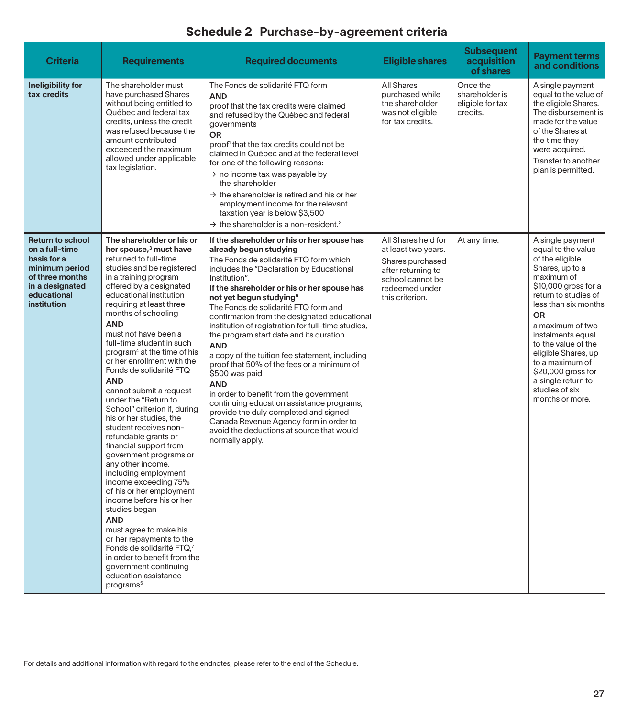| <b>Criteria</b>                                                                                                                                | <b>Requirements</b>                                                                                                                                                                                                                                                                                                                                                                                                                                                                                                                                                                                                                                                                                                                                                                                                                                                                                                                                                                                                        | <b>Required documents</b>                                                                                                                                                                                                                                                                                                                                                                                                                                                                                                                                                                                                                                                                                                                                                                                                                            | <b>Eligible shares</b>                                                                                                                        | <b>Subsequent</b><br>acquisition<br>of shares              | <b>Payment terms</b><br>and conditions                                                                                                                                                                                                                                                                                                                                     |
|------------------------------------------------------------------------------------------------------------------------------------------------|----------------------------------------------------------------------------------------------------------------------------------------------------------------------------------------------------------------------------------------------------------------------------------------------------------------------------------------------------------------------------------------------------------------------------------------------------------------------------------------------------------------------------------------------------------------------------------------------------------------------------------------------------------------------------------------------------------------------------------------------------------------------------------------------------------------------------------------------------------------------------------------------------------------------------------------------------------------------------------------------------------------------------|------------------------------------------------------------------------------------------------------------------------------------------------------------------------------------------------------------------------------------------------------------------------------------------------------------------------------------------------------------------------------------------------------------------------------------------------------------------------------------------------------------------------------------------------------------------------------------------------------------------------------------------------------------------------------------------------------------------------------------------------------------------------------------------------------------------------------------------------------|-----------------------------------------------------------------------------------------------------------------------------------------------|------------------------------------------------------------|----------------------------------------------------------------------------------------------------------------------------------------------------------------------------------------------------------------------------------------------------------------------------------------------------------------------------------------------------------------------------|
| Ineligibility for<br>tax credits                                                                                                               | The shareholder must<br>have purchased Shares<br>without being entitled to<br>Québec and federal tax<br>credits, unless the credit<br>was refused because the<br>amount contributed<br>exceeded the maximum<br>allowed under applicable<br>tax legislation.                                                                                                                                                                                                                                                                                                                                                                                                                                                                                                                                                                                                                                                                                                                                                                | The Fonds de solidarité FTQ form<br><b>AND</b><br>proof that the tax credits were claimed<br>and refused by the Québec and federal<br>governments<br><b>OR</b><br>proof <sup>1</sup> that the tax credits could not be<br>claimed in Québec and at the federal level<br>for one of the following reasons:<br>$\rightarrow$ no income tax was payable by<br>the shareholder<br>$\rightarrow$ the shareholder is retired and his or her<br>employment income for the relevant<br>taxation year is below \$3,500<br>$\rightarrow$ the shareholder is a non-resident. <sup>2</sup>                                                                                                                                                                                                                                                                       | <b>All Shares</b><br>purchased while<br>the shareholder<br>was not eligible<br>for tax credits.                                               | Once the<br>shareholder is<br>eligible for tax<br>credits. | A single payment<br>equal to the value of<br>the eligible Shares.<br>The disbursement is<br>made for the value<br>of the Shares at<br>the time they<br>were acquired.<br>Transfer to another<br>plan is permitted.                                                                                                                                                         |
| <b>Return to school</b><br>on a full-time<br>basis for a<br>minimum period<br>of three months<br>in a designated<br>educational<br>institution | The shareholder or his or<br>her spouse, <sup>3</sup> must have<br>returned to full-time<br>studies and be registered<br>in a training program<br>offered by a designated<br>educational institution<br>requiring at least three<br>months of schooling<br><b>AND</b><br>must not have been a<br>full-time student in such<br>program <sup>4</sup> at the time of his<br>or her enrollment with the<br>Fonds de solidarité FTQ<br><b>AND</b><br>cannot submit a request<br>under the "Return to<br>School" criterion if, during<br>his or her studies, the<br>student receives non-<br>refundable grants or<br>financial support from<br>government programs or<br>any other income,<br>including employment<br>income exceeding 75%<br>of his or her employment<br>income before his or her<br>studies began<br><b>AND</b><br>must agree to make his<br>or her repayments to the<br>Fonds de solidarité FTQ,7<br>in order to benefit from the<br>government continuing<br>education assistance<br>programs <sup>5</sup> . | If the shareholder or his or her spouse has<br>already begun studying<br>The Fonds de solidarité FTQ form which<br>includes the "Declaration by Educational<br>Institution".<br>If the shareholder or his or her spouse has<br>not yet begun studying <sup>6</sup><br>The Fonds de solidarité FTQ form and<br>confirmation from the designated educational<br>institution of registration for full-time studies,<br>the program start date and its duration<br><b>AND</b><br>a copy of the tuition fee statement, including<br>proof that 50% of the fees or a minimum of<br>\$500 was paid<br><b>AND</b><br>in order to benefit from the government<br>continuing education assistance programs,<br>provide the duly completed and signed<br>Canada Revenue Agency form in order to<br>avoid the deductions at source that would<br>normally apply. | All Shares held for<br>at least two years.<br>Shares purchased<br>after returning to<br>school cannot be<br>redeemed under<br>this criterion. | At any time.                                               | A single payment<br>equal to the value<br>of the eligible<br>Shares, up to a<br>maximum of<br>\$10,000 gross for a<br>return to studies of<br>less than six months<br><b>OR</b><br>a maximum of two<br>instalments equal<br>to the value of the<br>eligible Shares, up<br>to a maximum of<br>\$20,000 gross for<br>a single return to<br>studies of six<br>months or more. |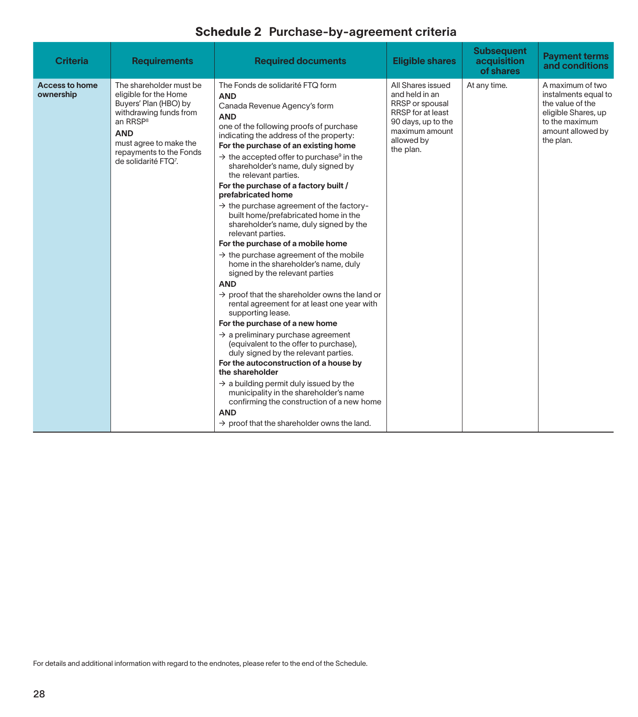| <b>Criteria</b>                    | <b>Requirements</b>                                                                                                                                                                                                                | <b>Required documents</b>                                                                                                                                                                                                                                                                                                                                                                                                                                                                                                                                                                                                                                                                                                                                                                                                                                                                                                                                                                                                                                                                                                                                                                                                                                                                       | <b>Eligible shares</b>                                                                                                                         | <b>Subsequent</b><br>acquisition<br>of shares | <b>Payment terms</b><br>and conditions                                                                                                  |
|------------------------------------|------------------------------------------------------------------------------------------------------------------------------------------------------------------------------------------------------------------------------------|-------------------------------------------------------------------------------------------------------------------------------------------------------------------------------------------------------------------------------------------------------------------------------------------------------------------------------------------------------------------------------------------------------------------------------------------------------------------------------------------------------------------------------------------------------------------------------------------------------------------------------------------------------------------------------------------------------------------------------------------------------------------------------------------------------------------------------------------------------------------------------------------------------------------------------------------------------------------------------------------------------------------------------------------------------------------------------------------------------------------------------------------------------------------------------------------------------------------------------------------------------------------------------------------------|------------------------------------------------------------------------------------------------------------------------------------------------|-----------------------------------------------|-----------------------------------------------------------------------------------------------------------------------------------------|
| <b>Access to home</b><br>ownership | The shareholder must be<br>eligible for the Home<br>Buyers' Plan (HBO) by<br>withdrawing funds from<br>an RRSP <sup>8</sup><br><b>AND</b><br>must agree to make the<br>repayments to the Fonds<br>de solidarité FTQ <sup>7</sup> . | The Fonds de solidarité FTQ form<br><b>AND</b><br>Canada Revenue Agency's form<br><b>AND</b><br>one of the following proofs of purchase<br>indicating the address of the property:<br>For the purchase of an existing home<br>$\rightarrow$ the accepted offer to purchase <sup>9</sup> in the<br>shareholder's name, duly signed by<br>the relevant parties.<br>For the purchase of a factory built /<br>prefabricated home<br>$\rightarrow$ the purchase agreement of the factory-<br>built home/prefabricated home in the<br>shareholder's name, duly signed by the<br>relevant parties.<br>For the purchase of a mobile home<br>$\rightarrow$ the purchase agreement of the mobile<br>home in the shareholder's name, duly<br>signed by the relevant parties<br><b>AND</b><br>$\rightarrow$ proof that the shareholder owns the land or<br>rental agreement for at least one year with<br>supporting lease.<br>For the purchase of a new home<br>$\rightarrow$ a preliminary purchase agreement<br>(equivalent to the offer to purchase),<br>duly signed by the relevant parties.<br>For the autoconstruction of a house by<br>the shareholder<br>$\rightarrow$ a building permit duly issued by the<br>municipality in the shareholder's name<br>confirming the construction of a new home | All Shares issued<br>and held in an<br>RRSP or spousal<br>RRSP for at least<br>90 days, up to the<br>maximum amount<br>allowed by<br>the plan. | At any time.                                  | A maximum of two<br>instalments equal to<br>the value of the<br>eligible Shares, up<br>to the maximum<br>amount allowed by<br>the plan. |

For details and additional information with regard to the endnotes, please refer to the end of the Schedule.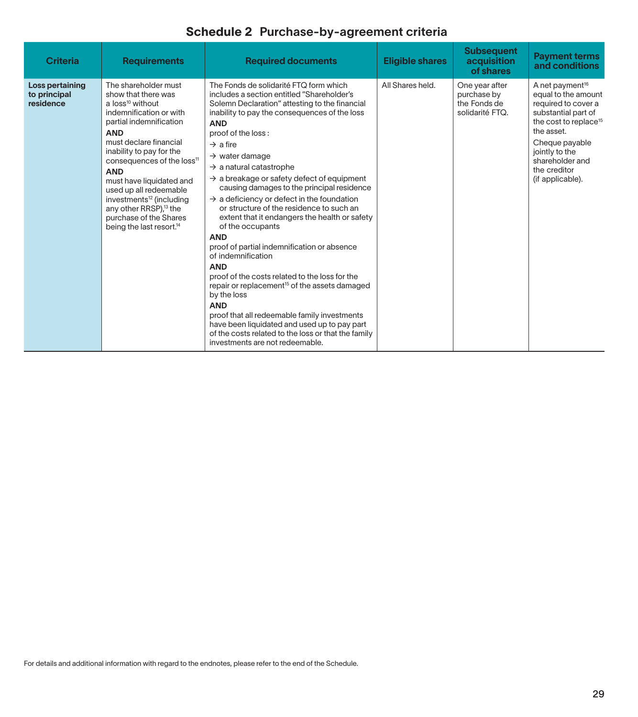| <b>Criteria</b>                              | <b>Requirements</b>                                                                                                                                                                                                                                                                                                                                                                                                                                          | <b>Required documents</b>                                                                                                                                                                                                                                                                                                                                                                                                                                                                                                                                                                                                                                                                                                                                                                                                                                                                                                                                                                                                                          | <b>Eligible shares</b> | <b>Subsequent</b><br>acquisition<br>of shares                    | <b>Payment terms</b><br>and conditions                                                                                                                                                                                                         |
|----------------------------------------------|--------------------------------------------------------------------------------------------------------------------------------------------------------------------------------------------------------------------------------------------------------------------------------------------------------------------------------------------------------------------------------------------------------------------------------------------------------------|----------------------------------------------------------------------------------------------------------------------------------------------------------------------------------------------------------------------------------------------------------------------------------------------------------------------------------------------------------------------------------------------------------------------------------------------------------------------------------------------------------------------------------------------------------------------------------------------------------------------------------------------------------------------------------------------------------------------------------------------------------------------------------------------------------------------------------------------------------------------------------------------------------------------------------------------------------------------------------------------------------------------------------------------------|------------------------|------------------------------------------------------------------|------------------------------------------------------------------------------------------------------------------------------------------------------------------------------------------------------------------------------------------------|
| Loss pertaining<br>to principal<br>residence | The shareholder must<br>show that there was<br>a $loss^{10}$ without<br>indemnification or with<br>partial indemnification<br><b>AND</b><br>must declare financial<br>inability to pay for the<br>consequences of the loss <sup>11</sup><br><b>AND</b><br>must have liquidated and<br>used up all redeemable<br>investments <sup>12</sup> (including<br>any other RRSP), <sup>13</sup> the<br>purchase of the Shares<br>being the last resort. <sup>14</sup> | The Fonds de solidarité FTQ form which<br>includes a section entitled "Shareholder's<br>Solemn Declaration" attesting to the financial<br>inability to pay the consequences of the loss<br><b>AND</b><br>proof of the loss:<br>$\rightarrow$ a fire<br>$\rightarrow$ water damage<br>$\rightarrow$ a natural catastrophe<br>$\rightarrow$ a breakage or safety defect of equipment<br>causing damages to the principal residence<br>$\rightarrow$ a deficiency or defect in the foundation<br>or structure of the residence to such an<br>extent that it endangers the health or safety<br>of the occupants<br><b>AND</b><br>proof of partial indemnification or absence<br>of indemnification<br><b>AND</b><br>proof of the costs related to the loss for the<br>repair or replacement <sup>15</sup> of the assets damaged<br>by the loss<br><b>AND</b><br>proof that all redeemable family investments<br>have been liquidated and used up to pay part<br>of the costs related to the loss or that the family<br>investments are not redeemable. | All Shares held.       | One year after<br>purchase by<br>the Fonds de<br>solidarité FTQ. | A net payment <sup>16</sup><br>equal to the amount<br>required to cover a<br>substantial part of<br>the cost to replace <sup>15</sup><br>the asset.<br>Cheque payable<br>jointly to the<br>shareholder and<br>the creditor<br>(if applicable). |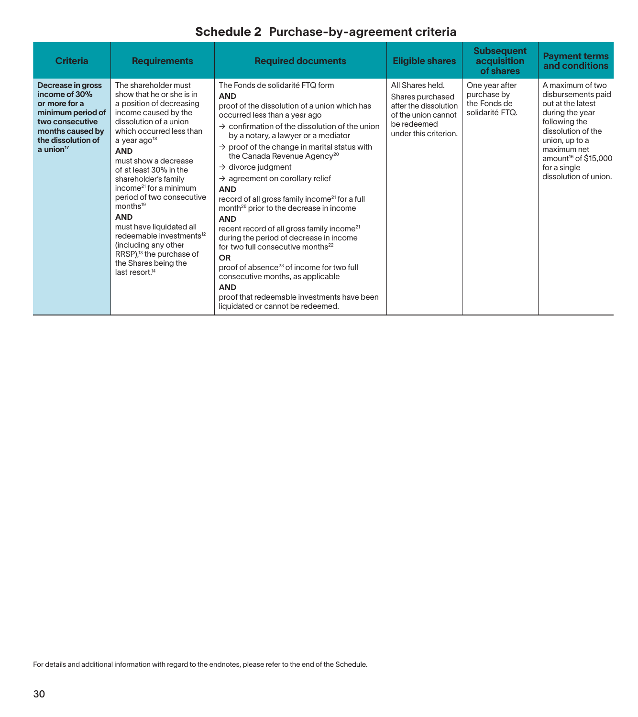| <b>Criteria</b>                                                                                                                                       | <b>Requirements</b>                                                                                                                                                                                                                                                                                                                                                                                                                                                                                                                                                                | <b>Required documents</b>                                                                                                                                                                                                                                                                                                                                                                                                                                                                                                                                                                                                                                                                                                                                                                                                                                                                                                                  | <b>Eligible shares</b>                                                                                                       | <b>Subsequent</b><br>acquisition<br>of shares                    | <b>Payment terms</b><br>and conditions                                                                                                                                                                                              |
|-------------------------------------------------------------------------------------------------------------------------------------------------------|------------------------------------------------------------------------------------------------------------------------------------------------------------------------------------------------------------------------------------------------------------------------------------------------------------------------------------------------------------------------------------------------------------------------------------------------------------------------------------------------------------------------------------------------------------------------------------|--------------------------------------------------------------------------------------------------------------------------------------------------------------------------------------------------------------------------------------------------------------------------------------------------------------------------------------------------------------------------------------------------------------------------------------------------------------------------------------------------------------------------------------------------------------------------------------------------------------------------------------------------------------------------------------------------------------------------------------------------------------------------------------------------------------------------------------------------------------------------------------------------------------------------------------------|------------------------------------------------------------------------------------------------------------------------------|------------------------------------------------------------------|-------------------------------------------------------------------------------------------------------------------------------------------------------------------------------------------------------------------------------------|
| Decrease in gross<br>income of 30%<br>or more for a<br>minimum period of<br>two consecutive<br>months caused by<br>the dissolution of<br>a union $17$ | The shareholder must<br>show that he or she is in<br>a position of decreasing<br>income caused by the<br>dissolution of a union<br>which occurred less than<br>a year ago <sup>18</sup><br><b>AND</b><br>must show a decrease<br>of at least 30% in the<br>shareholder's family<br>income <sup>21</sup> for a minimum<br>period of two consecutive<br>months <sup>19</sup><br><b>AND</b><br>must have liquidated all<br>redeemable investments <sup>12</sup><br>(including any other<br>RRSP), <sup>13</sup> the purchase of<br>the Shares being the<br>last resort. <sup>14</sup> | The Fonds de solidarité FTQ form<br><b>AND</b><br>proof of the dissolution of a union which has<br>occurred less than a year ago<br>$\rightarrow$ confirmation of the dissolution of the union<br>by a notary, a lawyer or a mediator<br>$\rightarrow$ proof of the change in marital status with<br>the Canada Revenue Agency <sup>20</sup><br>$\rightarrow$ divorce judgment<br>$\rightarrow$ agreement on corollary relief<br><b>AND</b><br>record of all gross family income <sup>21</sup> for a full<br>month <sup>26</sup> prior to the decrease in income<br><b>AND</b><br>recent record of all gross family income <sup>21</sup><br>during the period of decrease in income<br>for two full consecutive months <sup>22</sup><br>OR<br>proof of absence <sup>23</sup> of income for two full<br>consecutive months, as applicable<br><b>AND</b><br>proof that redeemable investments have been<br>liquidated or cannot be redeemed. | All Shares held.<br>Shares purchased<br>after the dissolution<br>of the union cannot<br>be redeemed<br>under this criterion. | One year after<br>purchase by<br>the Fonds de<br>solidarité FTQ. | A maximum of two<br>disbursements paid<br>out at the latest<br>during the year<br>following the<br>dissolution of the<br>union, up to a<br>maximum net<br>amount <sup>16</sup> of \$15,000<br>for a single<br>dissolution of union. |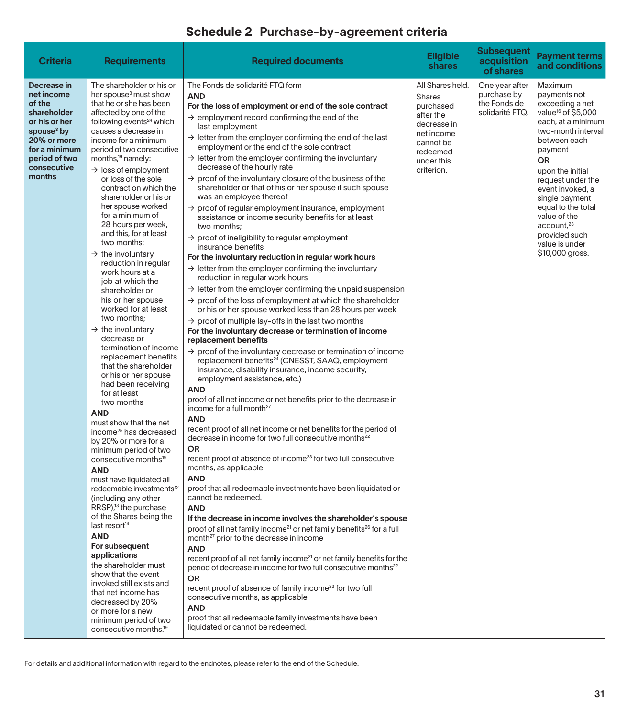| <b>Criteria</b>                                                                                                                                                         | <b>Requirements</b>                                                                                                                                                                                                                                                                                                                                                                                                                                                                                                                                                                                                                                                                                                                                                                                                                                                                                                                                                                                                                                                                                                                                                                                                                                                                                                                                                                                                                                                                                                 | <b>Required documents</b>                                                                                                                                                                                                                                                                                                                                                                                                                                                                                                                                                                                                                                                                                                                                                                                                                                                                                                                                                                                                                                                                                                                                                                                                                                                                                                                                                                                                                                                                                                                                                                                                                                                                                                                                                                                                                                                                                                                                                                                                                                                                                                                                                                                                                                                                                                                                                                                                                                                                                                                                                                                                                                                                                                                         | <b>Eligible</b><br><b>shares</b>                                                                                                              | <b>Subsequent</b><br>acquisition<br>of shares                    | <b>Payment terms</b><br>and conditions                                                                                                                                                                                                                                                                                                                         |
|-------------------------------------------------------------------------------------------------------------------------------------------------------------------------|---------------------------------------------------------------------------------------------------------------------------------------------------------------------------------------------------------------------------------------------------------------------------------------------------------------------------------------------------------------------------------------------------------------------------------------------------------------------------------------------------------------------------------------------------------------------------------------------------------------------------------------------------------------------------------------------------------------------------------------------------------------------------------------------------------------------------------------------------------------------------------------------------------------------------------------------------------------------------------------------------------------------------------------------------------------------------------------------------------------------------------------------------------------------------------------------------------------------------------------------------------------------------------------------------------------------------------------------------------------------------------------------------------------------------------------------------------------------------------------------------------------------|---------------------------------------------------------------------------------------------------------------------------------------------------------------------------------------------------------------------------------------------------------------------------------------------------------------------------------------------------------------------------------------------------------------------------------------------------------------------------------------------------------------------------------------------------------------------------------------------------------------------------------------------------------------------------------------------------------------------------------------------------------------------------------------------------------------------------------------------------------------------------------------------------------------------------------------------------------------------------------------------------------------------------------------------------------------------------------------------------------------------------------------------------------------------------------------------------------------------------------------------------------------------------------------------------------------------------------------------------------------------------------------------------------------------------------------------------------------------------------------------------------------------------------------------------------------------------------------------------------------------------------------------------------------------------------------------------------------------------------------------------------------------------------------------------------------------------------------------------------------------------------------------------------------------------------------------------------------------------------------------------------------------------------------------------------------------------------------------------------------------------------------------------------------------------------------------------------------------------------------------------------------------------------------------------------------------------------------------------------------------------------------------------------------------------------------------------------------------------------------------------------------------------------------------------------------------------------------------------------------------------------------------------------------------------------------------------------------------------------------------------|-----------------------------------------------------------------------------------------------------------------------------------------------|------------------------------------------------------------------|----------------------------------------------------------------------------------------------------------------------------------------------------------------------------------------------------------------------------------------------------------------------------------------------------------------------------------------------------------------|
| Decrease in<br>net income<br>of the<br>shareholder<br>or his or her<br>spouse <sup>3</sup> by<br>20% or more<br>for a minimum<br>period of two<br>consecutive<br>months | The shareholder or his or<br>her spouse <sup>3</sup> must show<br>that he or she has been<br>affected by one of the<br>following events <sup>24</sup> which<br>causes a decrease in<br>income for a minimum<br>period of two consecutive<br>months, <sup>19</sup> namely:<br>$\rightarrow$ loss of employment<br>or loss of the sole<br>contract on which the<br>shareholder or his or<br>her spouse worked<br>for a minimum of<br>28 hours per week,<br>and this, for at least<br>two months;<br>$\rightarrow$ the involuntary<br>reduction in regular<br>work hours at a<br>job at which the<br>shareholder or<br>his or her spouse<br>worked for at least<br>two months;<br>$\rightarrow$ the involuntary<br>decrease or<br>termination of income<br>replacement benefits<br>that the shareholder<br>or his or her spouse<br>had been receiving<br>for at least<br>two months<br><b>AND</b><br>must show that the net<br>income <sup>25</sup> has decreased<br>by 20% or more for a<br>minimum period of two<br>consecutive months <sup>19</sup><br><b>AND</b><br>must have liquidated all<br>redeemable investments <sup>12</sup><br>(including any other<br>RRSP), <sup>13</sup> the purchase<br>of the Shares being the<br>last resort <sup>14</sup><br><b>AND</b><br>For subsequent<br>applications<br>the shareholder must<br>show that the event<br>invoked still exists and<br>that net income has<br>decreased by 20%<br>or more for a new<br>minimum period of two<br>consecutive months. <sup>19</sup> | The Fonds de solidarité FTQ form<br><b>AND</b><br>For the loss of employment or end of the sole contract<br>$\rightarrow$ employment record confirming the end of the<br>last employment<br>$\rightarrow$ letter from the employer confirming the end of the last<br>employment or the end of the sole contract<br>$\rightarrow$ letter from the employer confirming the involuntary<br>decrease of the hourly rate<br>$\rightarrow$ proof of the involuntary closure of the business of the<br>shareholder or that of his or her spouse if such spouse<br>was an employee thereof<br>$\rightarrow$ proof of regular employment insurance, employment<br>assistance or income security benefits for at least<br>two months;<br>$\rightarrow$ proof of ineligibility to regular employment<br>insurance benefits<br>For the involuntary reduction in regular work hours<br>$\rightarrow$ letter from the employer confirming the involuntary<br>reduction in regular work hours<br>$\rightarrow$ letter from the employer confirming the unpaid suspension<br>$\rightarrow$ proof of the loss of employment at which the shareholder<br>or his or her spouse worked less than 28 hours per week<br>$\rightarrow$ proof of multiple lay-offs in the last two months<br>For the involuntary decrease or termination of income<br>replacement benefits<br>$\rightarrow$ proof of the involuntary decrease or termination of income<br>replacement benefits <sup>24</sup> (CNESST, SAAQ, employment<br>insurance, disability insurance, income security,<br>employment assistance, etc.)<br><b>AND</b><br>proof of all net income or net benefits prior to the decrease in<br>income for a full month <sup>27</sup><br><b>AND</b><br>recent proof of all net income or net benefits for the period of<br>decrease in income for two full consecutive months <sup>22</sup><br>OR<br>recent proof of absence of income <sup>23</sup> for two full consecutive<br>months, as applicable<br><b>AND</b><br>proof that all redeemable investments have been liquidated or<br>cannot be redeemed.<br><b>AND</b><br>If the decrease in income involves the shareholder's spouse<br>proof of all net family income <sup>21</sup> or net family benefits <sup>26</sup> for a full<br>month <sup>27</sup> prior to the decrease in income<br><b>AND</b><br>recent proof of all net family income <sup>21</sup> or net family benefits for the<br>period of decrease in income for two full consecutive months <sup>22</sup><br><b>OR</b><br>recent proof of absence of family income <sup>23</sup> for two full<br>consecutive months, as applicable<br><b>AND</b><br>proof that all redeemable family investments have been<br>liquidated or cannot be redeemed. | All Shares held.<br><b>Shares</b><br>purchased<br>after the<br>decrease in<br>net income<br>cannot be<br>redeemed<br>under this<br>criterion. | One year after<br>purchase by<br>the Fonds de<br>solidarité FTQ. | Maximum<br>payments not<br>exceeding a net<br>value <sup>16</sup> of \$5,000<br>each, at a minimum<br>two-month interval<br>between each<br>payment<br>OR<br>upon the initial<br>request under the<br>event invoked, a<br>single payment<br>equal to the total<br>value of the<br>account, <sup>28</sup><br>provided such<br>value is under<br>\$10,000 gross. |

For details and additional information with regard to the endnotes, please refer to the end of the Schedule.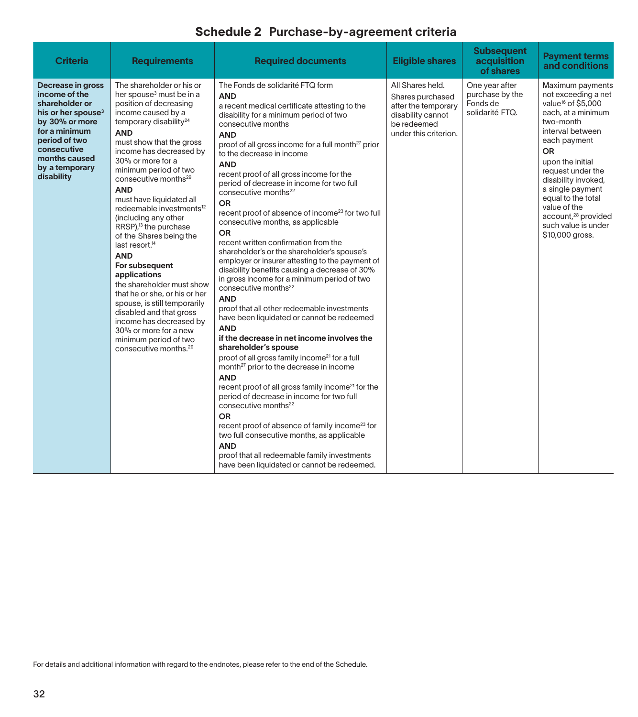| <b>Criteria</b>                                                                                                                                                                                            | <b>Requirements</b>                                                                                                                                                                                                                                                                                                                                                                                                                                                                                                                                                                                                                                                                                                                                                                                               | <b>Required documents</b>                                                                                                                                                                                                                                                                                                                                                                                                                                                                                                                                                                                                                                                                                                                                                                                                                                                                                                                                                                                                                                                                                                                                                                                                                                                                                                                                                                                                                                                                                                                                     | <b>Eligible shares</b>                                                                                                   | <b>Subsequent</b><br>acquisition<br>of shares                    | <b>Payment terms</b><br>and conditions                                                                                                                                                                                                                                                                                                                               |
|------------------------------------------------------------------------------------------------------------------------------------------------------------------------------------------------------------|-------------------------------------------------------------------------------------------------------------------------------------------------------------------------------------------------------------------------------------------------------------------------------------------------------------------------------------------------------------------------------------------------------------------------------------------------------------------------------------------------------------------------------------------------------------------------------------------------------------------------------------------------------------------------------------------------------------------------------------------------------------------------------------------------------------------|---------------------------------------------------------------------------------------------------------------------------------------------------------------------------------------------------------------------------------------------------------------------------------------------------------------------------------------------------------------------------------------------------------------------------------------------------------------------------------------------------------------------------------------------------------------------------------------------------------------------------------------------------------------------------------------------------------------------------------------------------------------------------------------------------------------------------------------------------------------------------------------------------------------------------------------------------------------------------------------------------------------------------------------------------------------------------------------------------------------------------------------------------------------------------------------------------------------------------------------------------------------------------------------------------------------------------------------------------------------------------------------------------------------------------------------------------------------------------------------------------------------------------------------------------------------|--------------------------------------------------------------------------------------------------------------------------|------------------------------------------------------------------|----------------------------------------------------------------------------------------------------------------------------------------------------------------------------------------------------------------------------------------------------------------------------------------------------------------------------------------------------------------------|
| Decrease in gross<br>income of the<br>shareholder or<br>his or her spouse <sup>3</sup><br>by 30% or more<br>for a minimum<br>period of two<br>consecutive<br>months caused<br>by a temporary<br>disability | The shareholder or his or<br>her spouse <sup>3</sup> must be in a<br>position of decreasing<br>income caused by a<br>temporary disability <sup>24</sup><br><b>AND</b><br>must show that the gross<br>income has decreased by<br>30% or more for a<br>minimum period of two<br>consecutive months <sup>29</sup><br><b>AND</b><br>must have liquidated all<br>redeemable investments <sup>12</sup><br>(including any other<br>RRSP), <sup>13</sup> the purchase<br>of the Shares being the<br>last resort. <sup>14</sup><br><b>AND</b><br>For subsequent<br>applications<br>the shareholder must show<br>that he or she, or his or her<br>spouse, is still temporarily<br>disabled and that gross<br>income has decreased by<br>30% or more for a new<br>minimum period of two<br>consecutive months. <sup>29</sup> | The Fonds de solidarité FTQ form<br><b>AND</b><br>a recent medical certificate attesting to the<br>disability for a minimum period of two<br>consecutive months<br><b>AND</b><br>proof of all gross income for a full month <sup>27</sup> prior<br>to the decrease in income<br><b>AND</b><br>recent proof of all gross income for the<br>period of decrease in income for two full<br>consecutive months <sup>22</sup><br><b>OR</b><br>recent proof of absence of income <sup>23</sup> for two full<br>consecutive months, as applicable<br><b>OR</b><br>recent written confirmation from the<br>shareholder's or the shareholder's spouse's<br>employer or insurer attesting to the payment of<br>disability benefits causing a decrease of 30%<br>in gross income for a minimum period of two<br>consecutive months <sup>22</sup><br><b>AND</b><br>proof that all other redeemable investments<br>have been liquidated or cannot be redeemed<br><b>AND</b><br>if the decrease in net income involves the<br>shareholder's spouse<br>proof of all gross family income <sup>21</sup> for a full<br>month <sup>27</sup> prior to the decrease in income<br><b>AND</b><br>recent proof of all gross family income <sup>21</sup> for the<br>period of decrease in income for two full<br>consecutive months <sup>22</sup><br><b>OR</b><br>recent proof of absence of family income <sup>23</sup> for<br>two full consecutive months, as applicable<br><b>AND</b><br>proof that all redeemable family investments<br>have been liquidated or cannot be redeemed. | All Shares held.<br>Shares purchased<br>after the temporary<br>disability cannot<br>be redeemed<br>under this criterion. | One year after<br>purchase by the<br>Fonds de<br>solidarité FTQ. | Maximum payments<br>not exceeding a net<br>value <sup>16</sup> of \$5,000<br>each, at a minimum<br>two-month<br>interval between<br>each payment<br><b>OR</b><br>upon the initial<br>request under the<br>disability invoked,<br>a single payment<br>equal to the total<br>value of the<br>account, <sup>28</sup> provided<br>such value is under<br>\$10,000 gross. |

For details and additional information with regard to the endnotes, please refer to the end of the Schedule.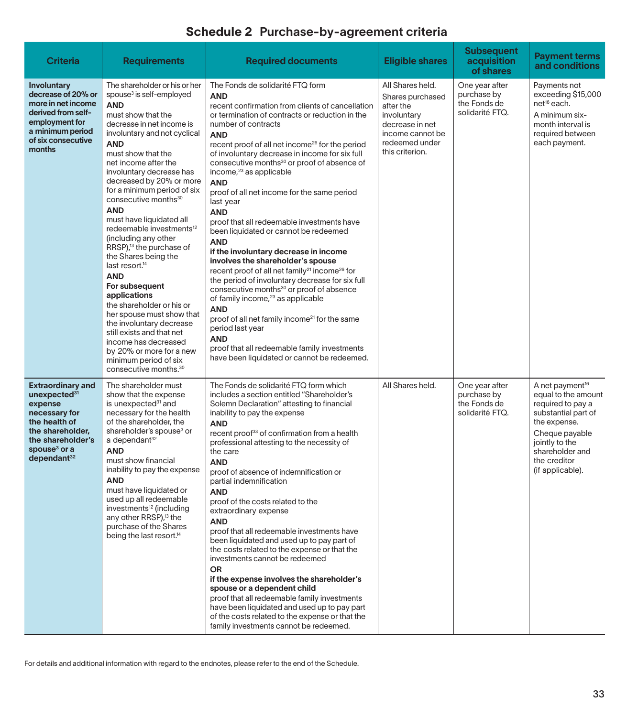| <b>Criteria</b>                                                                                                                                                                                   | <b>Requirements</b>                                                                                                                                                                                                                                                                                                                                                                                                                                                                                                                                                                                                                                                                                                                                                                                                                                        | <b>Required documents</b>                                                                                                                                                                                                                                                                                                                                                                                                                                                                                                                                                                                                                                                                                                                                                                                                                                                                                                                                                                                                                                                                                                                 | <b>Eligible shares</b>                                                                                                                       | <b>Subsequent</b><br>acquisition<br>of shares                    | <b>Payment terms</b><br>and conditions                                                                                                                                                                    |
|---------------------------------------------------------------------------------------------------------------------------------------------------------------------------------------------------|------------------------------------------------------------------------------------------------------------------------------------------------------------------------------------------------------------------------------------------------------------------------------------------------------------------------------------------------------------------------------------------------------------------------------------------------------------------------------------------------------------------------------------------------------------------------------------------------------------------------------------------------------------------------------------------------------------------------------------------------------------------------------------------------------------------------------------------------------------|-------------------------------------------------------------------------------------------------------------------------------------------------------------------------------------------------------------------------------------------------------------------------------------------------------------------------------------------------------------------------------------------------------------------------------------------------------------------------------------------------------------------------------------------------------------------------------------------------------------------------------------------------------------------------------------------------------------------------------------------------------------------------------------------------------------------------------------------------------------------------------------------------------------------------------------------------------------------------------------------------------------------------------------------------------------------------------------------------------------------------------------------|----------------------------------------------------------------------------------------------------------------------------------------------|------------------------------------------------------------------|-----------------------------------------------------------------------------------------------------------------------------------------------------------------------------------------------------------|
| Involuntary<br>decrease of 20% or<br>more in net income<br>derived from self-<br>employment for<br>a minimum period<br>of six consecutive<br>months                                               | The shareholder or his or her<br>spouse <sup>3</sup> is self-employed<br><b>AND</b><br>must show that the<br>decrease in net income is<br>involuntary and not cyclical<br><b>AND</b><br>must show that the<br>net income after the<br>involuntary decrease has<br>decreased by 20% or more<br>for a minimum period of six<br>consecutive months <sup>30</sup><br><b>AND</b><br>must have liquidated all<br>redeemable investments <sup>12</sup><br>(including any other<br>RRSP), <sup>13</sup> the purchase of<br>the Shares being the<br>last resort. <sup>14</sup><br><b>AND</b><br>For subsequent<br>applications<br>the shareholder or his or<br>her spouse must show that<br>the involuntary decrease<br>still exists and that net<br>income has decreased<br>by 20% or more for a new<br>minimum period of six<br>consecutive months. <sup>30</sup> | The Fonds de solidarité FTQ form<br><b>AND</b><br>recent confirmation from clients of cancellation<br>or termination of contracts or reduction in the<br>number of contracts<br><b>AND</b><br>recent proof of all net income <sup>26</sup> for the period<br>of involuntary decrease in income for six full<br>consecutive months <sup>30</sup> or proof of absence of<br>income, <sup>23</sup> as applicable<br><b>AND</b><br>proof of all net income for the same period<br>last year<br><b>AND</b><br>proof that all redeemable investments have<br>been liquidated or cannot be redeemed<br><b>AND</b><br>if the involuntary decrease in income<br>involves the shareholder's spouse<br>recent proof of all net family <sup>21</sup> income <sup>26</sup> for<br>the period of involuntary decrease for six full<br>consecutive months <sup>30</sup> or proof of absence<br>of family income, <sup>23</sup> as applicable<br><b>AND</b><br>proof of all net family income <sup>21</sup> for the same<br>period last year<br><b>AND</b><br>proof that all redeemable family investments<br>have been liquidated or cannot be redeemed. | All Shares held.<br>Shares purchased<br>after the<br>involuntary<br>decrease in net<br>income cannot be<br>redeemed under<br>this criterion. | One year after<br>purchase by<br>the Fonds de<br>solidarité FTQ. | Payments not<br>exceeding \$15,000<br>net <sup>16</sup> each.<br>A minimum six-<br>month interval is<br>required between<br>each payment.                                                                 |
| <b>Extraordinary and</b><br>unexpected <sup>31</sup><br>expense<br>necessary for<br>the health of<br>the shareholder,<br>the shareholder's<br>spouse <sup>3</sup> or a<br>dependent <sup>32</sup> | The shareholder must<br>show that the expense<br>is unexpected <sup>31</sup> and<br>necessary for the health<br>of the shareholder, the<br>shareholder's spouse <sup>3</sup> or<br>a dependant <sup>32</sup><br><b>AND</b><br>must show financial<br>inability to pay the expense<br><b>AND</b><br>must have liquidated or<br>used up all redeemable<br>investments <sup>12</sup> (including<br>any other RRSP), <sup>13</sup> the<br>purchase of the Shares<br>being the last resort. <sup>14</sup>                                                                                                                                                                                                                                                                                                                                                       | The Fonds de solidarité FTQ form which<br>includes a section entitled "Shareholder's<br>Solemn Declaration" attesting to financial<br>inability to pay the expense<br><b>AND</b><br>recent proof <sup>33</sup> of confirmation from a health<br>professional attesting to the necessity of<br>the care<br><b>AND</b><br>proof of absence of indemnification or<br>partial indemnification<br><b>AND</b><br>proof of the costs related to the<br>extraordinary expense<br><b>AND</b><br>proof that all redeemable investments have<br>been liquidated and used up to pay part of<br>the costs related to the expense or that the<br>investments cannot be redeemed<br><b>OR</b><br>if the expense involves the shareholder's<br>spouse or a dependent child<br>proof that all redeemable family investments<br>have been liquidated and used up to pay part<br>of the costs related to the expense or that the<br>family investments cannot be redeemed.                                                                                                                                                                                   | All Shares held.                                                                                                                             | One year after<br>purchase by<br>the Fonds de<br>solidarité FTQ. | A net payment <sup>16</sup><br>equal to the amount<br>required to pay a<br>substantial part of<br>the expense.<br>Cheque payable<br>jointly to the<br>shareholder and<br>the creditor<br>(if applicable). |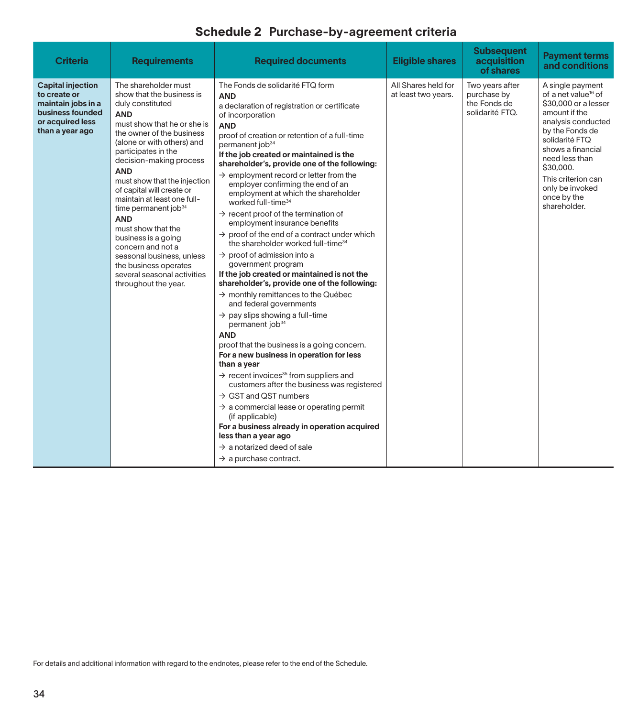| <b>Criteria</b>                                                                                                           | <b>Requirements</b>                                                                                                                                                                                                                                                                                                                                                                                                                                                                                                                                                        | <b>Required documents</b>                                                                                                                                                                                                                                                                                                                                                                                                                                                                                                                                                                                                                                                                                                                                                                                                                                                                                                                                                                                                                                                                                                                                                                                                                                                                                                                                                                                                                                                                                                       | <b>Eligible shares</b>                     | <b>Subsequent</b><br>acquisition<br>of shares                     | <b>Payment terms</b><br>and conditions                                                                                                                                                                                                                                              |
|---------------------------------------------------------------------------------------------------------------------------|----------------------------------------------------------------------------------------------------------------------------------------------------------------------------------------------------------------------------------------------------------------------------------------------------------------------------------------------------------------------------------------------------------------------------------------------------------------------------------------------------------------------------------------------------------------------------|---------------------------------------------------------------------------------------------------------------------------------------------------------------------------------------------------------------------------------------------------------------------------------------------------------------------------------------------------------------------------------------------------------------------------------------------------------------------------------------------------------------------------------------------------------------------------------------------------------------------------------------------------------------------------------------------------------------------------------------------------------------------------------------------------------------------------------------------------------------------------------------------------------------------------------------------------------------------------------------------------------------------------------------------------------------------------------------------------------------------------------------------------------------------------------------------------------------------------------------------------------------------------------------------------------------------------------------------------------------------------------------------------------------------------------------------------------------------------------------------------------------------------------|--------------------------------------------|-------------------------------------------------------------------|-------------------------------------------------------------------------------------------------------------------------------------------------------------------------------------------------------------------------------------------------------------------------------------|
| <b>Capital injection</b><br>to create or<br>maintain jobs in a<br>business founded<br>or acquired less<br>than a year ago | The shareholder must<br>show that the business is<br>duly constituted<br><b>AND</b><br>must show that he or she is<br>the owner of the business<br>(alone or with others) and<br>participates in the<br>decision-making process<br><b>AND</b><br>must show that the injection<br>of capital will create or<br>maintain at least one full-<br>time permanent job <sup>34</sup><br><b>AND</b><br>must show that the<br>business is a going<br>concern and not a<br>seasonal business, unless<br>the business operates<br>several seasonal activities<br>throughout the year. | The Fonds de solidarité FTQ form<br><b>AND</b><br>a declaration of registration or certificate<br>of incorporation<br><b>AND</b><br>proof of creation or retention of a full-time<br>permanent job <sup>34</sup><br>If the job created or maintained is the<br>shareholder's, provide one of the following:<br>$\rightarrow$ employment record or letter from the<br>employer confirming the end of an<br>employment at which the shareholder<br>worked full-time <sup>34</sup><br>$\rightarrow$ recent proof of the termination of<br>employment insurance benefits<br>$\rightarrow$ proof of the end of a contract under which<br>the shareholder worked full-time <sup>34</sup><br>$\rightarrow$ proof of admission into a<br>government program<br>If the job created or maintained is not the<br>shareholder's, provide one of the following:<br>$\rightarrow$ monthly remittances to the Québec<br>and federal governments<br>$\rightarrow$ pay slips showing a full-time<br>permanent job <sup>34</sup><br><b>AND</b><br>proof that the business is a going concern.<br>For a new business in operation for less<br>than a year<br>$\rightarrow$ recent invoices <sup>35</sup> from suppliers and<br>customers after the business was registered<br>$\rightarrow$ GST and QST numbers<br>$\rightarrow$ a commercial lease or operating permit<br>(if applicable)<br>For a business already in operation acquired<br>less than a year ago<br>$\rightarrow$ a notarized deed of sale<br>$\rightarrow$ a purchase contract. | All Shares held for<br>at least two years. | Two years after<br>purchase by<br>the Fonds de<br>solidarité FTQ. | A single payment<br>of a net value <sup>16</sup> of<br>\$30,000 or a lesser<br>amount if the<br>analysis conducted<br>by the Fonds de<br>solidarité FTQ<br>shows a financial<br>need less than<br>\$30,000.<br>This criterion can<br>only be invoked<br>once by the<br>shareholder. |

For details and additional information with regard to the endnotes, please refer to the end of the Schedule.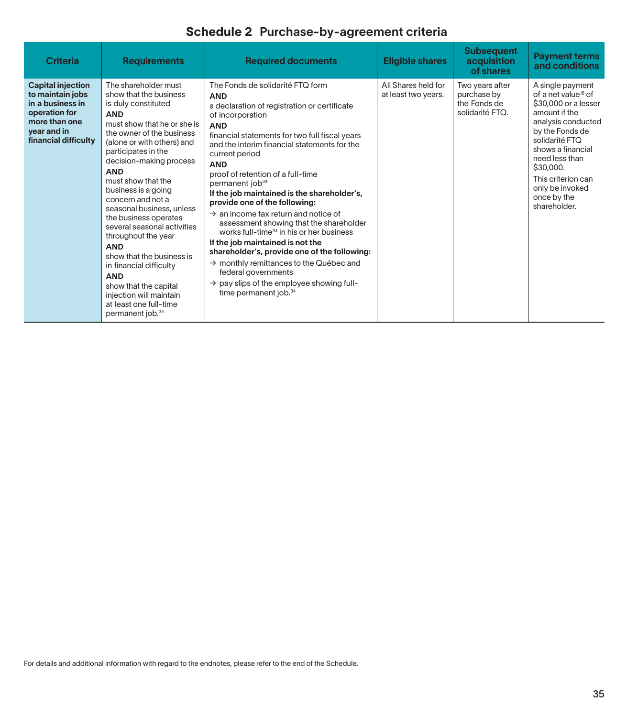| <b>Criteria</b>                                                                                                                           | <b>Requirements</b>                                                                                                                                                                                                                                                                                                                                                                                                                                                                                                                                                                                                           | <b>Required documents</b>                                                                                                                                                                                                                                                                                                                                                                                                                                                                                                                                                                                                                                                                                                                                                                                                                     | <b>Eligible shares</b>                     | <b>Subsequent</b><br>acquisition<br>of shares                     | <b>Payment terms</b><br>and conditions                                                                                                                                                                                                                                              |
|-------------------------------------------------------------------------------------------------------------------------------------------|-------------------------------------------------------------------------------------------------------------------------------------------------------------------------------------------------------------------------------------------------------------------------------------------------------------------------------------------------------------------------------------------------------------------------------------------------------------------------------------------------------------------------------------------------------------------------------------------------------------------------------|-----------------------------------------------------------------------------------------------------------------------------------------------------------------------------------------------------------------------------------------------------------------------------------------------------------------------------------------------------------------------------------------------------------------------------------------------------------------------------------------------------------------------------------------------------------------------------------------------------------------------------------------------------------------------------------------------------------------------------------------------------------------------------------------------------------------------------------------------|--------------------------------------------|-------------------------------------------------------------------|-------------------------------------------------------------------------------------------------------------------------------------------------------------------------------------------------------------------------------------------------------------------------------------|
| <b>Capital injection</b><br>to maintain jobs<br>in a business in<br>operation for<br>more than one<br>year and in<br>financial difficulty | The shareholder must<br>show that the business<br>is duly constituted<br><b>AND</b><br>must show that he or she is<br>the owner of the business<br>(alone or with others) and<br>participates in the<br>decision-making process<br><b>AND</b><br>must show that the<br>business is a going<br>concern and not a<br>seasonal business, unless<br>the business operates<br>several seasonal activities<br>throughout the year<br><b>AND</b><br>show that the business is<br>in financial difficulty<br><b>AND</b><br>show that the capital<br>injection will maintain<br>at least one full-time<br>permanent job. <sup>34</sup> | The Fonds de solidarité FTQ form<br><b>AND</b><br>a declaration of registration or certificate<br>of incorporation<br><b>AND</b><br>financial statements for two full fiscal years<br>and the interim financial statements for the<br>current period<br><b>AND</b><br>proof of retention of a full-time<br>permanent job <sup>34</sup><br>If the job maintained is the shareholder's,<br>provide one of the following:<br>$\rightarrow$ an income tax return and notice of<br>assessment showing that the shareholder<br>works full-time <sup>34</sup> in his or her business<br>If the job maintained is not the<br>shareholder's, provide one of the following:<br>$\rightarrow$ monthly remittances to the Québec and<br>federal governments<br>$\rightarrow$ pay slips of the employee showing full-<br>time permanent job. <sup>34</sup> | All Shares held for<br>at least two years. | Two years after<br>purchase by<br>the Fonds de<br>solidarité FTQ. | A single payment<br>of a net value <sup>16</sup> of<br>\$30,000 or a lesser<br>amount if the<br>analysis conducted<br>by the Fonds de<br>solidarité FTO<br>shows a financial<br>need less than<br>\$30,000.<br>This criterion can<br>only be invoked<br>once by the<br>shareholder. |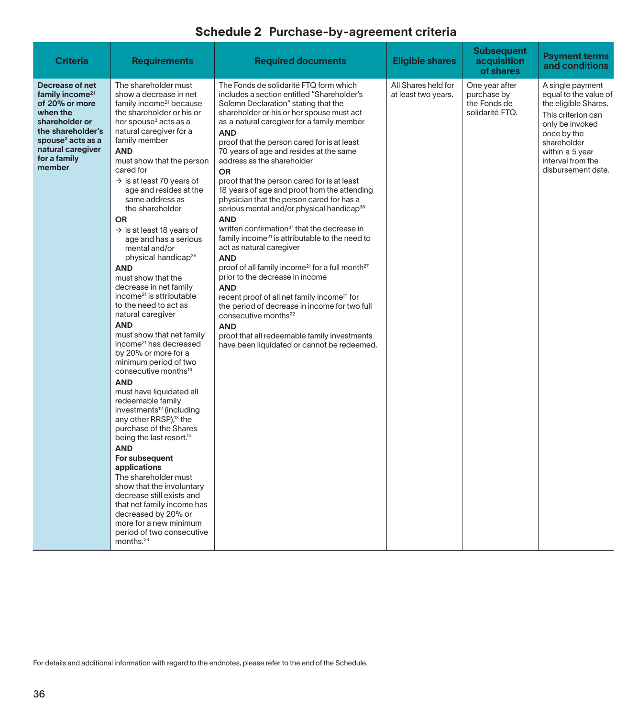| <b>Criteria</b>                                                                                                                                                                                     | <b>Requirements</b>                                                                                                                                                                                                                                                                                                                                                                                                                                                                                                                                                                                                                                                                                                                                                                                                                                                                                                                                                                                                                                                                                                                                                                                                                                                                                                     | <b>Required documents</b>                                                                                                                                                                                                                                                                                                                                                                                                                                                                                                                                                                                                                                                                                                                                                                                                                                                                                                                                                                                                                                                                                                                          | Eligible shares                            | <b>Subsequent</b><br>acquisition<br>of shares                    | <b>Payment terms</b><br>and conditions                                                                                                                                                                 |
|-----------------------------------------------------------------------------------------------------------------------------------------------------------------------------------------------------|-------------------------------------------------------------------------------------------------------------------------------------------------------------------------------------------------------------------------------------------------------------------------------------------------------------------------------------------------------------------------------------------------------------------------------------------------------------------------------------------------------------------------------------------------------------------------------------------------------------------------------------------------------------------------------------------------------------------------------------------------------------------------------------------------------------------------------------------------------------------------------------------------------------------------------------------------------------------------------------------------------------------------------------------------------------------------------------------------------------------------------------------------------------------------------------------------------------------------------------------------------------------------------------------------------------------------|----------------------------------------------------------------------------------------------------------------------------------------------------------------------------------------------------------------------------------------------------------------------------------------------------------------------------------------------------------------------------------------------------------------------------------------------------------------------------------------------------------------------------------------------------------------------------------------------------------------------------------------------------------------------------------------------------------------------------------------------------------------------------------------------------------------------------------------------------------------------------------------------------------------------------------------------------------------------------------------------------------------------------------------------------------------------------------------------------------------------------------------------------|--------------------------------------------|------------------------------------------------------------------|--------------------------------------------------------------------------------------------------------------------------------------------------------------------------------------------------------|
| Decrease of net<br>family income <sup>21</sup><br>of 20% or more<br>when the<br>shareholder or<br>the shareholder's<br>spouse <sup>3</sup> acts as a<br>natural caregiver<br>for a family<br>member | The shareholder must<br>show a decrease in net<br>family income <sup>21</sup> because<br>the shareholder or his or<br>her spouse <sup>3</sup> acts as a<br>natural caregiver for a<br>family member<br><b>AND</b><br>must show that the person<br>cared for<br>$\rightarrow$ is at least 70 years of<br>age and resides at the<br>same address as<br>the shareholder<br><b>OR</b><br>$\rightarrow$ is at least 18 years of<br>age and has a serious<br>mental and/or<br>physical handicap <sup>36</sup><br><b>AND</b><br>must show that the<br>decrease in net family<br>income <sup>21</sup> is attributable<br>to the need to act as<br>natural caregiver<br><b>AND</b><br>must show that net family<br>income <sup>21</sup> has decreased<br>by 20% or more for a<br>minimum period of two<br>consecutive months <sup>19</sup><br><b>AND</b><br>must have liquidated all<br>redeemable family<br>investments <sup>12</sup> (including<br>any other RRSP), <sup>13</sup> the<br>purchase of the Shares<br>being the last resort. <sup>14</sup><br><b>AND</b><br>For subsequent<br>applications<br>The shareholder must<br>show that the involuntary<br>decrease still exists and<br>that net family income has<br>decreased by 20% or<br>more for a new minimum<br>period of two consecutive<br>months. <sup>29</sup> | The Fonds de solidarité FTQ form which<br>includes a section entitled "Shareholder's<br>Solemn Declaration" stating that the<br>shareholder or his or her spouse must act<br>as a natural caregiver for a family member<br><b>AND</b><br>proof that the person cared for is at least<br>70 years of age and resides at the same<br>address as the shareholder<br>OR<br>proof that the person cared for is at least<br>18 years of age and proof from the attending<br>physician that the person cared for has a<br>serious mental and/or physical handicap <sup>36</sup><br><b>AND</b><br>written confirmation <sup>37</sup> that the decrease in<br>family income <sup>21</sup> is attributable to the need to<br>act as natural caregiver<br><b>AND</b><br>proof of all family income <sup>21</sup> for a full month <sup>27</sup><br>prior to the decrease in income<br><b>AND</b><br>recent proof of all net family income <sup>21</sup> for<br>the period of decrease in income for two full<br>consecutive months <sup>22</sup><br><b>AND</b><br>proof that all redeemable family investments<br>have been liquidated or cannot be redeemed. | All Shares held for<br>at least two years. | One year after<br>purchase by<br>the Fonds de<br>solidarité FTQ. | A single payment<br>equal to the value of<br>the eligible Shares.<br>This criterion can<br>only be invoked<br>once by the<br>shareholder<br>within a 5 year<br>interval from the<br>disbursement date. |

For details and additional information with regard to the endnotes, please refer to the end of the Schedule.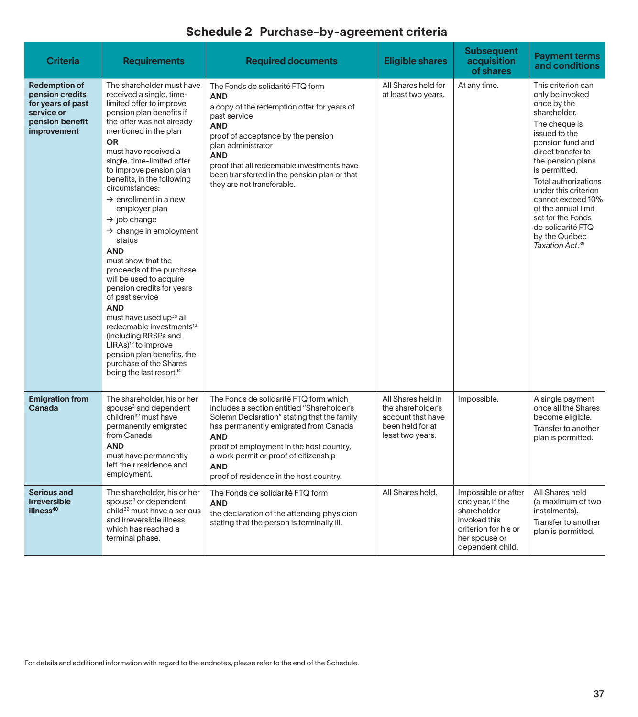| <b>Criteria</b>                                                                                              | <b>Requirements</b>                                                                                                                                                                                                                                                                                                                                                                                                                                                                                                                                                                                                                                                                                                                                                                                                                                    | <b>Required documents</b>                                                                                                                                                                                                                                                                                                                | <b>Eligible shares</b>                                                                               | <b>Subsequent</b><br>acquisition<br>of shares                                                                                       | <b>Payment terms</b><br>and conditions                                                                                                                                                                                                                                                                                                                                       |
|--------------------------------------------------------------------------------------------------------------|--------------------------------------------------------------------------------------------------------------------------------------------------------------------------------------------------------------------------------------------------------------------------------------------------------------------------------------------------------------------------------------------------------------------------------------------------------------------------------------------------------------------------------------------------------------------------------------------------------------------------------------------------------------------------------------------------------------------------------------------------------------------------------------------------------------------------------------------------------|------------------------------------------------------------------------------------------------------------------------------------------------------------------------------------------------------------------------------------------------------------------------------------------------------------------------------------------|------------------------------------------------------------------------------------------------------|-------------------------------------------------------------------------------------------------------------------------------------|------------------------------------------------------------------------------------------------------------------------------------------------------------------------------------------------------------------------------------------------------------------------------------------------------------------------------------------------------------------------------|
| <b>Redemption of</b><br>pension credits<br>for years of past<br>service or<br>pension benefit<br>improvement | The shareholder must have<br>received a single, time-<br>limited offer to improve<br>pension plan benefits if<br>the offer was not already<br>mentioned in the plan<br><b>OR</b><br>must have received a<br>single, time-limited offer<br>to improve pension plan<br>benefits, in the following<br>circumstances:<br>$\rightarrow$ enrollment in a new<br>employer plan<br>$\rightarrow$ job change<br>$\rightarrow$ change in employment<br>status<br><b>AND</b><br>must show that the<br>proceeds of the purchase<br>will be used to acquire<br>pension credits for years<br>of past service<br><b>AND</b><br>must have used up <sup>38</sup> all<br>redeemable investments <sup>12</sup><br>(including RRSPs and<br>LIRAs) <sup>12</sup> to improve<br>pension plan benefits, the<br>purchase of the Shares<br>being the last resort. <sup>14</sup> | The Fonds de solidarité FTQ form<br><b>AND</b><br>a copy of the redemption offer for years of<br>past service<br><b>AND</b><br>proof of acceptance by the pension<br>plan administrator<br><b>AND</b><br>proof that all redeemable investments have<br>been transferred in the pension plan or that<br>they are not transferable.        | All Shares held for<br>at least two years.                                                           | At any time.                                                                                                                        | This criterion can<br>only be invoked<br>once by the<br>shareholder.<br>The cheque is<br>issued to the<br>pension fund and<br>direct transfer to<br>the pension plans<br>is permitted.<br>Total authorizations<br>under this criterion<br>cannot exceed 10%<br>of the annual limit<br>set for the Fonds<br>de solidarité FTQ<br>by the Québec<br>Taxation Act. <sup>39</sup> |
| <b>Emigration from</b><br>Canada                                                                             | The shareholder, his or her<br>spouse <sup>3</sup> and dependent<br>children <sup>32</sup> must have<br>permanently emigrated<br>from Canada<br><b>AND</b><br>must have permanently<br>left their residence and<br>employment.                                                                                                                                                                                                                                                                                                                                                                                                                                                                                                                                                                                                                         | The Fonds de solidarité FTQ form which<br>includes a section entitled "Shareholder's<br>Solemn Declaration" stating that the family<br>has permanently emigrated from Canada<br><b>AND</b><br>proof of employment in the host country,<br>a work permit or proof of citizenship<br><b>AND</b><br>proof of residence in the host country. | All Shares held in<br>the shareholder's<br>account that have<br>been held for at<br>least two years. | Impossible.                                                                                                                         | A single payment<br>once all the Shares<br>become eligible.<br>Transfer to another<br>plan is permitted.                                                                                                                                                                                                                                                                     |
| <b>Serious and</b><br>irreversible<br>illness <sup>40</sup>                                                  | The shareholder, his or her<br>spouse <sup>3</sup> or dependent<br>child <sup>32</sup> must have a serious<br>and irreversible illness<br>which has reached a<br>terminal phase.                                                                                                                                                                                                                                                                                                                                                                                                                                                                                                                                                                                                                                                                       | The Fonds de solidarité FTQ form<br><b>AND</b><br>the declaration of the attending physician<br>stating that the person is terminally ill.                                                                                                                                                                                               | All Shares held.                                                                                     | Impossible or after<br>one year, if the<br>shareholder<br>invoked this<br>criterion for his or<br>her spouse or<br>dependent child. | All Shares held<br>(a maximum of two<br>instalments).<br>Transfer to another<br>plan is permitted.                                                                                                                                                                                                                                                                           |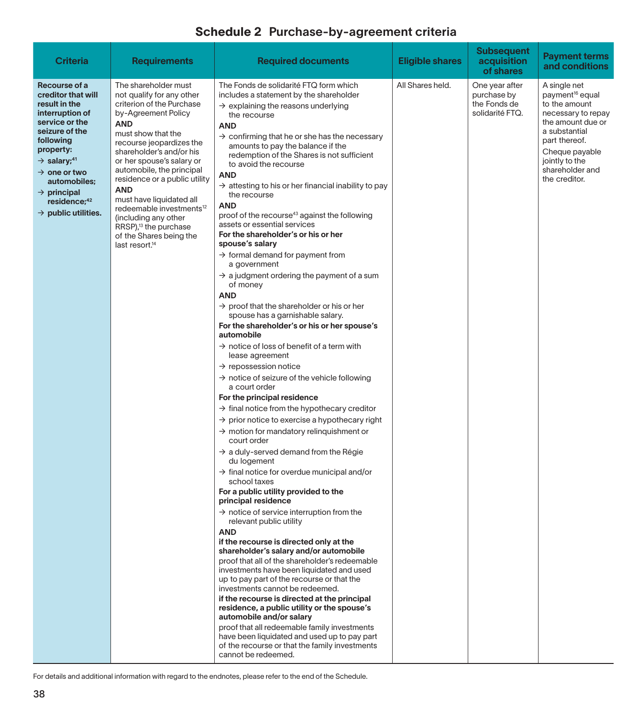| <b>Criteria</b>                                                                                                                                                                                                                                                                                                    | <b>Requirements</b>                                                                                                                                                                                                                                                                                                                                                                                                                                                                                  | <b>Required documents</b>                                                                                                                                                                                                                                                                                                                                                                                                                                                                                                                                                                                                                                                                                                                                                                                                                                                                                                                                                                                                                                                                                                                                                                                                                                                                                                                                                                                                                                                                                                                                                                                                                                                                                                                                                                                                                                                                                                                                                                                                                                                                                                                                                                                                                                  | <b>Eligible shares</b> | <b>Subsequent</b><br>acquisition<br>of shares                    | <b>Payment terms</b><br>and conditions                                                                                                                                                                            |
|--------------------------------------------------------------------------------------------------------------------------------------------------------------------------------------------------------------------------------------------------------------------------------------------------------------------|------------------------------------------------------------------------------------------------------------------------------------------------------------------------------------------------------------------------------------------------------------------------------------------------------------------------------------------------------------------------------------------------------------------------------------------------------------------------------------------------------|------------------------------------------------------------------------------------------------------------------------------------------------------------------------------------------------------------------------------------------------------------------------------------------------------------------------------------------------------------------------------------------------------------------------------------------------------------------------------------------------------------------------------------------------------------------------------------------------------------------------------------------------------------------------------------------------------------------------------------------------------------------------------------------------------------------------------------------------------------------------------------------------------------------------------------------------------------------------------------------------------------------------------------------------------------------------------------------------------------------------------------------------------------------------------------------------------------------------------------------------------------------------------------------------------------------------------------------------------------------------------------------------------------------------------------------------------------------------------------------------------------------------------------------------------------------------------------------------------------------------------------------------------------------------------------------------------------------------------------------------------------------------------------------------------------------------------------------------------------------------------------------------------------------------------------------------------------------------------------------------------------------------------------------------------------------------------------------------------------------------------------------------------------------------------------------------------------------------------------------------------------|------------------------|------------------------------------------------------------------|-------------------------------------------------------------------------------------------------------------------------------------------------------------------------------------------------------------------|
| Recourse of a<br>creditor that will<br>result in the<br>interruption of<br>service or the<br>seizure of the<br>following<br>property:<br>$\rightarrow$ salary; <sup>41</sup><br>$\rightarrow$ one or two<br>automobiles;<br>$\rightarrow$ principal<br>residence; <sup>42</sup><br>$\rightarrow$ public utilities. | The shareholder must<br>not qualify for any other<br>criterion of the Purchase<br>by-Agreement Policy<br><b>AND</b><br>must show that the<br>recourse jeopardizes the<br>shareholder's and/or his<br>or her spouse's salary or<br>automobile, the principal<br>residence or a public utility<br><b>AND</b><br>must have liquidated all<br>redeemable investments <sup>12</sup><br>(including any other<br>RRSP), <sup>13</sup> the purchase<br>of the Shares being the<br>last resort. <sup>14</sup> | The Fonds de solidarité FTQ form which<br>includes a statement by the shareholder<br>$\rightarrow$ explaining the reasons underlying<br>the recourse<br><b>AND</b><br>$\rightarrow$ confirming that he or she has the necessary<br>amounts to pay the balance if the<br>redemption of the Shares is not sufficient<br>to avoid the recourse<br><b>AND</b><br>$\rightarrow$ attesting to his or her financial inability to pay<br>the recourse<br><b>AND</b><br>proof of the recourse <sup>43</sup> against the following<br>assets or essential services<br>For the shareholder's or his or her<br>spouse's salary<br>$\rightarrow$ formal demand for payment from<br>a government<br>$\rightarrow$ a judgment ordering the payment of a sum<br>of money<br><b>AND</b><br>$\rightarrow$ proof that the shareholder or his or her<br>spouse has a garnishable salary.<br>For the shareholder's or his or her spouse's<br>automobile<br>$\rightarrow$ notice of loss of benefit of a term with<br>lease agreement<br>$\rightarrow$ repossession notice<br>$\rightarrow$ notice of seizure of the vehicle following<br>a court order<br>For the principal residence<br>$\rightarrow$ final notice from the hypothecary creditor<br>$\rightarrow$ prior notice to exercise a hypothecary right<br>$\rightarrow$ motion for mandatory relinguishment or<br>court order<br>$\rightarrow$ a duly-served demand from the Régie<br>du logement<br>$\rightarrow$ final notice for overdue municipal and/or<br>school taxes<br>For a public utility provided to the<br>principal residence<br>$\rightarrow$ notice of service interruption from the<br>relevant public utility<br><b>AND</b><br>if the recourse is directed only at the<br>shareholder's salary and/or automobile<br>proof that all of the shareholder's redeemable<br>investments have been liquidated and used<br>up to pay part of the recourse or that the<br>investments cannot be redeemed.<br>if the recourse is directed at the principal<br>residence, a public utility or the spouse's<br>automobile and/or salary<br>proof that all redeemable family investments<br>have been liquidated and used up to pay part<br>of the recourse or that the family investments<br>cannot be redeemed. | All Shares held.       | One year after<br>purchase by<br>the Fonds de<br>solidarité FTQ. | A single net<br>payment <sup>16</sup> equal<br>to the amount<br>necessary to repay<br>the amount due or<br>a substantial<br>part thereof.<br>Cheque payable<br>jointly to the<br>shareholder and<br>the creditor. |

For details and additional information with regard to the endnotes, please refer to the end of the Schedule.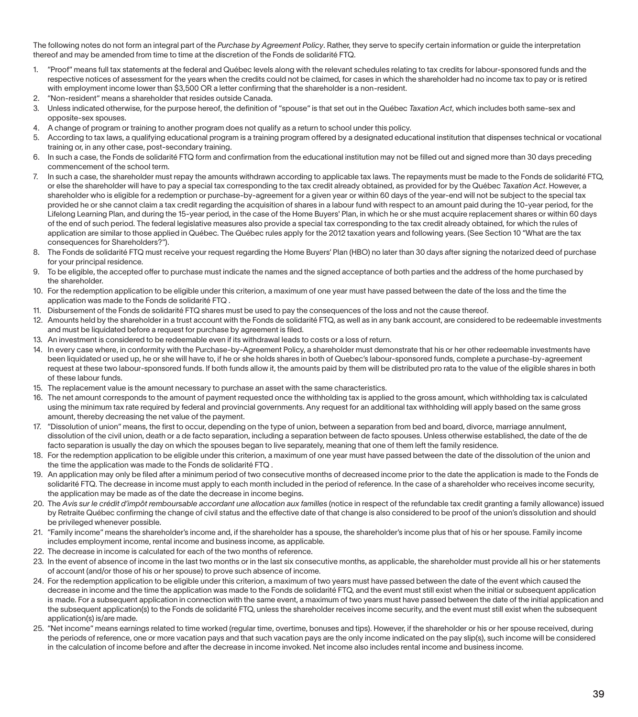The following notes do not form an integral part of the *Purchase by Agreement Policy*. Rather, they serve to specify certain information or guide the interpretation thereof and may be amended from time to time at the discretion of the Fonds de solidarité FTQ.

- 1. "Proof" means full tax statements at the federal and Québec levels along with the relevant schedules relating to tax credits for labour-sponsored funds and the respective notices of assessment for the years when the credits could not be claimed, for cases in which the shareholder had no income tax to pay or is retired with employment income lower than \$3,500 OR a letter confirming that the shareholder is a non-resident.
- 2. "Non-resident" means a shareholder that resides outside Canada.
- 3. Unless indicated otherwise, for the purpose hereof, the definition of "spouse" is that set out in the Québec *Taxation Act*, which includes both same-sex and opposite-sex spouses.
- 4. A change of program or training to another program does not qualify as a return to school under this policy.
- 5. According to tax laws, a qualifying educational program is a training program offered by a designated educational institution that dispenses technical or vocational training or, in any other case, post-secondary training.
- 6. In such a case, the Fonds de solidarité FTQ form and confirmation from the educational institution may not be filled out and signed more than 30 days preceding commencement of the school term.
- 7. In such a case, the shareholder must repay the amounts withdrawn according to applicable tax laws. The repayments must be made to the Fonds de solidarité FTQ, or else the shareholder will have to pay a special tax corresponding to the tax credit already obtained, as provided for by the Québec *Taxation Act*. However, a shareholder who is eligible for a redemption or purchase-by-agreement for a given year or within 60 days of the year-end will not be subject to the special tax provided he or she cannot claim a tax credit regarding the acquisition of shares in a labour fund with respect to an amount paid during the 10-year period, for the Lifelong Learning Plan, and during the 15-year period, in the case of the Home Buyers' Plan, in which he or she must acquire replacement shares or within 60 days of the end of such period. The federal legislative measures also provide a special tax corresponding to the tax credit already obtained, for which the rules of application are similar to those applied in Québec. The Québec rules apply for the 2012 taxation years and following years. (See Section 10 "What are the tax consequences for Shareholders?").
- 8. The Fonds de solidarité FTQ must receive your request regarding the Home Buyers' Plan (HBO) no later than 30 days after signing the notarized deed of purchase for your principal residence.
- 9. To be eligible, the accepted offer to purchase must indicate the names and the signed acceptance of both parties and the address of the home purchased by the shareholder.
- 10. For the redemption application to be eligible under this criterion, a maximum of one year must have passed between the date of the loss and the time the application was made to the Fonds de solidarité FTQ .
- 11. Disbursement of the Fonds de solidarité FTQ shares must be used to pay the consequences of the loss and not the cause thereof.
- 12. Amounts held by the shareholder in a trust account with the Fonds de solidarité FTQ, as well as in any bank account, are considered to be redeemable investments and must be liquidated before a request for purchase by agreement is filed.
- 13. An investment is considered to be redeemable even if its withdrawal leads to costs or a loss of return.
- 14. In every case where, in conformity with the Purchase-by-Agreement Policy, a shareholder must demonstrate that his or her other redeemable investments have been liquidated or used up, he or she will have to, if he or she holds shares in both of Quebec's labour-sponsored funds, complete a purchase-by-agreement request at these two labour-sponsored funds. If both funds allow it, the amounts paid by them will be distributed pro rata to the value of the eligible shares in both of these labour funds.
- 15. The replacement value is the amount necessary to purchase an asset with the same characteristics.
- 16. The net amount corresponds to the amount of payment requested once the withholding tax is applied to the gross amount, which withholding tax is calculated using the minimum tax rate required by federal and provincial governments. Any request for an additional tax withholding will apply based on the same gross amount, thereby decreasing the net value of the payment.
- 17. "Dissolution of union" means, the first to occur, depending on the type of union, between a separation from bed and board, divorce, marriage annulment, dissolution of the civil union, death or a de facto separation, including a separation between de facto spouses. Unless otherwise established, the date of the de facto separation is usually the day on which the spouses began to live separately, meaning that one of them left the family residence.
- 18. For the redemption application to be eligible under this criterion, a maximum of one year must have passed between the date of the dissolution of the union and the time the application was made to the Fonds de solidarité FTQ .
- 19. An application may only be filed after a minimum period of two consecutive months of decreased income prior to the date the application is made to the Fonds de solidarité FTQ. The decrease in income must apply to each month included in the period of reference. In the case of a shareholder who receives income security, the application may be made as of the date the decrease in income begins.
- 20. The *Avis sur le crédit d'impôt remboursable accordant une allocation aux familles* (notice in respect of the refundable tax credit granting a family allowance) issued by Retraite Québec confirming the change of civil status and the effective date of that change is also considered to be proof of the union's dissolution and should be privileged whenever possible.
- 21. "Family income" means the shareholder's income and, if the shareholder has a spouse, the shareholder's income plus that of his or her spouse. Family income includes employment income, rental income and business income, as applicable.
- 22. The decrease in income is calculated for each of the two months of reference.
- 23. In the event of absence of income in the last two months or in the last six consecutive months, as applicable, the shareholder must provide all his or her statements of account (and/or those of his or her spouse) to prove such absence of income.
- 24. For the redemption application to be eligible under this criterion, a maximum of two years must have passed between the date of the event which caused the decrease in income and the time the application was made to the Fonds de solidarité FTQ, and the event must still exist when the initial or subsequent application is made. For a subsequent application in connection with the same event, a maximum of two years must have passed between the date of the initial application and the subsequent application(s) to the Fonds de solidarité FTQ, unless the shareholder receives income security, and the event must still exist when the subsequent application(s) is/are made.
- 25. "Net income" means earnings related to time worked (regular time, overtime, bonuses and tips). However, if the shareholder or his or her spouse received, during the periods of reference, one or more vacation pays and that such vacation pays are the only income indicated on the pay slip(s), such income will be considered in the calculation of income before and after the decrease in income invoked. Net income also includes rental income and business income.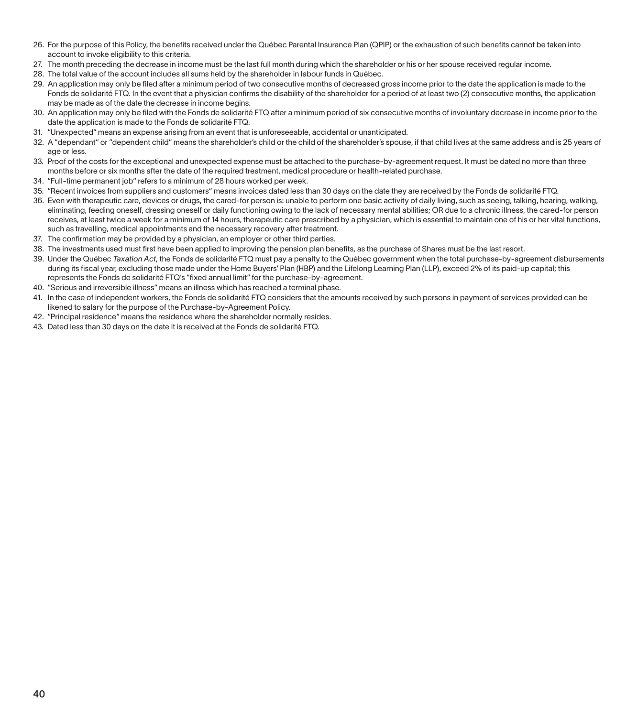- 26. For the purpose of this Policy, the benefits received under the Québec Parental Insurance Plan (QPIP) or the exhaustion of such benefits cannot be taken into account to invoke eligibility to this criteria.
- 27. The month preceding the decrease in income must be the last full month during which the shareholder or his or her spouse received regular income.
- 28. The total value of the account includes all sums held by the shareholder in labour funds in Québec.
- 29. An application may only be filed after a minimum period of two consecutive months of decreased gross income prior to the date the application is made to the Fonds de solidarité FTQ. In the event that a physician confirms the disability of the shareholder for a period of at least two (2) consecutive months, the application may be made as of the date the decrease in income begins.
- 30. An application may only be filed with the Fonds de solidarité FTQ after a minimum period of six consecutive months of involuntary decrease in income prior to the date the application is made to the Fonds de solidarité FTQ.
- 31. "Unexpected" means an expense arising from an event that is unforeseeable, accidental or unanticipated.
- 32. A "dependant" or "dependent child" means the shareholder's child or the child of the shareholder's spouse, if that child lives at the same address and is 25 years of age or less.
- 33. Proof of the costs for the exceptional and unexpected expense must be attached to the purchase-by-agreement request. It must be dated no more than three months before or six months after the date of the required treatment, medical procedure or health-related purchase.
- 34. "Full-time permanent job" refers to a minimum of 28 hours worked per week.
- 35. "Recent invoices from suppliers and customers" means invoices dated less than 30 days on the date they are received by the Fonds de solidarité FTQ.
- 36. Even with therapeutic care, devices or drugs, the cared-for person is: unable to perform one basic activity of daily living, such as seeing, talking, hearing, walking, eliminating, feeding oneself, dressing oneself or daily functioning owing to the lack of necessary mental abilities; OR due to a chronic illness, the cared-for person receives, at least twice a week for a minimum of 14 hours, therapeutic care prescribed by a physician, which is essential to maintain one of his or her vital functions, such as travelling, medical appointments and the necessary recovery after treatment.
- 37. The confirmation may be provided by a physician, an employer or other third parties.
- 38. The investments used must first have been applied to improving the pension plan benefits, as the purchase of Shares must be the last resort.
- 39. Under the Québec *Taxation Act*, the Fonds de solidarité FTQ must pay a penalty to the Québec government when the total purchase-by-agreement disbursements during its fiscal year, excluding those made under the Home Buyers' Plan (HBP) and the Lifelong Learning Plan (LLP), exceed 2% of its paid-up capital; this represents the Fonds de solidarité FTQ's "fixed annual limit" for the purchase-by-agreement.
- 40. "Serious and irreversible illness" means an illness which has reached a terminal phase.
- 41. In the case of independent workers, the Fonds de solidarité FTQ considers that the amounts received by such persons in payment of services provided can be likened to salary for the purpose of the Purchase-by-Agreement Policy.
- 42. "Principal residence" means the residence where the shareholder normally resides.
- 43. Dated less than 30 days on the date it is received at the Fonds de solidarité FTQ.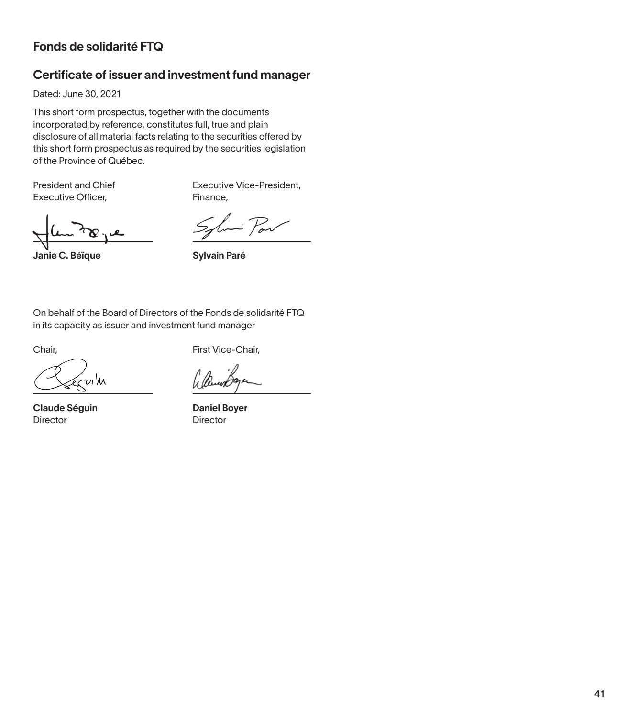## Fonds de solidarité FTQ

## Certificate of issuer and investment fund manager

Dated: June 30, 2021

This short form prospectus, together with the documents incorporated by reference, constitutes full, true and plain disclosure of all material facts relating to the securities offered by this short form prospectus as required by the securities legislation of the Province of Québec.

Executive Officer, The Research Pinance,

President and Chief Executive Vice-President,

 $\mathbf{c}$ 

 $\therefore$   $\mathcal{P}_{ov}$  $\mathcal{S}_{\mathbf{a}}$ 

Janie C. Béïque Sylvain Paré

On behalf of the Board of Directors of the Fonds de solidarité FTQ in its capacity as issuer and investment fund manager

Claude Séguin Director

Chair, **First Vice-Chair**,

Daniel Boyer Director